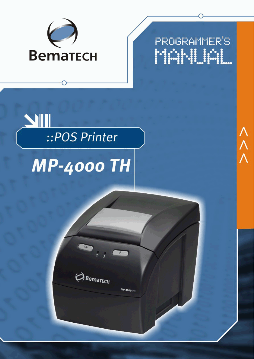

**PROGRAMMER'S** MANUAL

# SIII ::POS Printer

# **MP-4000 TH**



**MP-4000 TH** 

ハハハ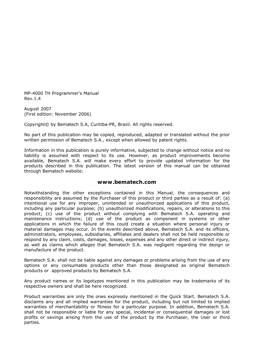MP-4000 TH Programmer's Manual Rev.1.4

August 2007 (First edition: November 2006)

Copyright© by Bematech S.A, Curitiba-PR, Brazil. All rights reserved.

No part of this publication may be copied, reproduced, adapted or translated without the prior written permission of Bematech S.A., except when allowed by patent rights.

Information in this publication is purely informative, subjected to change without notice and no liability is assumed with respect to its use. However, as product improvements become available, Bematech S.A. will make every effort to provide updated information for the products described in this publication. The latest version of this manual can be obtained through Bematech website:

#### **www.bematech.com**

Notwithstanding the other exceptions contained in this Manual, the consequences and responsibility are assumed by the Purchaser of this product or third parties as a result of: (a) intentional use for any improper, unintended or unauthorized applications of this product, including any particular purpose; (b) unauthorized modifications, repairs, or alterations to this product; (c) use of the product without complying with Bematech S.A. operating and maintenance instructions; (d) use of the product as component in systems or other applications in which the failure of this could create a situation where personal injury or material damages may occur. In the events described above, Bematech S.A. and its officers, administrators, employees, subsidiaries, affiliates and dealers shall not be held responsible or respond by any claim, costs, damages, losses, expenses and any other direct or indirect injury, as well as claims which alleges that Bematech S.A. was negligent regarding the design or manufacture of the product.

Bematech S.A. shall not be liable against any damages or problems arising from the use of any options or any consumable products other than those designated as original Bematech products or approved products by Bematech S.A.

Any product names or its logotypes mentioned in this publication may be trademarks of its respective owners and shall be here recognized.

Product warranties are only the ones expressly mentioned in the Quick Start. Bematech S.A. disclaims any and all implied warranties for the product, including but not limited to implied warranties of merchantability or fitness for a particular purpose. In addition, Bematech S.A. shall not be responsible or liable for any special, incidental or consequential damages or lost profits or savings arising from the use of the product by the Purchaser, the User or third parties.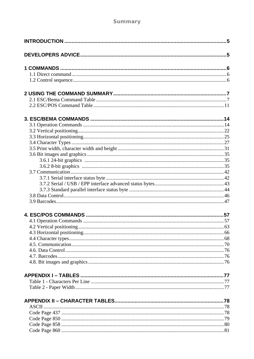#### Summary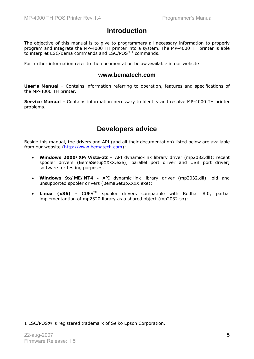# **Introduction**

The objective of this manual is to give to programmers all necessary information to properly program and integrate the MP-4000 TH printer into a system. The MP-4000 TH printer is able to interpret ESC/Bema commands and ESC/POS<sup>® 1</sup> commands.

For further information refer to the documentation below available in our website:

#### **www.bematech.com**

**User's Manual** – Contains information referring to operation, features and specifications of the MP-4000 TH printer.

**Service Manual** – Contains information necessary to identify and resolve MP-4000 TH printer problems.

# **Developers advice**

Beside this manual, the drivers and API (and all their documentation) listed below are available from our website (http://www.bematech.com):

- **Windows 2000/XP/Vista-32 –** API dynamic-link library driver (mp2032.dll); recent spooler drivers (BemaSetupXXxX.exe); parallel port driver and USB port driver; software for testing purposes.
- **Windows 9x/ME/NT4** API dynamic-link library driver (mp2032.dll); old and unsupported spooler drivers (BemaSetupXXxX.exe);
- **Linux (x86) -** CUPSTM spooler drivers compatible with Redhat 8.0; partial implementantion of mp2320 library as a shared object (mp2032.so);

1 ESC/POS® is registered trademark of Seiko Epson Corporation.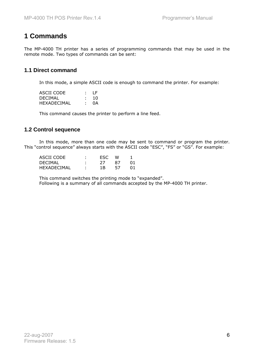# **1 Commands**

The MP-4000 TH printer has a series of programming commands that may be used in the remote mode. Two types of commands can be sent:

#### **1.1 Direct command**

In this mode, a simple ASCII code is enough to command the printer. For example:

| ASCII CODE         | – LF ⊹ |
|--------------------|--------|
| DECIMAL            | 10     |
| <b>HEXADECIMAL</b> | 0A     |

This command causes the printer to perform a line feed.

#### **1.2 Control sequence**

 In this mode, more than one code may be sent to command or program the printer. This "control sequence" always starts with the ASCII code "ESC", "FS" or "GS". For example:

| ASCII CODE         | ٠ | FSC. | w  |  |
|--------------------|---|------|----|--|
| <b>DECIMAL</b>     |   |      | 87 |  |
| <b>HEXADECIMAL</b> |   | 1 R  |    |  |

 This command switches the printing mode to "expanded". Following is a summary of all commands accepted by the MP-4000 TH printer.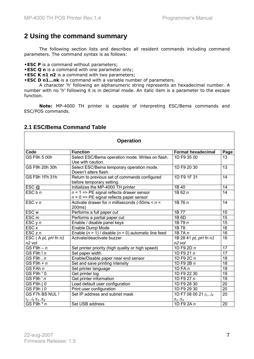# **2 Using the command summary**

 The following section lists and describes all resident commands including command parameters. The command syntax is as follows:

**•ESC P** is a command without parameters;

- **•ESC Q n** is a command with one parameter only;
- **•ESC K n1 n2** is a command with two parameters;
- **•ESC D n1...nk** is a command with a variable number of parameters.

 A character 'h' following an alphanumeric string represents an hexadecimal number. A number with no 'h' following it is in decimal mode. An italic item is a parameter to the escape function.

**Note:** MP-4000 TH printer is capable of interpreting ESC/Bema commands and ESC/POS commands.

| <b>Operation</b>                         |                                                                                                             |                                                              |                 |
|------------------------------------------|-------------------------------------------------------------------------------------------------------------|--------------------------------------------------------------|-----------------|
| Code                                     | <b>Function</b>                                                                                             | <b>Format hexadecimal</b>                                    | Page            |
| GS F9h 5 00h                             | Select ESC/Bema operation mode. Writes on flash.<br>Use with caution.                                       | 1D F9 35 00                                                  | 13              |
| GS F9h 20h 30h                           | Select ESC/Bema temporary operation mode.<br>Doesn't alters flash.                                          | 1D F9 20 30                                                  | 13              |
| GS F9h 1Fh 31h                           | Return to previous set of commands configured<br>before temporary setting.                                  | 1D F9 1F 31                                                  | 14              |
| ESC@                                     | Initializes the MP-4000 TH printer                                                                          | 1B 40                                                        | 14              |
| ESC b n                                  | $n = 1 \Rightarrow PE$ signal reflects drawer sensor<br>$n = 0 \Rightarrow PE$ signal reflects paper sensor | 1B 62 $n$                                                    | 14              |
| ESC v n                                  | Activate drawer for $n$ milliseconds (-50ms < $n$ <<br>200ms)                                               | 1B 76 $n$                                                    | 14              |
| ESC <sub>w</sub>                         | Performs a full paper cut                                                                                   | 1B 77                                                        | $\overline{15}$ |
| ESC <sub>m</sub>                         | Performs a partial paper cut                                                                                | 1B 6D                                                        | 15              |
| ESC y n                                  | Enable / disable panel keys                                                                                 | 1B 79 $n$                                                    | $\overline{15}$ |
| ESC x                                    | Enable Dump Mode                                                                                            | 1B 78                                                        | 16              |
| ESC z n                                  | Enable $(n = 1)$ / disable $(n = 0)$ automatic line feed                                                    | 1B $7A n$                                                    | 16              |
| ESC (A pL pH fn n1<br>n <sub>2</sub> vol | Activate/deactivate buzzer                                                                                  | 1B 28 41 pL pH fn n1<br>n <sub>2</sub> vol                   | $\overline{16}$ |
| GS F9h $- n$                             | Set printer priority (high quality or high speed)                                                           | 1D F9 2D $n$                                                 | 17              |
| GSF9h! $n$                               | Set paper width                                                                                             | 1D F9 21 n                                                   | $\overline{17}$ |
| $\overline{GS}$ F9h, n                   | Enable/Disable paper near end sensor                                                                        | 1D F9 2C n                                                   | 18              |
| GS F9h + $n$                             | Set and save printing intensity                                                                             | 1D F9 2B n                                                   | 18              |
| GS FAh n                                 | Set printer language                                                                                        | 1D FA $n$                                                    | 18              |
| GS F9h " 0                               | Get printer log                                                                                             | 1D F9 22 30                                                  | 19              |
| $GS$ F9h $n$                             | Get printer information                                                                                     | 1D F9 27 $n$                                                 | 19              |
| GS F9h (0                                | Load default user configuration                                                                             | 1D F9 28 30                                                  | 20              |
| $\overline{GS}$ F9h $)$ 0                | Print user configuration                                                                                    | 1D F9 29 30                                                  | $\overline{20}$ |
| GS F7h BS NUL !<br>$i_1i_4 s_1s_4$       | Set IP address and subnet mask                                                                              | 1D F7 08 00 21 <i>i<sub>1</sub>i<sub>4</sub></i><br>$S_1S_4$ | $\overline{20}$ |
| GS F9h $*$ n                             | Set USB address                                                                                             | $1D$ F9 2A $n$                                               | $\overline{20}$ |

#### **2.1 ESC/Bema Command Table**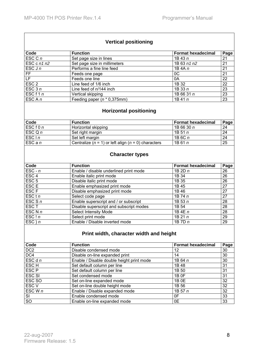#### **Vertical positioning**

| Code               | <b>Function</b>                | <b>Format hexadecimal</b> | Page |
|--------------------|--------------------------------|---------------------------|------|
| $\mathsf{ESC}$ C n | Set page size in lines         | $1B$ 43 $n$               | 21   |
| ESC c $n1 n2$      | Set page size in millimeters   | 1B 63 n1 n2               | 21   |
| ESC J $n$          | Performs a fine line feed      | 1B 4A $n$                 | 21   |
| FF                 | Feeds one page                 | 0C                        | 21   |
| LF.                | Feeds one line                 | 0A                        | 22   |
| ESC <sub>2</sub>   | Line feed of 1/6 inch          | 1B 32                     | 22   |
| ESC $3n$           | Line feed of n/144 inch        | 1B 33 $n$                 | 23   |
| ESC $f1n$          | Vertical skipping              | 1B 66 31 n                | 23   |
| ESC A n            | Feeding paper $(n * 0,375$ mm) | $1B$ 41 $n$               | 23   |

#### **Horizontal positioning**

| Code              | <b>Function</b>                                             | l Format hexadecimal | Page |
|-------------------|-------------------------------------------------------------|----------------------|------|
| ESCf0n            | Horizontal skipping                                         | l 1B 66 30 <i>n</i>  | 24   |
| $\mathsf{ESCQ}$ n | Set right margin                                            | l 1B 51 n            |      |
| ESCIn             | Set left margin                                             | 1B6Cn                | 24   |
| $ESC$ a n         | Centralize ( $n = 1$ ) or left align ( $n = 0$ ) characters | 1B61n                | 25   |

#### **Character types**

| Code             | <b>Function</b>                         | <b>Format hexadecimal</b> | Page |
|------------------|-----------------------------------------|---------------------------|------|
| $ESC - n$        | Enable / disable underlined print mode  | 1B 2D n                   | 26   |
| ESC <sub>4</sub> | Enable italic print mode                | 1B 34                     | 26   |
| ESC <sub>5</sub> | Disable italic print mode               | 1B 35                     | 26   |
| ESC <sub>E</sub> | Enable emphasized print mode            | 1B 45                     | 27   |
| ESC <sub>F</sub> | Disable emphasized print mode           | 1B 46                     | 27   |
| ESC t n          | Select code page                        | 1B 74 $n$                 | 27   |
| ESC S $n$        | Enable superscript and / or subscript   | 1B53n                     | 28   |
| ESC <sub>T</sub> | Disable superscript and subscript modes | 1B 54                     | 28   |
| ESC N $n$        | <b>Select Intensity Mode</b>            | 1B 4E $n$                 | 28   |
| ESC!n            | Select print mode                       | 1B 21 $n$                 | 29   |
| $ESC$ } n        | Enable / Disable inverted mode          | 1B 7D $n$                 | 29   |

#### **Print width, character width and height**

| Code             | <b>Function</b>                           | <b>Format hexadecimal</b> | Page |
|------------------|-------------------------------------------|---------------------------|------|
| DC <sub>2</sub>  | Disable condensed mode                    | 12                        | 30   |
| DC4              | Disable on-line expanded print            | 14                        | 30   |
| ESC d n          | Enable / Disable double height print mode | 1B 64 $n$                 | 30   |
| ESC <sub>H</sub> | Set default column per line               | 1B 48                     | 31   |
| ESC <sub>P</sub> | Set default column per line               | 1B 50                     | 31   |
| <b>ESC SI</b>    | Set condensed mode                        | 1B 0F                     | 31   |
| ESC SO           | Set on-line expanded mode                 | 1B 0E                     | 32   |
| ESC <sub>V</sub> | Set on-line double height mode            | 1B 56                     | 32   |
| ESC W $n$        | Enable / Disable expanded mode            | 1B 57 $n$                 | 32   |
| SI               | Enable condensed mode                     | 0F                        | 33   |
| $\overline{SO}$  | Enable on-line expanded mode              | 0E                        | 33   |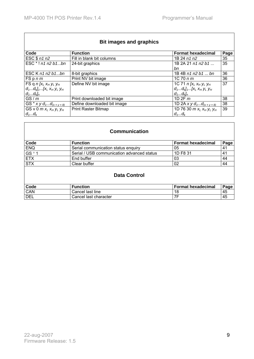$\overline{\Gamma}$ 

|                                             | <b>Bit images and graphics</b> |                                           |      |
|---------------------------------------------|--------------------------------|-------------------------------------------|------|
| Code                                        | <b>Function</b>                | <b>Format hexadecimal</b>                 | Page |
| ESC \$ n1 n2                                | Fill in blank bit columns      | 1B 24 n1 n2                               | 35   |
| ESC * ! n1 n2 b1bn                          | 24-bit graphics                | 1B 2A 21 $n1$ $n2$ $b1$ $\dots$           | 35   |
|                                             |                                | bn                                        |      |
| ESC K $n1$ $n2$ $b1$ bn                     | 8-bit graphics                 | 1B 4B n1 n2 b1  bn                        | 36   |
| FSpnm                                       | Print NV bit image             | $1C$ 70 $n m$                             | 36   |
| FS q $n$ $[x_L x_H y_L y_H$                 | Define NV bit image            | 1C 71 $n[x_L x_H y_L y_H]$                | 37   |
| $d_1d_k$ <sub>1</sub> [ $x_L x_H y_L y_H$   |                                | $d_1d_k$ <sub>1</sub> [ $x_L x_H y_L y_H$ |      |
| $d_1d_k$                                    |                                | $d_1d_k$                                  |      |
| GS/m                                        | Print downloaded bit image     | 1D 2F m                                   | 38   |
| GS * $xy \, d_{1}d_{(x \times y \times 8)}$ | Define downloaded bit image    | 1D 2A x y $d_1d_{(x \times y \times 8)}$  | 38   |
| GS v 0 $m x_L x_H y_L y_H$                  | <b>Print Raster Bitmap</b>     | 1D 76 30 $m x_L x_H y_L y_H$              | 39   |
| $d_1d_k$                                    |                                | $d_1d_k$                                  |      |

| <b>Communication</b> |                                            |                           |      |
|----------------------|--------------------------------------------|---------------------------|------|
| Code                 | <b>Function</b>                            | <b>Format hexadecimal</b> | Page |
| <b>ENQ</b>           | Serial communication status enquiry        | 05                        | 41   |
| GS <sup>o</sup> 1    | Serial / USB communication advanced status | 1D F8 31                  | 41   |
| <b>ETX</b>           | End buffer                                 | 03                        | 44   |
| <b>STX</b>           | Clear buffer                               | 02                        | 44   |
| <b>Data Control</b>  |                                            |                           |      |
| Code                 | <b>Function</b>                            | <b>Format hexadecimal</b> | Page |
| CAN                  | Cancel last line                           | 18                        | 45   |
| <b>DEL</b>           | Cancel last character                      | 7F                        | 45   |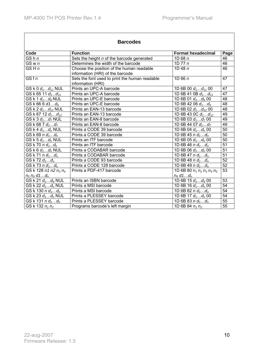| <b>Barcodes</b>                                |                                                                                            |                                      |                 |
|------------------------------------------------|--------------------------------------------------------------------------------------------|--------------------------------------|-----------------|
| Code                                           | <b>Function</b>                                                                            | <b>Format hexadecimal</b>            | Page            |
| GS <sub>h</sub> n                              | Sets the height n of the barcode generated                                                 | 1D68n                                | 46              |
| GS w n                                         | Determines the width of the barcode                                                        | 1D $77n$                             | $\overline{46}$ |
| GS H n                                         | Choose the position of the human readable<br>1D 48 $n$<br>information (HRI) of the barcode |                                      | 46              |
| GSf n                                          | Sets the font used to print the human readable<br>information (HRI)                        | 1D 66 $n$                            | 47              |
| GS k 0 $d_1d_{11}$ NUL                         | Prints an UPC-A barcode                                                                    | 1D 6B 00 $d_1d_{11}$ 00              | 47              |
| GS k 65 11 $d_1d_{11}$                         | Prints an UPC-A barcode                                                                    | $\overline{1}D$ 6B 41 0B $d_1d_{11}$ | 47              |
| GS k 1 $d_1d_6$ NUL                            | Prints an UPC-E barcode                                                                    | $\overline{1D}$ 6B 01 $d_1d_6$ 00    | 48              |
| $\overline{\text{GS}}$ k 66 6 d1d <sub>6</sub> | Prints an UPC-E barcode                                                                    | $\overline{1D}$ 6B 42 06 $d_1d_6$    | $\overline{48}$ |
| GS k 2 $d_1d_{12}$ NUL                         | Prints an EAN-13 barcode                                                                   | 1D 6B 02 $d_1d_{12}$ 00              | $\overline{48}$ |
| GS k 67 12 $d_1d_{12}$                         | Prints an EAN-13 barcode                                                                   | 1D 6B 43 0C $d_1d_{12}$              | 49              |
| GS k 3 $d_1d_7$ NUL                            | Prints an EAN-8 barcode                                                                    | $\overline{1}D$ 6B 03 $d_1d_7$ 00    | 49              |
| GS k 68 7 $d_1d_7$                             | Prints an EAN-8 barcode                                                                    | 1D 6B 44 07 $d_1d_7$                 | 49              |
| GS k 4 $d_1d_n$ NUL                            | Prints a CODE 39 barcode                                                                   | 1D 6B 04 $d_1d_n$ 00                 | $\overline{50}$ |
| $GS k 69 n d_1d_n$                             | Prints a CODE 39 barcode                                                                   | 1D 6B 45 $n d_1d_n$                  | $\overline{50}$ |
| GS k 5 $d_1d_n$ NUL                            | Prints an ITF barcode                                                                      | 1D 6B 05 $d_1d_n$ 00                 | $\overline{50}$ |
| $GS k 70 n d_1d_n$                             | Prints an ITF barcode                                                                      | 1D 6B 46 $n d_1d_n$                  | 51              |
| GS k 6 $d_1d_n$ NUL                            | Prints a CODABAR barcode                                                                   | $1D 6B 06 d_1d_n 00$                 | 51              |
| $GS K 71 n d_1d_n$                             | Prints a CODABAR barcode                                                                   | 1D 6B 47 $n d_1d_n$                  | $\overline{51}$ |
| GS k 72 $d_1d_n$                               | Prints a CODE 93 barcode                                                                   | 1D 6B 48 n $d_1d_n$                  | 52              |
| GS k 73 n $d_1d_n$                             | Prints a CODE 128 barcode                                                                  | 1D 6B 49 n $d_1d_n$                  | $\overline{52}$ |
| GS k 128 n1 n2 n <sub>3</sub> n <sub>4</sub>   | Prints a PDF-417 barcode                                                                   | 1D 6B 80 $n_1 n_2 n_3 n_4 n_5$       | $\overline{53}$ |
| $n_5 n_6 d1d_n$                                |                                                                                            | $n_6$ d1d <sub>n</sub>               |                 |
| GS k 21 $d_1d_9$ NUL                           | Prints an ISBN barcode                                                                     | 1D 6B 15 $d_1d_9$ 00                 | $\overline{53}$ |
| GS k 22 $d_1d_n$ NUL                           | Prints a MSI barcode<br>$\overline{1D}$ 6B 16 $d_1d_n$ 00                                  |                                      | $\overline{54}$ |
| GS k 130 n $d_1d_n$                            | 1D 6B 82 n $d_1d_n$<br>Prints a MSI barcode                                                |                                      | 54              |
| $\overline{GS}$ k 23 $d_1d_n$ NUL              | Prints a PLESSEY barcode                                                                   | 1D 6B 17 $d_1d_n$ 00                 | 54              |
| $GS$ k 131 n $d_1d_n$                          | Prints a PLESSEY barcode                                                                   | 1D 6B 83 $n d_1d_n$                  | $\overline{55}$ |
| $\overline{GS}$ k 132 $n_1 n_2$                | Programs barcode's left margin                                                             | 1D 6B 84 $n_1 n_2$                   | 55              |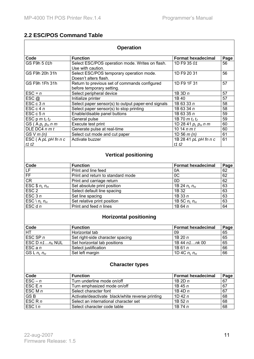F

#### **2.2 ESC/POS Command Table**

| <b>Operation</b>                          |                                                                                     |                                                 |                 |  |  |
|-------------------------------------------|-------------------------------------------------------------------------------------|-------------------------------------------------|-----------------|--|--|
| Code                                      | <b>Function</b>                                                                     | <b>Format hexadecimal</b>                       | Page            |  |  |
| GS F9h 5 01h                              | Select ESC/POS operation mode. Writes on flash.<br>1D F9 35 01<br>Use with caution. |                                                 | 56              |  |  |
| GS F9h 20h 31h                            | Select ESC/POS temporary operation mode.<br>Doesn't alters flash.                   | 1D F9 20 31                                     | 56              |  |  |
| GS F9h 1Fh 31h                            | Return to previous set of commands configured<br>before temporary setting.          | 1D F9 1F 31                                     | 57              |  |  |
| $\textsf{ESC} = \overline{n}$             | Select peripheral device                                                            | 1B3Dn                                           | 57              |  |  |
| $\mathsf{ESC}$ @                          | Initialize printer                                                                  | 1B 40                                           | $\overline{57}$ |  |  |
| ESC $c3n$                                 | Select paper sensor(s) to output paper-end signals                                  | 1B 63 33 n                                      | 58              |  |  |
| ESC c 4 n                                 | Select paper sensor(s) to stop printing                                             | 1B 63 34 n                                      | 58              |  |  |
| ESC $c$ 5 $n$                             | Enable/disable panel buttons                                                        | 1B 63 35 n                                      | 59              |  |  |
| ESC $p \, m \, t_1 \, t_2$                | General pulse                                                                       | 1B 70 $m t_1 t_2$                               | 59              |  |  |
| GS(Ap <sub>L</sub> p <sub>H</sub> n m)    | Execute test print                                                                  | 1D 28 41 <i>p<sub>L</sub> p<sub>H</sub> n m</i> | 60              |  |  |
| DLE DC4 $n m t$                           | Generate pulse at real-time                                                         | 10 14 $n m t$                                   | 60              |  |  |
| GS V m (n)                                | Select cut mode and cut paper                                                       | 1D 56 $m(n)$                                    | 61              |  |  |
| $\mathsf{ESC}$ (A pL pH fn n c<br>t1 $t2$ | Activate buzzer                                                                     | 1B 28 41 pL pH fn n c<br>t1t2                   | 61              |  |  |
|                                           | <b>Vertical positioning</b>                                                         |                                                 |                 |  |  |
| Code                                      | <b>Function</b>                                                                     | <b>Format hexadecimal</b>                       | Page            |  |  |
| LF                                        | Print and line feed                                                                 | 0A                                              | 62              |  |  |
| FF                                        | Print and return to standard mode                                                   | OC                                              | 62              |  |  |
| <b>CR</b>                                 | Print and carriage return                                                           | 0D                                              | 62              |  |  |
| ESC $$nL nH$                              | Set absolute print position                                                         | 1B 24 $n_L n_H$                                 | 63              |  |  |
| ESC <sub>2</sub>                          | Select default line spacing                                                         | 1B 32                                           | 63              |  |  |
| ESC $3n$                                  | Set line spacing                                                                    | 1B 33 n                                         | 63              |  |  |
| ESC \ $n_L n_H$                           | Set relative print position                                                         | 1B 5C $n_l$ $n_H$                               | 63              |  |  |
| ESC d n                                   | $\overline{\text{Print}}$ and feed <i>n</i> lines                                   | 1B 64 n                                         | 64              |  |  |
|                                           | <b>Horizontal positioning</b>                                                       |                                                 |                 |  |  |
| Code                                      | <b>Function</b>                                                                     | <b>Format hexadecimal</b>                       | Page            |  |  |
| HT                                        | Horizontal tab                                                                      | 09                                              | 65              |  |  |
| ESC SP $n$                                | Set right-side character spacing                                                    | 1B20n                                           | 65              |  |  |
| ESC D $n1n_K$ NUL                         | Set horizontal tab positions                                                        | 1B 44 n1nk 00                                   | 65              |  |  |
| $ESC$ a $n$                               | Select justification                                                                | 1B61n                                           | 66              |  |  |
| GS L $n_L n_H$                            | Set left margin                                                                     | 1D 4C $n_l$ $n_H$                               | 66              |  |  |
| <b>Character types</b>                    |                                                                                     |                                                 |                 |  |  |
| Code                                      | <b>Function</b>                                                                     | <b>Format hexadecimal</b>                       | Page            |  |  |
| $\textsf{ESC}-n$                          | Turn underline mode on/off                                                          | 1B 2D n                                         | 67              |  |  |
| ESC E $n$                                 | Turn emphasized mode on/off                                                         | 1B45n                                           | 67              |  |  |
| ESC M $n$                                 | Select character font                                                               | 1B 4D $n$                                       | 67              |  |  |
| GS <sub>B</sub>                           | Activate/deactivate black/white reverse printing                                    | 1D 42 $n$                                       | 68              |  |  |
| $\overline{E}SC$ R n                      | Select an international character set                                               | 1B52n                                           | 68              |  |  |
| ESC t n                                   | Select character code table                                                         | 1B 74 n                                         | 68              |  |  |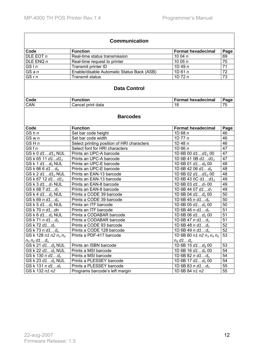$\overline{\phantom{a}}$ 

| <b>Communication</b>                         |                                                          |                                            |                 |  |
|----------------------------------------------|----------------------------------------------------------|--------------------------------------------|-----------------|--|
| Code                                         | <b>Function</b>                                          | <b>Format hexadecimal</b>                  | Page            |  |
| DLE EOT n                                    | Real-time status transmission                            | 10 04 $n$                                  | 69              |  |
| DLE ENQ n                                    | Real-time request to printer                             | 10 05 $n$                                  | $\overline{70}$ |  |
| GSIn                                         | Transmit printer ID                                      | 1D 49 $n$                                  | $\overline{71}$ |  |
| GSa n                                        | Enable/disable Automatic Status Back (ASB)               | 1D61n                                      | $\overline{72}$ |  |
| GSr n                                        | <b>Transmit status</b>                                   | 1D $72n$                                   | $\overline{73}$ |  |
|                                              | <b>Data Control</b>                                      |                                            |                 |  |
| Code                                         | <b>Function</b>                                          | <b>Format hexadecimal</b>                  | Page            |  |
| CAN                                          | Cancel print data                                        | 18                                         | 75              |  |
|                                              | <b>Barcodes</b>                                          |                                            |                 |  |
| Code                                         | <b>Function</b>                                          | <b>Format hexadecimal</b>                  | Page            |  |
| GS <sub>h</sub> n                            | Set bar code height                                      | 1D68n                                      | 46              |  |
| $\overline{\text{GS}}$ w n                   | Set bar code width                                       | 1D $77n$                                   | 46              |  |
| GSHn                                         | Select printing position of HRI characters               | 1D 48 $n$                                  | 46              |  |
| GSf n                                        | Select font for HRI characters                           | 1D 66 $n$                                  | 47              |  |
| GS $k0$ d1d1, NUL                            | Prints an UPC-A barcode                                  | $\overline{1D}$ 6B 00 d1d1 <sub>1</sub> 00 | 47              |  |
| GS k 65 11 d1d11                             | Prints an UPC-A barcode                                  | 1D 6B 41 0B $d1d1_1$                       | 47              |  |
| $\overline{GS}$ k 1 d1d <sub>6</sub> NUL     | Prints an UPC-E barcode                                  | $1D$ 6B 01 $d1d_6$ 00                      | 48              |  |
| GS k 66 6 d1d <sub>6</sub>                   | Prints an UPC-E barcode                                  | $\overline{1D}$ 6B 42 06 d1d <sub>6</sub>  | $\overline{48}$ |  |
| GS k 2 d1d12 NUL                             | Prints an EAN-13 barcode                                 | $\overline{1D}$ 6B 02 d1d1 <sub>2</sub> 00 | $\overline{48}$ |  |
| GS k 67 12 d1d12                             | Prints an EAN-13 barcode                                 | 1D 6B 43 0C $d1d1_2$                       | 49              |  |
| GS k 3 d1d <sub>7</sub> NUL                  | Prints an EAN-8 barcode                                  | 1D 6B 03 $d1d_7$ 00                        | 49              |  |
| GS k 68 7 d1d <sub>7</sub>                   | Prints an EAN-8 barcode                                  | $\overline{1D}$ 6B 44 07 d1d <sub>7</sub>  | 49              |  |
| GS k 4 $d1d_n$ NUL                           | Prints a CODE 39 barcode                                 | $1D$ 6B 04 $d1d_n$ 00                      | $\overline{50}$ |  |
| GS $k$ 69 $n$ d1 $d_n$                       | Prints a CODE 39 barcode                                 | $1D6B45n d1d_n$                            | $\overline{50}$ |  |
| GS k 5 d1d <sub>n</sub> NULL                 | Prints an ITF barcode                                    | $\overline{1D}$ 6B 05 d1d <sub>n</sub> 00  | 50              |  |
| GS k 70 n d1dn                               | Prints an ITF barcode                                    | 1D 6B 46 $n d1d_n$                         | $\overline{51}$ |  |
| $GS k 6 d1d_n NULL$                          | Prints a CODABAR barcode                                 | $\overline{1D}$ 6B 06 d1d <sub>n</sub> 00  | $\overline{51}$ |  |
| GS k 71 $n$ d1 $d_n$                         | Prints a CODABAR barcode                                 | 1D 6B 47 $n d1d_n$                         | 51              |  |
| GS k 72 d1 $d_n$                             | Prints a CODE 93 barcode<br>1D 6B 48 $n d1d_n$           |                                            | 52              |  |
| GS K 73 n d1d <sub>n</sub>                   | Prints a CODE 128 barcode<br>1D 6B 49 $n d1 d_n$         |                                            | 52              |  |
| GS k 128 n1 n2 n <sub>3</sub> n <sub>4</sub> | Prints a PDF-417 barcode<br>1D 6B 80 n1 n2 $n_3 n_4 n_5$ |                                            | 53              |  |
| $n_5 n_6 d1d_n$                              |                                                          | $n_6$ d1d <sub>n</sub>                     |                 |  |
| GS k 21 d1d <sub>9</sub> NULL                | 1D 6B 15 d1d <sub>9</sub> 00<br>Prints an ISBN barcode   |                                            | 53              |  |
| GS k 22 $d1d_n$ NUL                          | Prints a MSI barcode<br>1D 6B 16 $d1d_n$ 00              |                                            | 54              |  |
| GS k 130 n d1d <sub>n</sub>                  | Prints a MSI barcode                                     | 1D 6B 82 n d1 $d_n$                        | 54              |  |
| GS k 23 $d1d_n$ NUL                          | Prints a PLESSEY barcode<br>1D 6B 17 $d1d_n$ 00          |                                            |                 |  |
| GS k 131 n d1 $d_n$                          | Prints a PLESSEY barcode<br>1D 6B 83 n d1 $d_n$          |                                            |                 |  |
| GS k 132 n1 n2                               | Programs barcode's left margin<br>1D 6B 84 n1 n2         |                                            |                 |  |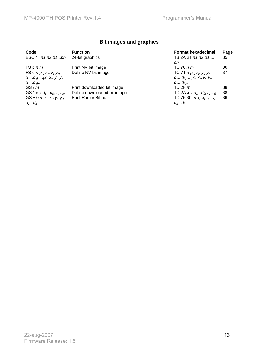| <b>Bit images and graphics</b>            |                             |                                           |      |
|-------------------------------------------|-----------------------------|-------------------------------------------|------|
| Code                                      | <b>Function</b>             | <b>Format hexadecimal</b>                 | Page |
| $ESC * ! n1 n2 b1bn$                      | 24-bit graphics             | 1B 2A 21 n1 n2 b1                         | 35   |
|                                           |                             | bn                                        |      |
| FSpnm                                     | Print NV bit image          | $1C$ 70 $n m$                             | 36   |
| FS q $n$ $[x_L x_H y_L y_H$               | Define NV bit image         | $\overline{1}C$ 71 n [ $x_L x_H y_L y_H$  | 37   |
| $d_1d_k$ <sub>1</sub> [ $x_L x_H y_L y_H$ |                             | $d_1d_k$ <sub>1</sub> [ $x_L x_H y_L y_H$ |      |
| $d_1d_k$                                  |                             | $d_1d_k$                                  |      |
| GS/m                                      | Print downloaded bit image  | 1D $2F$ $m$                               | 38   |
| GS * x y $d_1d_{(x \times y \times 8)}$   | Define downloaded bit image | 1D 2A x y $d_1d_{(x \times y \times 8)}$  | 38   |
| GS v 0 $m x_L x_H y_L y_H$                | <b>Print Raster Bitmap</b>  | 1D 76 30 $m x_L x_H y_L y_H$              | 39   |
| $d_1d_k$                                  |                             | $d_1d_k$                                  |      |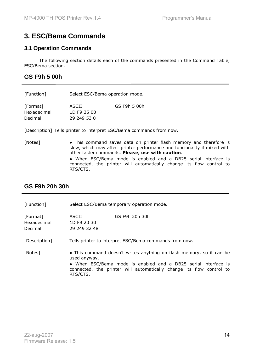# **3. ESC/Bema Commands**

#### **3.1 Operation Commands**

 The following section details each of the commands presented in the Command Table, ESC/Bema section.

# **GS F9h 5 00h**

| [Function]  | Select ESC/Bema operation mode. |              |
|-------------|---------------------------------|--------------|
| [Format]    | ASCII                           | GS F9h 5 00h |
| Hexadecimal | 1D F9 35 00                     |              |
| Decimal     | 29 249 53 0                     |              |

[Description] Tells printer to interpret ESC/Bema commands from now.

[Notes] • This command saves data on printer flash memory and therefore is slow, which may affect printer performance and funcionality if mixed with other faster commands. **Please, use with caution**.

● When ESC/Bema mode is enabled and a DB25 serial interface is connected, the printer will automatically change its flow control to RTS/CTS.

# **GS F9h 20h 30h**

[Function] Select ESC/Bema temporary operation mode.

| [Format]<br>Hexadecimal<br>Decimal | ASCII<br>1D F9 20 30<br>29 249 32 48 | GS F9h 20h 30h                                         |
|------------------------------------|--------------------------------------|--------------------------------------------------------|
| [Description]                      |                                      | Tells printer to interpret ESC/Bema commands from now. |
| [Notes]                            |                                      | • This command doesn't writes anything on flash memor  |

[Notes] ● This command doesn't writes anything on flash memory, so it can be used anyway.

● When ESC/Bema mode is enabled and a DB25 serial interface is connected, the printer will automatically change its flow control to RTS/CTS.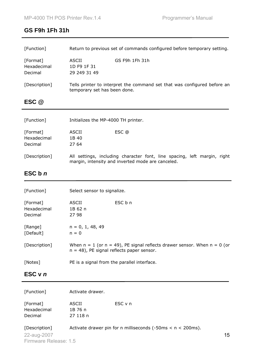# **GS F9h 1Fh 31h**

| [Function]                         | Return to previous set of commands configured before temporary setting.                                                        |
|------------------------------------|--------------------------------------------------------------------------------------------------------------------------------|
| [Format]<br>Hexadecimal<br>Decimal | <b>ASCII</b><br>GS F9h 1Fh 31h<br>1D F9 1F 31<br>29 249 31 49                                                                  |
| [Description]                      | Tells printer to interpret the command set that was configured before an<br>temporary set has been done.                       |
| ESC @                              |                                                                                                                                |
| [Function]                         | Initializes the MP-4000 TH printer.                                                                                            |
| [Format]<br>Hexadecimal<br>Decimal | <b>ASCII</b><br>ESC @<br>1B 40<br>27 64                                                                                        |
| [Description]                      | All settings, including character font, line spacing, left margin, right<br>margin, intensity and inverted mode are canceled.  |
| ESC b n                            |                                                                                                                                |
| [Function]                         | Select sensor to signalize.                                                                                                    |
|                                    |                                                                                                                                |
| [Format]<br>Hexadecimal<br>Decimal | ESC b n<br><b>ASCII</b><br>1B 62 n<br>27 98                                                                                    |
| [Range]<br>[Default]               | $n = 0, 1, 48, 49$<br>$n = 0$                                                                                                  |
| [Description]                      | $n = 48$ ), PE signal reflects paper sensor.                                                                                   |
| [Notes]                            | When $n = 1$ (or $n = 49$ ), PE signal reflects drawer sensor. When $n = 0$ (or<br>PE is a signal from the parallel interface. |
| ESC v n                            |                                                                                                                                |

[Function] Activate drawer.

| [Format]    | ASCII    | ESC v n |
|-------------|----------|---------|
| Hexadecimal | 1B 76 n  |         |
| Decimal     | 27 118 n |         |

[Description] Activate drawer pin for n milliseconds (-50ms < n < 200ms).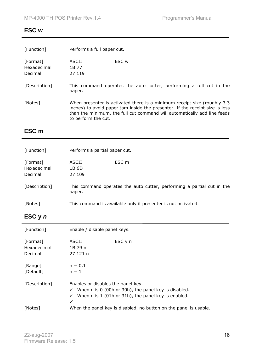# **ESC w**

| [Function]                         | Performs a full paper cut.                                                                                                                                                                                                                                   |
|------------------------------------|--------------------------------------------------------------------------------------------------------------------------------------------------------------------------------------------------------------------------------------------------------------|
| [Format]<br>Hexadecimal<br>Decimal | ESC w<br>ASCII<br>1B 77<br>27 119                                                                                                                                                                                                                            |
| [Description]                      | This command operates the auto cutter, performing a full cut in the<br>paper.                                                                                                                                                                                |
| [Notes]                            | When presenter is activated there is a minimum receipt size (roughly 3.3)<br>inches) to avoid paper jam inside the presenter. If the receipt size is less<br>than the minimum, the full cut command will automatically add line feeds<br>to perform the cut. |
| ESC m                              |                                                                                                                                                                                                                                                              |

| [Function]                         | Performs a partial paper cut.                                                    |
|------------------------------------|----------------------------------------------------------------------------------|
| [Format]<br>Hexadecimal<br>Decimal | ASCII<br>ESC m<br>1B 6D<br>27 109                                                |
| [Description]                      | This command operates the auto cutter, performing a partial cut in the<br>paper. |
| [Notes]                            | This command is available only if presenter is not activated.                    |

# **ESC y** *n*

| [Function]                         | Enable / disable panel keys.                                                                                                                                                     |
|------------------------------------|----------------------------------------------------------------------------------------------------------------------------------------------------------------------------------|
| [Format]<br>Hexadecimal<br>Decimal | ASCII<br>ESC y n<br>1B 79 n<br>27121n                                                                                                                                            |
| [Range]<br>[Default]               | $n = 0,1$<br>$n = 1$                                                                                                                                                             |
| [Description]                      | Enables or disables the panel key.<br>$\checkmark$ When n is 0 (00h or 30h), the panel key is disabled.<br>$\checkmark$ When n is 1 (01h or 31h), the panel key is enabled.<br>✓ |
| [Notes]                            | When the panel key is disabled, no button on the panel is usable.                                                                                                                |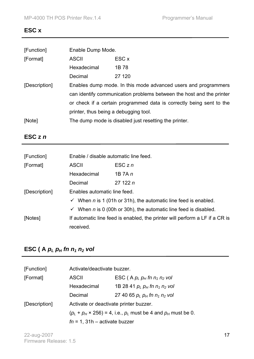#### **ESC x**

| Enable Dump Mode.                                                               |                                                                      |  |
|---------------------------------------------------------------------------------|----------------------------------------------------------------------|--|
| <b>ASCII</b>                                                                    | ESC x                                                                |  |
| Hexadecimal                                                                     | 1B 78                                                                |  |
| Decimal                                                                         | 27 120                                                               |  |
| Enables dump mode. In this mode advanced users and programmers<br>[Description] |                                                                      |  |
|                                                                                 | can identify communication problems between the host and the printer |  |
| or check if a certain programmed data is correctly being sent to the            |                                                                      |  |
| printer, thus being a debugging tool.                                           |                                                                      |  |
| The dump mode is disabled just resetting the printer.                           |                                                                      |  |
|                                                                                 |                                                                      |  |

# **ESC z** *n*

| [Function]    | Enable / disable automatic line feed.                                                    |                                                                                   |
|---------------|------------------------------------------------------------------------------------------|-----------------------------------------------------------------------------------|
| [Format]      | <b>ASCII</b>                                                                             | $\mathsf{ESCz}\,n$                                                                |
|               | Hexadecimal                                                                              | 1B 7A n                                                                           |
|               | Decimal                                                                                  | 27122n                                                                            |
| [Description] | Enables automatic line feed.                                                             |                                                                                   |
|               |                                                                                          | $\checkmark$ When <i>n</i> is 1 (01h or 31h), the automatic line feed is enabled. |
|               |                                                                                          | $\checkmark$ When n is 0 (00h or 30h), the automatic line feed is disabled.       |
| [Notes]       | If automatic line feed is enabled, the printer will perform a LF if a CR is<br>received. |                                                                                   |
|               |                                                                                          |                                                                                   |

# **ESC** ( A  $p_L p_H$  fn  $n_1 n_2$  vol

| [Function]    | Activate/deactivate buzzer.                                               |                                     |
|---------------|---------------------------------------------------------------------------|-------------------------------------|
| [Format]      | <b>ASCII</b>                                                              | ESC (A $p_L p_H$ fn $n_1 n_2$ vol   |
|               | Hexadecimal                                                               | 1B 28 41 $p_L p_H$ fn $n_1 n_2$ vol |
|               | Decimal                                                                   | 27 40 65 $p_L p_H$ fn $n_1 n_2$ vol |
| [Description] | Activate or deactivate printer buzzer.                                    |                                     |
|               | $(p_L + p_H \times 256) = 4$ , i.e., $p_L$ must be 4 and $p_H$ must be 0. |                                     |
|               | $fn = 1$ , 31h – activate buzzer                                          |                                     |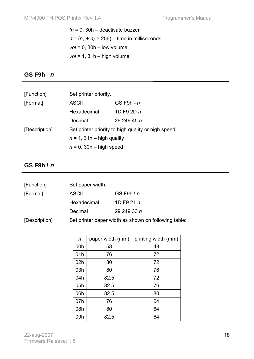*fn* = 0, 30h – deactivate buzzer  $n = (n_1 + n_2 \times 256) -$  time in milliseconds *vol* = 0, 30h – low volume *vol* = 1, 31h – high volume

# **GS F9h -** *n*

| [Function]    | Set printer priority.        |                                                     |  |
|---------------|------------------------------|-----------------------------------------------------|--|
| [Format]      | <b>ASCII</b>                 | GS F9h - $n$                                        |  |
|               | Hexadecimal                  | 1D F9 2D $n$                                        |  |
|               | Decimal                      | 29 249 45 n                                         |  |
| [Description] |                              | Set printer priority to high quality or high speed. |  |
|               | $n = 1$ , 31h – high quality |                                                     |  |
|               | $n = 0$ , 30h – high speed   |                                                     |  |

#### **GS F9h !** *n*

| [Function]    | Set paper width. |                                                      |
|---------------|------------------|------------------------------------------------------|
| [Format]      | <b>ASCII</b>     | GS F9h! $n$                                          |
|               | Hexadecimal      | 1D F9 21 $n$                                         |
|               | Decimal          | 29 249 33 $n$                                        |
| [Description] |                  | Set printer paper width as shown on following table: |

| n   | paper width (mm) | printing width (mm) |
|-----|------------------|---------------------|
| 00h | 58               | 48                  |
| 01h | 76               | 72                  |
| 02h | 80               | 72                  |
| 03h | 80               | 76                  |
| 04h | 82.5             | 72                  |
| 05h | 82.5             | 76                  |
| 06h | 82.5             | 80                  |
| 07h | 76               | 64                  |
| 08h | 80               | 64                  |
| 09h | 82.5             | 64                  |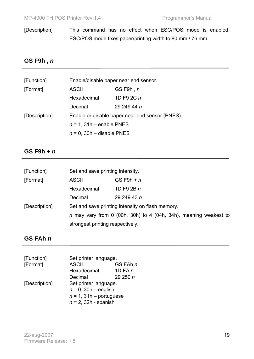[Description] This command has no effect when ESC/POS mode is enabled. ESC/POS mode fixes paper/printing width to 80 mm / 76 mm.

# **GS F9h ,** *n*

| [Function]    | Enable/disable paper near end sensor.           |              |  |
|---------------|-------------------------------------------------|--------------|--|
| [Format]      | <b>ASCII</b>                                    | GSF9h, n     |  |
|               | Hexadecimal                                     | 1D F9 2C $n$ |  |
|               | Decimal                                         | 29 249 44 n  |  |
| [Description] | Enable or disable paper near end sensor (PNES). |              |  |
|               | $n = 1$ , 31h – enable PNES                     |              |  |
|               | $n = 0$ , 30h - disable PNES                    |              |  |

#### **GS F9h +** *n*

| [Function]                                                        |              | Set and save printing intensity.                                 |  |
|-------------------------------------------------------------------|--------------|------------------------------------------------------------------|--|
| [Format]                                                          | <b>ASCII</b> | GS F9h + $n$                                                     |  |
|                                                                   | Hexadecimal  | 1D F9 2B $n$                                                     |  |
|                                                                   | Decimal      | 29 249 43 $n$                                                    |  |
| Set and save printing intensity on flash memory.<br>[Description] |              |                                                                  |  |
|                                                                   |              | n may vary from 0 (00h, 30h) to 4 (04h, 34h), meaning weakest to |  |
|                                                                   |              | strongest printing respectively.                                 |  |

# **GS FAh** *n*

| [Function]    | Set printer language.      |            |
|---------------|----------------------------|------------|
| [Format]      | <b>ASCII</b>               | GS FAh n   |
|               | Hexadecimal                | 1D FA $n$  |
|               | Decimal                    | 29 250 $n$ |
| [Description] | Set printer language.      |            |
|               | $n = 0$ , 30h - english    |            |
|               | $n = 1$ , 31h – portuguese |            |
|               | $n = 2$ , 32h - spanish    |            |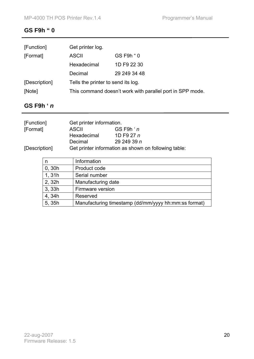# **GS F9h " 0**

| [Function]    | Get printer log.                                          |              |
|---------------|-----------------------------------------------------------|--------------|
| [Format]      | <b>ASCII</b>                                              | GS F9h " 0   |
|               | Hexadecimal                                               | 1D F9 22 30  |
|               | Decimal                                                   | 29 249 34 48 |
| [Description] | Tells the printer to send its log.                        |              |
| [Note]        | This command doesn't work with parallel port in SPP mode. |              |

# **GS F9h '** *n*

| [Function]    | Get printer information. |                                                      |
|---------------|--------------------------|------------------------------------------------------|
| [Format]      | ASCII                    | $GS$ F9h $n$                                         |
|               | Hexadecimal              | 1D F9 27 $n$                                         |
|               | Decimal                  | 29 249 39 $n$                                        |
| [Description] |                          | Get printer information as shown on following table: |

| n      | Information                                          |
|--------|------------------------------------------------------|
| 0, 30h | Product code                                         |
| 1,31h  | Serial number                                        |
| 2, 32h | Manufacturing date                                   |
| 3, 33h | Firmware version                                     |
| 4,34h  | Reserved                                             |
| 5, 35h | Manufacturing timestamp (dd/mm/yyyy hh:mm:ss format) |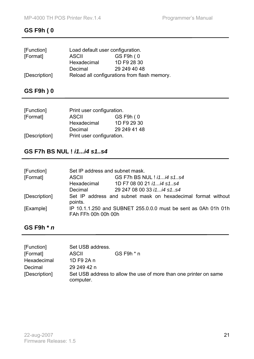# **GS F9h ( 0**

| [Function]    | Load default user configuration.             |              |
|---------------|----------------------------------------------|--------------|
| [Format]      | <b>ASCII</b>                                 | GS F9h (0    |
|               | Hexadecimal                                  | 1D F9 28 30  |
|               | Decimal                                      | 29 249 40 48 |
| [Description] | Reload all configurations from flash memory. |              |

**GS F9h ) 0** 

| [Function]    | Print user configuration. |              |
|---------------|---------------------------|--------------|
| [Format]      | <b>ASCII</b>              | GS F9h (0    |
|               | Hexadecimal               | 1D F9 29 30  |
|               | Decimal                   | 29 249 41 48 |
| [Description] | Print user configuration. |              |

# **GS F7h BS NUL !** *i1...i4 s1..s4*

| [Function]    | Set IP address and subnet mask. |                                                                |
|---------------|---------------------------------|----------------------------------------------------------------|
| [Format]      | <b>ASCII</b>                    | GS F7h BS NUL ! <i>i1i4 s1s4</i>                               |
|               | Hexadecimal                     | 1D F7 08 00 21 <i>i1i4 s1s4</i>                                |
|               | Decimal                         | 29 247 08 00 33 <i>i1 i4 s1s4</i>                              |
| [Description] | points.                         | Set IP address and subnet mask on hexadecimal format without   |
| [Example]     | FAh FFh 00h 00h 00h             | IP 10.1.1.250 and SUBNET 255.0.0.0 must be sent as 0Ah 01h 01h |

# **GS F9h \*** *n*

| [Function]    | Set USB address. |                                                                   |
|---------------|------------------|-------------------------------------------------------------------|
| [Format]      | <b>ASCII</b>     | $GS$ F9h $*$ n                                                    |
| Hexadecimal   | 1D F9 2A n       |                                                                   |
| Decimal       | 29 249 42 n      |                                                                   |
| [Description] | computer.        | Set USB address to allow the use of more than one printer on same |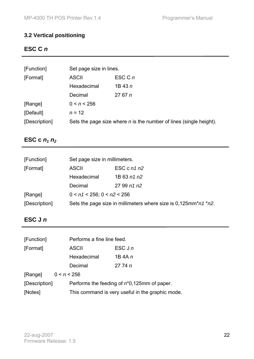# **3.2 Vertical positioning**

# **ESC C** *n*

| [Function]    | Set page size in lines.                                              |                             |  |
|---------------|----------------------------------------------------------------------|-----------------------------|--|
| [Format]      | <b>ASCII</b>                                                         | $\mathsf{ESC} \mathsf{C}$ n |  |
|               | Hexadecimal                                                          | $1B$ 43 $n$                 |  |
|               | Decimal                                                              | 2767n                       |  |
| [Range]       | 0 < n < 256                                                          |                             |  |
| [Default]     | $n = 12$                                                             |                             |  |
| [Description] | Sets the page size where $n$ is the number of lines (single height). |                             |  |

# **ESC c**  $n_1 n_2$

| [Function]    | Set page size in millimeters.                                             |               |  |
|---------------|---------------------------------------------------------------------------|---------------|--|
| [Format]      | <b>ASCII</b>                                                              | ESC c $n1 n2$ |  |
|               | Hexadecimal                                                               | 1B 63 n1 n2   |  |
|               | Decimal                                                                   | 2799n1n2      |  |
| [Range]       | $0 < n1 < 256$ ; $0 < n2 < 256$                                           |               |  |
| [Description] | Sets the page size in millimeters where size is $0,125$ mm* $n1$ * $n2$ . |               |  |

# **ESC J** *n*

| [Function]    |             | Performs a fine line feed.                       |                    |
|---------------|-------------|--------------------------------------------------|--------------------|
| [Format]      |             | <b>ASCII</b>                                     | $\mathsf{ESC}$ J n |
|               |             | Hexadecimal                                      | 1B 4A $n$          |
|               |             | Decimal                                          | 2774n              |
| [Range]       | 0 < n < 256 |                                                  |                    |
| [Description] |             | Performs the feeding of $n*0,125$ mm of paper.   |                    |
| [Notes]       |             | This command is very useful in the graphic mode. |                    |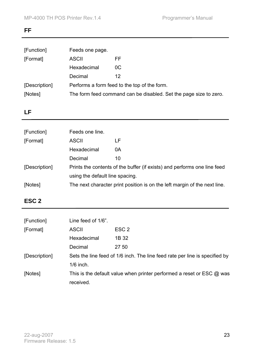# **FF**

| [Function]    | Feeds one page.                                                   |     |
|---------------|-------------------------------------------------------------------|-----|
| [Format]      | <b>ASCII</b>                                                      | FF. |
|               | Hexadecimal                                                       | OC. |
|               | Decimal                                                           | 12  |
| [Description] | Performs a form feed to the top of the form.                      |     |
| [Notes]       | The form feed command can be disabled. Set the page size to zero. |     |

# **LF**

| [Function]    | Feeds one line.                                                           |    |
|---------------|---------------------------------------------------------------------------|----|
| [Format]      | <b>ASCII</b>                                                              | LF |
|               | Hexadecimal                                                               | 0A |
|               | Decimal                                                                   | 10 |
| [Description] | Prints the contents of the buffer (if exists) and performs one line feed  |    |
|               | using the default line spacing.                                           |    |
| [Notes]       | The next character print position is on the left margin of the next line. |    |

# **ESC 2**

| [Function]    | Line feed of 1/6".                                                          |                  |
|---------------|-----------------------------------------------------------------------------|------------------|
| [Format]      | <b>ASCII</b>                                                                | ESC <sub>2</sub> |
|               | Hexadecimal                                                                 | 1B 32            |
|               | Decimal                                                                     | 27 50            |
| [Description] | Sets the line feed of 1/6 inch. The line feed rate per line is specified by |                  |
|               | $1/6$ inch.                                                                 |                  |
| [Notes]       | This is the default value when printer performed a reset or ESC @ was       |                  |
|               | received.                                                                   |                  |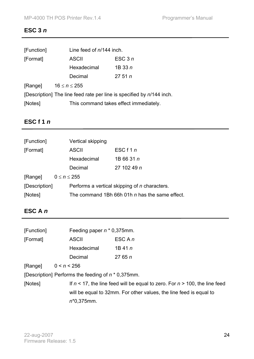# **ESC 3** *n*

| [Function] | Line feed of n/144 inch.                                              |          |  |
|------------|-----------------------------------------------------------------------|----------|--|
| [Format]   | <b>ASCII</b>                                                          | ESC $3n$ |  |
|            | Hexadecimal                                                           | 1B33n    |  |
|            | Decimal                                                               | 2751n    |  |
| [Range]    | $16 \le n \le 255$                                                    |          |  |
|            | [Description] The line feed rate per line is specified by n/144 inch. |          |  |
| [Notes]    | This command takes effect immediately.                                |          |  |

# **ESC f 1** *n*

| [Function]    |                     | Vertical skipping |                                                      |
|---------------|---------------------|-------------------|------------------------------------------------------|
| [Format]      |                     | <b>ASCII</b>      | ESC $f1n$                                            |
|               |                     | Hexadecimal       | 1B 66 31 n                                           |
|               |                     | Decimal           | 27 102 49 n                                          |
| [Range]       | $0 \leq n \leq 255$ |                   |                                                      |
| [Description] |                     |                   | Performs a vertical skipping of <i>n</i> characters. |
| [Notes]       |                     |                   | The command 1Bh 66h 01h n has the same effect.       |

# **ESC A** *n*

| [Function] |                                                       | Feeding paper $n * 0,375$ mm.                                                    |  |  |
|------------|-------------------------------------------------------|----------------------------------------------------------------------------------|--|--|
| [Format]   | <b>ASCII</b>                                          | ESC A n                                                                          |  |  |
|            | Hexadecimal                                           | $1B$ 41 $n$                                                                      |  |  |
|            | Decimal                                               | 2765n                                                                            |  |  |
| [Range]    | 0 < n < 256                                           |                                                                                  |  |  |
|            | [Description] Performs the feeding of $n * 0,375$ mm. |                                                                                  |  |  |
| [Notes]    |                                                       | If $n < 17$ , the line feed will be equal to zero. For $n > 100$ , the line feed |  |  |
|            |                                                       | will be equal to 32mm. For other values, the line feed is equal to               |  |  |
|            | $n*0,375$ mm.                                         |                                                                                  |  |  |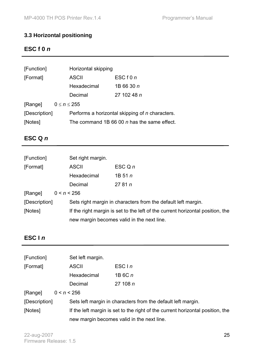# **3.3 Horizontal positioning**

# **ESC f 0** *n*

| [Function]    | Horizontal skipping                                    |                    |  |
|---------------|--------------------------------------------------------|--------------------|--|
| [Format]      | ASCII                                                  | ESCf0n             |  |
|               | Hexadecimal                                            | 1B 66 30 n         |  |
|               | Decimal                                                | 27 102 48 <i>n</i> |  |
| [Range]       | $0 \leq n \leq 255$                                    |                    |  |
| [Description] | Performs a horizontal skipping of <i>n</i> characters. |                    |  |
| [Notes]       | The command 1B 66 00 <i>n</i> has the same effect.     |                    |  |

# **ESC Q** *n*

| [Function]    |             | Set right margin.                                                              |                                                               |
|---------------|-------------|--------------------------------------------------------------------------------|---------------------------------------------------------------|
| [Format]      |             | <b>ASCII</b>                                                                   | $\mathsf{ESC} \mathsf{Q} n$                                   |
|               |             | Hexadecimal                                                                    | 1B 51 $n$                                                     |
|               |             | Decimal                                                                        | 2781n                                                         |
| [Range]       | 0 < n < 256 |                                                                                |                                                               |
| [Description] |             |                                                                                | Sets right margin in characters from the default left margin. |
| [Notes]       |             | If the right margin is set to the left of the current horizontal position, the |                                                               |
|               |             | new margin becomes valid in the next line.                                     |                                                               |

# **ESC I** *n*

| [Function]    |             | Set left margin.                                                               |                                                              |
|---------------|-------------|--------------------------------------------------------------------------------|--------------------------------------------------------------|
| [Format]      |             | <b>ASCII</b>                                                                   | ESC $\ln$                                                    |
|               |             | Hexadecimal                                                                    | 1B 6C n                                                      |
|               |             | Decimal                                                                        | 27 108 $n$                                                   |
| [Range]       | 0 < n < 256 |                                                                                |                                                              |
| [Description] |             |                                                                                | Sets left margin in characters from the default left margin. |
| [Notes]       |             | If the left margin is set to the right of the current horizontal position, the |                                                              |
|               |             | new margin becomes valid in the next line.                                     |                                                              |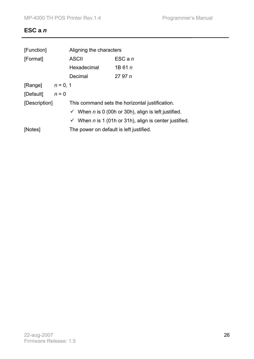# **ESC a** *n*

| [Function]         |         | Aligning the characters                                                |                    |  |
|--------------------|---------|------------------------------------------------------------------------|--------------------|--|
| [Format]           |         | <b>ASCII</b>                                                           | $\mathsf{ESC}$ a n |  |
|                    |         | Hexadecimal                                                            | 1B 61 $n$          |  |
|                    |         | Decimal                                                                | 2797n              |  |
| [Range] $n = 0, 1$ |         |                                                                        |                    |  |
| [Default]          | $n = 0$ |                                                                        |                    |  |
| [Description]      |         | This command sets the horizontal justification.                        |                    |  |
|                    |         | $\checkmark$ When <i>n</i> is 0 (00h or 30h), align is left justified. |                    |  |
|                    |         | $\checkmark$ When n is 1 (01h or 31h), align is center justified.      |                    |  |
| [Notes]            |         | The power on default is left justified.                                |                    |  |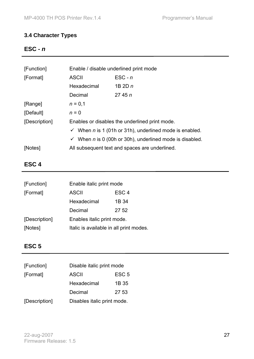# **3.4 Character Types**

# **ESC -** *n*

| [Function]    | Enable / disable underlined print mode                                    |                    |  |
|---------------|---------------------------------------------------------------------------|--------------------|--|
| [Format]      | <b>ASCII</b>                                                              | $\mathsf{ESC}$ - n |  |
|               | Hexadecimal                                                               | 1B 2D $n$          |  |
|               | Decimal                                                                   | 2745n              |  |
| [Range]       | $n = 0,1$                                                                 |                    |  |
| [Default]     | $n = 0$                                                                   |                    |  |
| [Description] | Enables or disables the underlined print mode.                            |                    |  |
|               | $\checkmark$ When <i>n</i> is 1 (01h or 31h), underlined mode is enabled. |                    |  |
|               | When n is 0 (00h or 30h), underlined mode is disabled.<br>$\checkmark$    |                    |  |
| [Notes]       | All subsequent text and spaces are underlined.                            |                    |  |

# **ESC 4**

| [Function]    | Enable italic print mode                |       |  |
|---------------|-----------------------------------------|-------|--|
| [Format]      | ESC <sub>4</sub><br><b>ASCII</b>        |       |  |
|               | Hexadecimal                             | 1B 34 |  |
|               | Decimal                                 | 27 52 |  |
| [Description] | Enables italic print mode.              |       |  |
| [Notes]       | Italic is available in all print modes. |       |  |

# **ESC 5**

| [Function]    | Disable italic print mode        |       |
|---------------|----------------------------------|-------|
| [Format]      | ESC <sub>5</sub><br><b>ASCII</b> |       |
|               | Hexadecimal                      | 1B 35 |
|               | Decimal                          | 27 53 |
| [Description] | Disables italic print mode.      |       |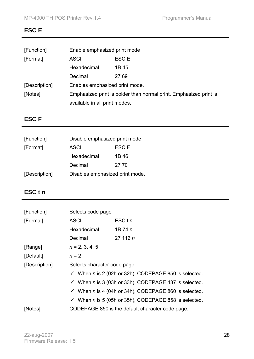# **ESC E**

| [Function]    | Enable emphasized print mode                                      |       |  |
|---------------|-------------------------------------------------------------------|-------|--|
| [Format]      | <b>ASCII</b>                                                      | ESC E |  |
|               | Hexadecimal                                                       | 1B 45 |  |
|               | Decimal                                                           | 27 69 |  |
| [Description] | Enables emphasized print mode.                                    |       |  |
| [Notes]       | Emphasized print is bolder than normal print. Emphasized print is |       |  |
|               | available in all print modes.                                     |       |  |

# **ESC F**

| [Function]    | Disable emphasized print mode   |       |
|---------------|---------------------------------|-------|
| [Format]      | ASCII<br>ESC F                  |       |
|               | Hexadecimal                     | 1B 46 |
|               | Decimal                         | 27 70 |
| [Description] | Disables emphasized print mode. |       |

# **ESC t** *n*

| [Function]    | Selects code page                                                |         |  |
|---------------|------------------------------------------------------------------|---------|--|
| [Format]      | <b>ASCII</b>                                                     | ESC t n |  |
|               | Hexadecimal                                                      | 1B 74 n |  |
|               | Decimal                                                          | 27116n  |  |
| [Range]       | $n = 2, 3, 4, 5$                                                 |         |  |
| [Default]     | $n = 2$                                                          |         |  |
| [Description] | Selects character code page.                                     |         |  |
|               | $\checkmark$ When n is 2 (02h or 32h), CODEPAGE 850 is selected. |         |  |
|               | $\checkmark$ When n is 3 (03h or 33h), CODEPAGE 437 is selected. |         |  |
|               | $\checkmark$ When n is 4 (04h or 34h), CODEPAGE 860 is selected. |         |  |
|               | $\checkmark$ When n is 5 (05h or 35h), CODEPAGE 858 is selected. |         |  |
| [Notes]       | CODEPAGE 850 is the default character code page.                 |         |  |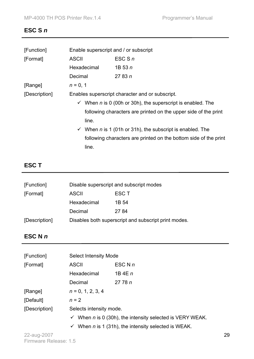# **ESC S** *n*

| [Function]    |                                                                        | Enable superscript and / or subscript                            |  |  |
|---------------|------------------------------------------------------------------------|------------------------------------------------------------------|--|--|
| [Format]      | <b>ASCII</b>                                                           | ESC S $n$                                                        |  |  |
|               | Hexadecimal                                                            | 1B 53 $n$                                                        |  |  |
|               | Decimal                                                                | 27 83 $n$                                                        |  |  |
| [Range]       | $n = 0, 1$                                                             |                                                                  |  |  |
| [Description] | Enables superscript character and or subscript.                        |                                                                  |  |  |
|               | $\checkmark$ When n is 0 (00h or 30h), the superscript is enabled. The |                                                                  |  |  |
|               |                                                                        | following characters are printed on the upper side of the print  |  |  |
|               | line.                                                                  |                                                                  |  |  |
|               |                                                                        | When $n$ is 1 (01h or 31h), the subscript is enabled. The        |  |  |
|               |                                                                        | following characters are printed on the bottom side of the print |  |  |
|               | line.                                                                  |                                                                  |  |  |

# **ESC T**

| [Function]    | Disable superscript and subscript modes              |       |  |
|---------------|------------------------------------------------------|-------|--|
| [Format]      | ESC T<br><b>ASCII</b>                                |       |  |
|               | Hexadecimal                                          | 1B 54 |  |
|               | Decimal                                              | 27 84 |  |
| [Description] | Disables both superscript and subscript print modes. |       |  |

# **ESC N** *n*

| [Function]    | <b>Select Intensity Mode</b>                                                                                                                                               |           |
|---------------|----------------------------------------------------------------------------------------------------------------------------------------------------------------------------|-----------|
| [Format]      | <b>ASCII</b>                                                                                                                                                               | ESC N $n$ |
|               | Hexadecimal                                                                                                                                                                | 1B 4E $n$ |
|               | Decimal                                                                                                                                                                    | 2778n     |
| [Range]       | $n = 0, 1, 2, 3, 4$                                                                                                                                                        |           |
| [Default]     | $n = 2$                                                                                                                                                                    |           |
| [Description] | Selects intensity mode.<br>When $n$ is 0 (30h), the intensity selected is VERY WEAK.<br>$\checkmark$<br>When n is 1 (31h), the intensity selected is WEAK.<br>$\checkmark$ |           |
|               |                                                                                                                                                                            |           |
|               |                                                                                                                                                                            |           |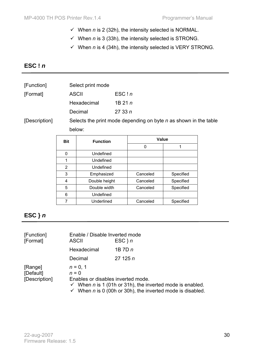- $\checkmark$  When *n* is 2 (32h), the intensity selected is NORMAL.
- $\checkmark$  When *n* is 3 (33h), the intensity selected is STRONG.
- $\checkmark$  When *n* is 4 (34h), the intensity selected is VERY STRONG.

# **ESC !** *n*

| [Function] | Select print mode |
|------------|-------------------|
|------------|-------------------|

| [Format] | ASCII       | ESC!n    |
|----------|-------------|----------|
|          | Hexadecimal | 1B $21n$ |
|          | Decimal     | 2733n    |

[Description] Selects the print mode depending on byte *n* as shown in the table below:

| <b>Bit</b> | <b>Function</b> | Value    |           |
|------------|-----------------|----------|-----------|
|            |                 | O        |           |
| 0          | Undefined       |          |           |
| 1          | Undefined       |          |           |
| 2          | Undefined       |          |           |
| 3          | Emphasized      | Canceled | Specified |
| 4          | Double height   | Canceled | Specified |
| 5          | Double width    | Canceled | Specified |
| 6          | Undefined       |          |           |
|            | Underlined      | Canceled | Specified |

# **ESC }** *n*

| [Function]<br>[Format]                | Enable / Disable Inverted mode<br><b>ASCII</b>              | $ESC$ } n                                                                                                                                                   |
|---------------------------------------|-------------------------------------------------------------|-------------------------------------------------------------------------------------------------------------------------------------------------------------|
|                                       | Hexadecimal                                                 | 1B 7D $n$                                                                                                                                                   |
|                                       | Decimal                                                     | 27125n                                                                                                                                                      |
| [Range]<br>[Default]<br>[Description] | $n = 0, 1$<br>$n = 0$<br>Enables or disables inverted mode. | $\checkmark$ When <i>n</i> is 1 (01h or 31h), the inverted mode is enabled.<br>$\checkmark$ When <i>n</i> is 0 (00h or 30h), the inverted mode is disabled. |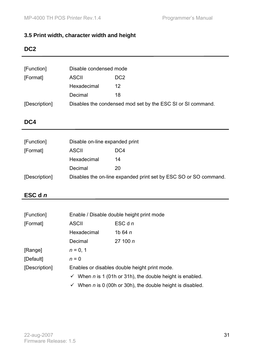# **3.5 Print width, character width and height**

#### **DC2**

| [Function]    | Disable condensed mode                                      |    |
|---------------|-------------------------------------------------------------|----|
| [Format]      | DC <sub>2</sub><br><b>ASCII</b>                             |    |
|               | Hexadecimal                                                 | 12 |
|               | Decimal                                                     | 18 |
| [Description] | Disables the condensed mod set by the ESC SI or SI command. |    |

### **DC4**

| [Function]    | Disable on-line expanded print                                   |     |
|---------------|------------------------------------------------------------------|-----|
| [Format]      | <b>ASCII</b>                                                     | DC4 |
|               | Hexadecimal                                                      | 14  |
|               | Decimal                                                          | 20  |
| [Description] | Disables the on-line expanded print set by ESC SO or SO command. |     |

# **ESC d** *n*

| [Function]    | Enable / Disable double height print mode                                 |                    |
|---------------|---------------------------------------------------------------------------|--------------------|
| [Format]      | <b>ASCII</b>                                                              | $\mathsf{ESC}$ d n |
|               | Hexadecimal                                                               | 1b 64 $n$          |
|               | Decimal                                                                   | 27100 n            |
| [Range]       | $n = 0, 1$                                                                |                    |
| [Default]     | $n = 0$                                                                   |                    |
| [Description] | Enables or disables double height print mode.                             |                    |
|               | When $n$ is 1 (01h or 31h), the double height is enabled.<br>$\checkmark$ |                    |

 $\checkmark$  When *n* is 0 (00h or 30h), the double height is disabled.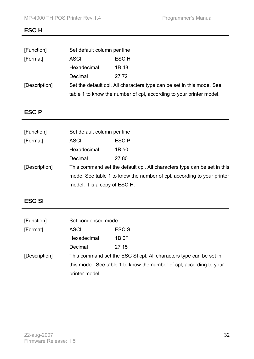#### **ESC H**

| [Function]    | Set default column per line                                           |       |
|---------------|-----------------------------------------------------------------------|-------|
| [Format]      | <b>ASCII</b>                                                          | ESC H |
|               | Hexadecimal                                                           | 1B 48 |
|               | Decimal                                                               | 27.72 |
| [Description] | Set the default cpl. All characters type can be set in this mode. See |       |
|               | table 1 to know the number of cpl, according to your printer model.   |       |

# **ESC P**

| [Function]    | Set default column per line                                              |                                                                        |
|---------------|--------------------------------------------------------------------------|------------------------------------------------------------------------|
| [Format]      | <b>ASCII</b>                                                             | ESC P                                                                  |
|               | Hexadecimal                                                              | 1B 50                                                                  |
|               | Decimal                                                                  | 27 80                                                                  |
| [Description] | This command set the default cpl. All characters type can be set in this |                                                                        |
|               |                                                                          | mode. See table 1 to know the number of cpl, according to your printer |
|               | model. It is a copy of ESC H.                                            |                                                                        |

# **ESC SI**

| [Function]    | Set condensed mode                                                  |               |
|---------------|---------------------------------------------------------------------|---------------|
| [Format]      | ASCII                                                               | <b>ESC SI</b> |
|               | Hexadecimal                                                         | 1B 0F         |
|               | Decimal                                                             | 27 15         |
| [Description] | This command set the ESC SI cpl. All characters type can be set in  |               |
|               | this mode. See table 1 to know the number of cpl, according to your |               |
|               | printer model.                                                      |               |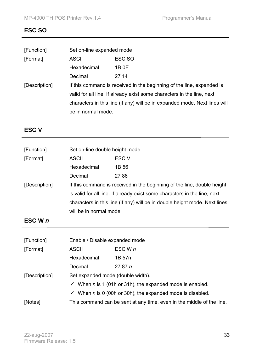#### **ESC SO**

| [Function]    | Set on-line expanded mode                                                  |        |
|---------------|----------------------------------------------------------------------------|--------|
| [Format]      | <b>ASCII</b>                                                               | ESC SO |
|               | Hexadecimal                                                                | 1B 0E  |
|               | Decimal                                                                    | 27 14  |
| [Description] | If this command is received in the beginning of the line, expanded is      |        |
|               | valid for all line. If already exist some characters in the line, next     |        |
|               | characters in this line (if any) will be in expanded mode. Next lines will |        |
|               | be in normal mode.                                                         |        |

# **ESC V**

| [Function]    | Set on-line double height mode                                             |                  |
|---------------|----------------------------------------------------------------------------|------------------|
| [Format]      | <b>ASCII</b>                                                               | ESC <sub>V</sub> |
|               | Hexadecimal                                                                | 1B 56            |
|               | Decimal                                                                    | 27 86            |
| [Description] | If this command is received in the beginning of the line, double height    |                  |
|               | is valid for all line. If already exist some characters in the line, next  |                  |
|               | characters in this line (if any) will be in double height mode. Next lines |                  |
|               | will be in normal mode.                                                    |                  |
|               |                                                                            |                  |

# **ESC W** *n*

| [Function]    | Enable / Disable expanded mode                                               |                                                                             |  |
|---------------|------------------------------------------------------------------------------|-----------------------------------------------------------------------------|--|
| [Format]      | <b>ASCII</b>                                                                 | $\mathsf{ESC} \mathsf{W} \mathsf{n}$                                        |  |
|               | Hexadecimal                                                                  | 1B 57n                                                                      |  |
|               | Decimal                                                                      | 2787n                                                                       |  |
| [Description] | Set expanded mode (double width).                                            |                                                                             |  |
|               |                                                                              | $\checkmark$ When <i>n</i> is 1 (01h or 31h), the expanded mode is enabled. |  |
|               | $\checkmark$ When <i>n</i> is 0 (00h or 30h), the expanded mode is disabled. |                                                                             |  |
| [Notes]       | This command can be sent at any time, even in the middle of the line.        |                                                                             |  |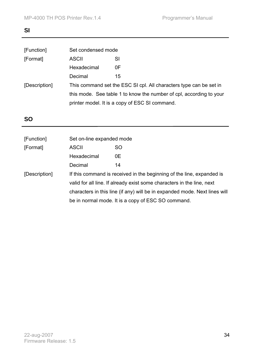# **SI**

| [Function]                                                                          | Set condensed mode                                                  |    |
|-------------------------------------------------------------------------------------|---------------------------------------------------------------------|----|
| [Format]                                                                            | <b>ASCII</b>                                                        | SI |
|                                                                                     | Hexadecimal                                                         | 0F |
|                                                                                     | Decimal                                                             | 15 |
| This command set the ESC SI cpl. All characters type can be set in<br>[Description] |                                                                     |    |
|                                                                                     | this mode. See table 1 to know the number of cpl, according to your |    |
|                                                                                     | printer model. It is a copy of ESC SI command.                      |    |
|                                                                                     |                                                                     |    |

# **SO**

| [Function]    | Set on-line expanded mode                                                  |                                                    |  |
|---------------|----------------------------------------------------------------------------|----------------------------------------------------|--|
| [Format]      | <b>ASCII</b>                                                               | <b>SO</b>                                          |  |
|               | Hexadecimal                                                                | 0E                                                 |  |
|               | Decimal                                                                    | 14                                                 |  |
| [Description] | If this command is received in the beginning of the line, expanded is      |                                                    |  |
|               | valid for all line. If already exist some characters in the line, next     |                                                    |  |
|               | characters in this line (if any) will be in expanded mode. Next lines will |                                                    |  |
|               |                                                                            | be in normal mode. It is a copy of ESC SO command. |  |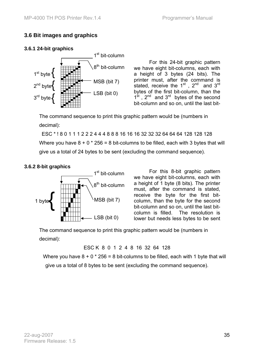#### **3.6 Bit images and graphics**

#### **3.6.1 24-bit graphics**



For this 24-bit graphic pattern we have eight bit-columns, each with a height of 3 bytes (24 bits). The printer must, after the command is stated, receive the  $1^{st}$ ,  $2^{nd}$  and  $3^{rd}$ bytes of the first bit-column, than the  $1<sup>st</sup>$ ,  $2<sup>nd</sup>$  and  $3<sup>rd</sup>$  bytes of the second bit-column and so on, until the last bit-

The command sequence to print this graphic pattern would be (numbers in decimal):

ESC \* ! 8 0 1 1 1 2 2 2 4 4 4 8 8 8 16 16 16 32 32 32 64 64 64 128 128 128 Where you have  $8 + 0 * 256 = 8$  bit-columns to be filled, each with 3 bytes that will give us a total of 24 bytes to be sent (excluding the command sequence).

#### **3.6.2 8-bit graphics**



For this 8-bit graphic pattern we have eight bit-columns, each with a height of 1 byte (8 bits). The printer must, after the command is stated, receive the byte for the first bitcolumn, than the byte for the second bit-column and so on, until the last bitcolumn is filled. The resolution is lower but needs less bytes to be sent

The command sequence to print this graphic pattern would be (numbers in decimal):

ESC K 8 0 1 2 4 8 16 32 64 128

Where you have  $8 + 0 * 256 = 8$  bit-columns to be filled, each with 1 byte that will give us a total of 8 bytes to be sent (excluding the command sequence).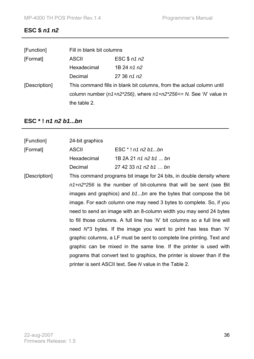# **ESC \$** *n1 n2*

| [Function]    | Fill in blank bit columns                                                 |              |
|---------------|---------------------------------------------------------------------------|--------------|
| [Format]      | <b>ASCII</b>                                                              | ESC $$n1 n2$ |
|               | Hexadecimal                                                               | 1B 24 n1 n2  |
|               | Decimal                                                                   | 2736n1n2     |
| [Description] | This command fills in blank bit columns, from the actual column until     |              |
|               | column number ( $n1+n2*256$ ), where $n1+n2*256 \le N$ . See 'N' value in |              |
|               | the table 2.                                                              |              |

# **ESC \* !** *n1 n2 b1***...***bn*

| [Function]    | 24-bit graphics                                                      |                                                                                              |  |
|---------------|----------------------------------------------------------------------|----------------------------------------------------------------------------------------------|--|
| [Format]      | <b>ASCII</b>                                                         | $ESC * ! n1 n2 b1bn$                                                                         |  |
|               | Hexadecimal                                                          | 1B 2A 21 n1 n2 b1  bn                                                                        |  |
|               | Decimal                                                              | 27 42 33 n1 n2 b1  bn                                                                        |  |
| [Description] | This command programs bit image for 24 bits, in double density where |                                                                                              |  |
|               |                                                                      | $n1+n2*256$ is the number of bit-columns that will be sent (see Bit                          |  |
|               | images and graphics) and b1bn are the bytes that compose the bit     |                                                                                              |  |
|               | image. For each column one may need 3 bytes to complete. So, if you  |                                                                                              |  |
|               | need to send an image with an 8-column width you may send 24 bytes   |                                                                                              |  |
|               |                                                                      | to fill those columns. A full line has 'N' bit columns so a full line will                   |  |
|               |                                                                      | need $\mathcal{N}^*$ 3 bytes. If the image you want to print has less than ' $\mathcal{N}$ ' |  |
|               |                                                                      | graphic columns, a LF must be sent to complete line printing. Text and                       |  |
|               |                                                                      | graphic can be mixed in the same line. If the printer is used with                           |  |
|               |                                                                      | pograms that convert text to graphics, the printer is slower than if the                     |  |
|               |                                                                      | printer is sent ASCII text. See N value in the Table 2.                                      |  |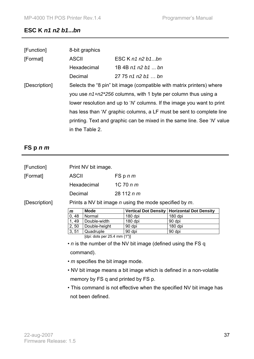### **ESC K** *n1 n2 b1***...***bn*

| [Function]    | 8-bit graphics                                                                 |                    |  |  |  |
|---------------|--------------------------------------------------------------------------------|--------------------|--|--|--|
| [Format]      | <b>ASCII</b>                                                                   | ESC $K$ n1 n2 b1bn |  |  |  |
|               | Hexadecimal                                                                    | 1B 4B n1 n2 b1  bn |  |  |  |
|               | Decimal                                                                        | 2775n1n2b1bn       |  |  |  |
| [Description] | Selects the "8 pin" bit image (compatible with matrix printers) where          |                    |  |  |  |
|               | you use $n1+n2*256$ columns, with 1 byte per column thus using a               |                    |  |  |  |
|               | lower resolution and up to 'N columns. If the image you want to print          |                    |  |  |  |
|               | has less than ' <i>N</i> ' graphic columns, a LF must be sent to complete line |                    |  |  |  |
|               | printing. Text and graphic can be mixed in the same line. See 'N' value        |                    |  |  |  |
|               | in the Table 2.                                                                |                    |  |  |  |

### **FS p** *n m*

| [Function]    | Print NV bit image.                                                  |                                     |               |                                                             |                               |  |  |
|---------------|----------------------------------------------------------------------|-------------------------------------|---------------|-------------------------------------------------------------|-------------------------------|--|--|
| [Format]      | <b>ASCII</b>                                                         |                                     |               | FSpnm                                                       |                               |  |  |
|               |                                                                      | Hexadecimal                         | $1C$ 70 $n m$ |                                                             |                               |  |  |
|               | Decimal                                                              |                                     |               | 28 112 $n m$                                                |                               |  |  |
| [Description] |                                                                      |                                     |               | Prints a NV bit image $n$ using the mode specified by $m$ . |                               |  |  |
|               | m                                                                    | <b>Mode</b>                         |               | <b>Vertical Dot Density</b>                                 | <b>Horizontal Dot Density</b> |  |  |
|               | 0,48                                                                 | Normal                              |               | 180 dpi                                                     | 180 dpi                       |  |  |
|               | 1, 49                                                                | Double-width                        |               | 180 dpi                                                     | 90 dpi                        |  |  |
|               | 2, 50                                                                | Double-height                       |               | 90 dpi                                                      | 180 dpi                       |  |  |
|               | 3, 51                                                                | Quadruple                           |               | 90 dpi                                                      | 90 dpi                        |  |  |
|               |                                                                      | [dpi: dots per $25.4$ mm $\{1"\}$ ] |               |                                                             |                               |  |  |
|               | • <i>n</i> is the number of the NV bit image (defined using the FS q |                                     |               |                                                             |                               |  |  |
|               | command).                                                            |                                     |               |                                                             |                               |  |  |
|               | • <i>m</i> specifies the bit image mode.                             |                                     |               |                                                             |                               |  |  |

- NV bit image means a bit image which is defined in a non-volatile memory by FS q and printed by FS p.
- This command is not effective when the specified NV bit image has not been defined.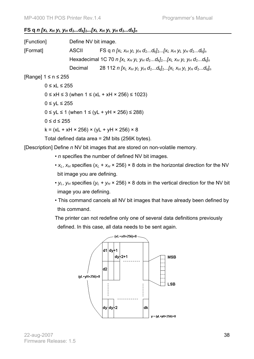### **FS q n [x**<sub>L</sub>  $x_H$   $y_L$   $y_H$   $d_1...d_k$ ]<sub>1</sub>...[x<sub>L</sub>  $x_H$   $y_L$   $y_H$   $d_1...d_k$ ]<sub>n</sub>

[Function] Define NV bit image.  $[Format]$  ASCII FS q  $n$   $[x_l$   $x_H$   $y_l$   $y_H$   $d_1...d_k$ ]<sub>1</sub>... $[x_l$   $x_H$   $y_l$   $y_H$   $d_1...d_k]_n$ Hexadecimal 1C 70 *n [xL xH yL yH d1...dk]1...[xL xH yL yH d1...dk]n* Decimal 28 112 *n [xL xH yL yH d1...dk]1...[xL xH yL yH d1...dk]n*  [Range] 1 ≤ n ≤ 255 0 ≤ xL ≤ 255  $0 \le xH \le 3$  (when  $1 \le (xL + xH \times 256) \le 1023$ )  $0 \leq vL \leq 255$  $0 \le yL \le 1$  (when  $1 \le (yL + yH \times 256) \le 288$ )  $0 \le d \le 255$  $k = (xL + xH \times 256) \times (yL + yH \times 256) \times 8$ Total defined data area = 2M bits (256K bytes).

[Description] Define *n* NV bit images that are stored on non-volatile memory.

- *n* specifies the number of defined NV bit images.
- $x_L$ ,  $x_H$  specifies  $(x_L + x_H \times 256) \times 8$  dots in the horizontal direction for the NV bit image you are defining.
- $v_1$ ,  $v_H$  specifies ( $v_1 + v_H \times 256$ ) × 8 dots in the vertical direction for the NV bit image you are defining.
- This command cancels all NV bit images that have already been defined by this command.

The printer can not redefine only one of several data definitions previously defined. In this case, all data needs to be sent again.



22-aug-2007 Firmware Release: 1.5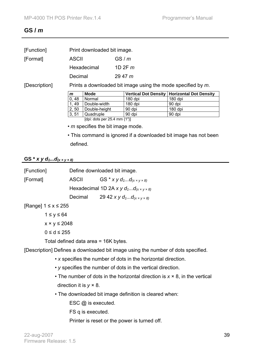### **GS /** *m*

| [Function]    | Print downloaded bit image. |                              |                                                              |                               |  |  |  |
|---------------|-----------------------------|------------------------------|--------------------------------------------------------------|-------------------------------|--|--|--|
| [Format]      | <b>ASCII</b>                |                              | GS/m                                                         |                               |  |  |  |
|               | Hexadecimal                 |                              | 1D 2F $m$                                                    |                               |  |  |  |
|               | Decimal                     |                              | 2947 m                                                       |                               |  |  |  |
| [Description] |                             |                              | Prints a downloaded bit image using the mode specified by m. |                               |  |  |  |
|               |                             |                              |                                                              |                               |  |  |  |
|               | m                           | <b>Mode</b>                  | <b>Vertical Dot Density</b>                                  | <b>Horizontal Dot Density</b> |  |  |  |
|               | 0,48                        | Normal                       | 180 dpi                                                      | 180 dpi                       |  |  |  |
|               | 1,49                        | Double-width                 | 180 dpi                                                      | 90 dpi                        |  |  |  |
|               | 2, 50                       | Double-height                | 90 dpi                                                       | 180 dpi                       |  |  |  |
|               | 3, 51                       | Quadruple                    | 90 dpi                                                       | 90 dpi                        |  |  |  |
|               |                             | [dpi: dots per 25.4 mm {1"}] |                                                              |                               |  |  |  |

• This command is ignored if a downloaded bit image has not been defined.

## **GS** \* *x y d*<sub>1</sub>...*d*<sub>(*x* × *y* × *8*) *m*</sub>

| [Function]                |                                      | Define downloaded bit image.                                                     |
|---------------------------|--------------------------------------|----------------------------------------------------------------------------------|
| [Format]                  | ASCII                                | GS * $xy$ $d_1d_{(x \times y \times 8)}$                                         |
|                           |                                      | Hexadecimal 1D 2A x y $d_1d_{(x \times y \times 8)}$                             |
|                           |                                      | Decimal 29 42 x y $d_1d_{(x \times y \times 8)}$                                 |
| [Range] $1 \le x \le 255$ |                                      |                                                                                  |
| $1 \le y \le 64$          |                                      |                                                                                  |
| $x \times y \le 2048$     |                                      |                                                                                  |
| $0 \le d \le 255$         |                                      |                                                                                  |
|                           | Total defined data area = 16K bytes. |                                                                                  |
|                           |                                      | [Description] Defines a downloaded bit image using the number of dots specified. |

- *x* specifies the number of dots in the horizontal direction.
- *y* specifies the number of dots in the vertical direction.
- The number of dots in the horizontal direction is *x* × 8, in the vertical direction it is *y* × 8.
- The downloaded bit image definition is cleared when:

ESC @ is executed.

FS q is executed.

Printer is reset or the power is turned off.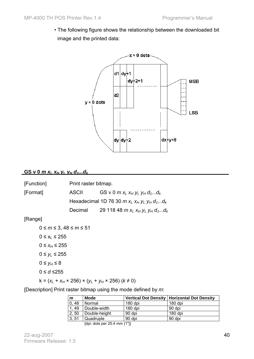• The following figure shows the relationship between the downloaded bit image and the printed data:



#### **GS v 0** *m xL xH yL yH d1...dk*

| [Function] | Print raster bitmap. |                                                 |  |  |
|------------|----------------------|-------------------------------------------------|--|--|
| [Format]   | ASCII                | GS v 0 $m x_L x_H y_L y_H d_1d_k$               |  |  |
|            |                      | Hexadecimal 1D 76 30 $m x_L x_H y_L y_H d_1d_k$ |  |  |
|            | Decimal              | 29 118 48 m $x_L x_H y_L y_H d_1d_k$            |  |  |

#### [Range]

0 ≤ *m* ≤ 3, 48 ≤ m ≤ 51  $0 \le x_L \le 255$  $0 ≤ x_H ≤ 255$  $0 ≤ y_L ≤ 255$  $0 \le y_H \le 8$ 0 ≤ *d* ≤255  $k = (x_L + x_H \times 256) \times (y_L + y_H \times 256) (k \neq 0)$ 

[Description] Print raster bitmap using the mode defined by *m*:

| Mode          |           | Vertical Dot Density   Horizontal Dot Density |
|---------------|-----------|-----------------------------------------------|
| Normal        | $180$ dpi | 180 dpi                                       |
| Double-width  | $180$ dpi | 90 dpi                                        |
| Double-height | 90 dpi    | $180$ dpi                                     |
| Quadruple     | 90 dpi    | 90 dpi                                        |
|               |           |                                               |

[dpi: dots per 25.4 mm {1"}]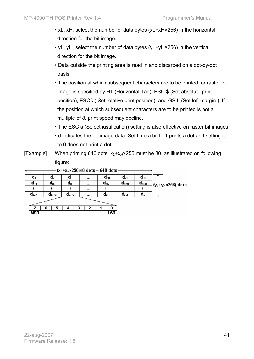- xL, xH, select the number of data bytes (xL+xH×256) in the horizontal direction for the bit image.
- yL, yH, select the number of data bytes (yL+yH×256) in the vertical direction for the bit image.
- Data outside the printing area is read in and discarded on a dot-by-dot basis.
- The position at which subsequent characters are to be printed for raster bit image is specified by HT (Horizontal Tab), ESC \$ (Set absolute print position), ESC \ ( Set relative print position), and GS L (Set left margin ). If the position at which subsequent characters are to be printed is not a multiple of 8, print speed may decline.
- The ESC a (Select justification) setting is also effective on raster bit images.
- d indicates the bit-image data. Set time a bit to 1 prints a dot and setting it to 0 does not print a dot.
- [Example] When printing 640 dots,  $x_l + x_H \times 256$  must be 80, as illustrated on following figure:

| k          |                     |                  |          | $(x_i + x_i \times 256) \times 8$ dots = 640 dots |                         |                     |                                             |
|------------|---------------------|------------------|----------|---------------------------------------------------|-------------------------|---------------------|---------------------------------------------|
| a,         | u2                  | $\mathfrak{a}_3$ | $\cdots$ | $d_{78}$                                          | $a_{79}$                | $\mathfrak{a}_{80}$ |                                             |
| $q_{81}$   | $a_{82}$            | $d_{83}$         | $\cdots$ | $d_{458}$                                         | $d_{159}$               | $d_{160}$           | ∤(y <sub>L</sub> +y <sub>H</sub> ×256) dots |
|            |                     |                  | $\cdots$ |                                                   |                         |                     |                                             |
| $d_{k-79}$ | $\mathbf{a}_{k-78}$ | $d_{k-77}$       |          | $d_{k-2}$                                         | $\mathsf{d}_{k\cdot i}$ | $\mathfrak{a}_k$    |                                             |
|            |                     |                  |          |                                                   |                         |                     |                                             |
|            | 6<br>5              |                  |          |                                                   |                         |                     |                                             |
| MSB        |                     |                  |          | LSB                                               |                         |                     |                                             |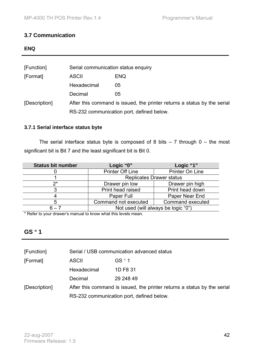### **3.7 Communication**

| × |
|---|
|---|

| [Function]    | Serial communication status enquiry                                      |            |  |  |
|---------------|--------------------------------------------------------------------------|------------|--|--|
| [Format]      | <b>ASCII</b>                                                             | <b>ENQ</b> |  |  |
|               | Hexadecimal                                                              | 05         |  |  |
|               | Decimal                                                                  | 05         |  |  |
| [Description] | After this command is issued, the printer returns a status by the serial |            |  |  |
|               | RS-232 communication port, defined below.                                |            |  |  |

#### **3.7.1 Serial interface status byte**

The serial interface status byte is composed of 8 bits  $-7$  through  $0 -$  the most significant bit is Bit 7 and the least significant bit is Bit 0.

| Status bit number | Logic "0"               | Logic "1"                           |  |
|-------------------|-------------------------|-------------------------------------|--|
|                   | <b>Printer Off Line</b> | Printer On Line                     |  |
|                   |                         | <b>Replicates Drawer status</b>     |  |
| ク*                | Drawer pin low          | Drawer pin high                     |  |
|                   | Print head raised       | Print head down                     |  |
|                   | Paper Full              | Paper Near End                      |  |
|                   | Command not executed    | Command executed                    |  |
| հ – 7             |                         | Not used (will always be logic "0") |  |

\* Refer to your drawer's manual to know what this levels mean.

### **GS** ° **1**

| [Function]    | Serial / USB communication advanced status                               |                   |  |  |
|---------------|--------------------------------------------------------------------------|-------------------|--|--|
| [Format]      | <b>ASCII</b>                                                             | GS <sup>o</sup> 1 |  |  |
|               | Hexadecimal                                                              | 1D F8 31          |  |  |
|               | Decimal                                                                  | 29 248 49         |  |  |
| [Description] | After this command is issued, the printer returns a status by the serial |                   |  |  |
|               | RS-232 communication port, defined below.                                |                   |  |  |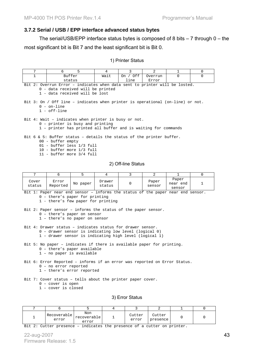#### **3.7.2 Serial / USB / EPP interface advanced status bytes**

The serial/USB/EPP interface status bytes is composed of 8 bits – 7 through 0 – the most significant bit is Bit 7 and the least significant bit is Bit 0.

#### 1) Printer Status

| 7                                                                                                                                                                             | 6                                                                                                                                                                                                                                                     | 5        | 4                | 3                                                             | 2                                                                               | 1                           | 0        |  |  |
|-------------------------------------------------------------------------------------------------------------------------------------------------------------------------------|-------------------------------------------------------------------------------------------------------------------------------------------------------------------------------------------------------------------------------------------------------|----------|------------------|---------------------------------------------------------------|---------------------------------------------------------------------------------|-----------------------------|----------|--|--|
| $\mathbf{1}$                                                                                                                                                                  | Buffer                                                                                                                                                                                                                                                |          | Wait             | On $/$ Off                                                    | Overrun                                                                         | $\Omega$                    | $\Omega$ |  |  |
|                                                                                                                                                                               | status                                                                                                                                                                                                                                                |          |                  | line                                                          | Error                                                                           |                             |          |  |  |
|                                                                                                                                                                               | Bit 2: Overrun Error - indicates when data sent to printer will be losted.<br>0 - data received will be printed<br>1 - data received will be lost<br>Bit 3: On / Off line - indicates when printer is operational (on-line) or not.<br>$0 - on$ -line |          |                  |                                                               |                                                                                 |                             |          |  |  |
|                                                                                                                                                                               | $1 - off$ -line<br>0 - printer is busy and printing                                                                                                                                                                                                   |          |                  | Bit 4: Wait - indicates when printer is busy or not.          |                                                                                 |                             |          |  |  |
|                                                                                                                                                                               |                                                                                                                                                                                                                                                       |          |                  |                                                               | 1 - printer has printed all buffer and is waiting for commands                  |                             |          |  |  |
|                                                                                                                                                                               | 00 - buffer empty<br>01 - buffer less 1/3 full<br>10 - buffer more 1/3 full<br>11 - buffer more 3/4 full                                                                                                                                              |          |                  |                                                               | Bit 6 & 5: Buffer status - details the status of the printer buffer.            |                             |          |  |  |
|                                                                                                                                                                               |                                                                                                                                                                                                                                                       |          |                  | 2) Off-line Status                                            |                                                                                 |                             |          |  |  |
| $7\overline{ }$                                                                                                                                                               | 6                                                                                                                                                                                                                                                     | 5        | 4                | 3                                                             | 2                                                                               | 1                           | $\Omega$ |  |  |
| Cover<br>status                                                                                                                                                               | Error<br>Reported                                                                                                                                                                                                                                     | No paper | Drawer<br>status | 0                                                             | Paper<br>sensor                                                                 | Paper<br>near end<br>sensor | 1        |  |  |
|                                                                                                                                                                               | 0 - there's paper for printing<br>1 - there's few paper for printing                                                                                                                                                                                  |          |                  | Bit 2: Paper sensor - informs the status of the paper sensor. | Bit 1: Paper near end sensor - informs the status of the paper near end sensor. |                             |          |  |  |
|                                                                                                                                                                               | 0 - there's paper on sensor<br>1 - there's no paper on sensor                                                                                                                                                                                         |          |                  |                                                               |                                                                                 |                             |          |  |  |
| Bit 4: Drawer status - indicates status for drawer sensor.<br>0 - drawer sensor is indicating low level (logical 0)<br>1 - drawer sensor is indicating high level (logical 1) |                                                                                                                                                                                                                                                       |          |                  |                                                               |                                                                                 |                             |          |  |  |
| Bit 5: No paper - indicates if there is available paper for printing.<br>0 - there's paper available<br>1 - no paper is available                                             |                                                                                                                                                                                                                                                       |          |                  |                                                               |                                                                                 |                             |          |  |  |
|                                                                                                                                                                               | 0 - no error reported<br>1 - there's error reported                                                                                                                                                                                                   |          |                  |                                                               | Bit 6: Error Reported - informs if an error was reported on Error Status.       |                             |          |  |  |
|                                                                                                                                                                               | $0$ - cover is open<br>1 - cover is closed                                                                                                                                                                                                            |          |                  | Bit 7: Cover status - tells about the printer paper cover.    |                                                                                 |                             |          |  |  |

3) Error Status

| <b>_</b> | Recoverable<br>error | Non<br> recoverable<br>error | Cutter<br>error | Cutter<br>presence |  |
|----------|----------------------|------------------------------|-----------------|--------------------|--|

Bit 2: Cutter presence - indicates the presence of a cutter on printer.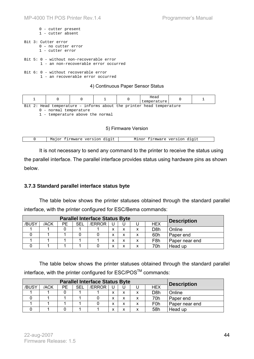|  | $0$ - cutter present<br>$1$ - cutter absent                                         |
|--|-------------------------------------------------------------------------------------|
|  | Bit 3: Cutter error<br>0 - no cutter error<br>1 - cutter error                      |
|  | $Bit 5: 0 - without non-recoverable error$<br>1 - an non-recoverable error occurred |
|  | $Bit 6: 0 - without recoverable error$<br>1 - an recoverable error occurred         |

#### 4) Continuous Paper Sensor Status

|       |                            |  | Head<br>temperature     |  |
|-------|----------------------------|--|-------------------------|--|
| $D++$ | $2 \cdot$ Head temperature |  | $int \cdot \cdot \cdot$ |  |

Bit 2: Head temperature – informs about the printer head temperature

0 - normal temperature

1 - temperature above the normal

#### 5) Firmware Version

| : firmware version digit<br>Major | Minor firmware version digit |
|-----------------------------------|------------------------------|

It is not necessary to send any command to the printer to receive the status using the parallel interface. The parallel interface provides status using hardware pins as shown below.

#### **3.7.3 Standard parallel interface status byte**

The table below shows the printer statuses obtained through the standard parallel interface, with the printer configured for ESC/Bema commands:

|       |      | <b>Description</b> |     |        |              |   |                  |                |
|-------|------|--------------------|-----|--------|--------------|---|------------------|----------------|
| /BUSY | /ACK | PЕ                 | SEL | /ERROR |              |   | <b>HEX</b>       |                |
|       |      |                    |     |        | v            | Y | D8h              | Online         |
|       |      |                    |     |        | v            | v | 60h              | Paper end      |
|       |      |                    |     |        | $\checkmark$ | v | F <sub>8</sub> h | Paper near end |
|       |      |                    |     |        | $\checkmark$ | v | 70h              | Head up        |

The table below shows the printer statuses obtained through the standard parallel interface, with the printer configured for ESC/POS™ commands:

|       |      | <b>Description</b> |     |        |                |  |                  |                |
|-------|------|--------------------|-----|--------|----------------|--|------------------|----------------|
| /BUSY | /ACK | РE                 | SEL | /ERROR |                |  | <b>HEX</b>       |                |
|       |      |                    |     |        | x              |  | D8h              | Online         |
|       |      |                    |     |        | v<br>$\lambda$ |  | 70h              | Paper end      |
|       |      |                    |     |        | v<br>́         |  | F <sub>0</sub> h | Paper near end |
|       |      |                    |     |        | x              |  | 58h              | Head up        |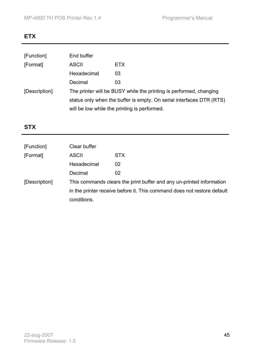## **ETX**

| [Function]    | End buffer                                                           |                                                                    |  |  |  |
|---------------|----------------------------------------------------------------------|--------------------------------------------------------------------|--|--|--|
| [Format]      | <b>ASCII</b>                                                         | <b>ETX</b>                                                         |  |  |  |
|               | Hexadecimal                                                          | 03                                                                 |  |  |  |
|               | Decimal                                                              | 03                                                                 |  |  |  |
| [Description] |                                                                      | The printer will be BUSY while the printing is performed, changing |  |  |  |
|               | status only when the buffer is empty. On serial interfaces DTR (RTS) |                                                                    |  |  |  |
|               | will be low while the printing is performed.                         |                                                                    |  |  |  |

# **STX**

| [Function]    | Clear buffer                                                            |                                                                      |  |  |  |
|---------------|-------------------------------------------------------------------------|----------------------------------------------------------------------|--|--|--|
| [Format]      | <b>ASCII</b>                                                            | <b>STX</b>                                                           |  |  |  |
|               | Hexadecimal                                                             | 02                                                                   |  |  |  |
|               | Decimal                                                                 | 02                                                                   |  |  |  |
| [Description] |                                                                         | This commands clears the print buffer and any un-printed information |  |  |  |
|               | in the printer receive before it. This command does not restore default |                                                                      |  |  |  |
|               | conditions.                                                             |                                                                      |  |  |  |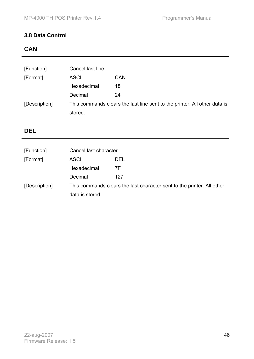### **3.8 Data Control**

## **CAN**

| [Function]    | Cancel last line |                                                                           |
|---------------|------------------|---------------------------------------------------------------------------|
| [Format]      | <b>ASCII</b>     | <b>CAN</b>                                                                |
|               | Hexadecimal      | 18                                                                        |
|               | Decimal          | 24                                                                        |
| [Description] |                  | This commands clears the last line sent to the printer. All other data is |
|               | stored.          |                                                                           |

### **DEL**

| [Function]    | Cancel last character                                                  |            |  |
|---------------|------------------------------------------------------------------------|------------|--|
| [Format]      | <b>ASCII</b>                                                           | <b>DEL</b> |  |
|               | Hexadecimal                                                            | 7F         |  |
|               | Decimal                                                                | 127        |  |
| [Description] | This commands clears the last character sent to the printer. All other |            |  |
|               | data is stored.                                                        |            |  |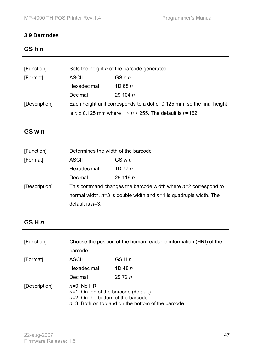### **3.9 Barcodes**

### **GS h** *n*

| [Function]    | Sets the height n of the barcode generated                             |                 |  |  |
|---------------|------------------------------------------------------------------------|-----------------|--|--|
| [Format]      | <b>ASCII</b>                                                           | GS <sub>h</sub> |  |  |
|               | Hexadecimal                                                            | 1D 68 $n$       |  |  |
|               | Decimal                                                                | 29 104 $n$      |  |  |
| [Description] | Each height unit corresponds to a dot of 0.125 mm, so the final height |                 |  |  |
|               | is n x 0.125 mm where $1 \le n \le 255$ . The default is n=162.        |                 |  |  |

### **GS w** *n*

| [Function]    | Determines the width of the barcode |                                                                       |  |
|---------------|-------------------------------------|-----------------------------------------------------------------------|--|
| [Format]      | ASCII                               | GS w n                                                                |  |
|               | Hexadecimal                         | 1D 77 $n$                                                             |  |
|               | Decimal                             | 29 119 $n$                                                            |  |
| [Description] |                                     | This command changes the barcode width where $n=2$ correspond to      |  |
|               |                                     | normal width, $n=3$ is double width and $n=4$ is quadruple width. The |  |
|               | default is $n=3$ .                  |                                                                       |  |

### **GS H** *n*

| [Function]    | Choose the position of the human readable information (HRI) of the                                                                                        |             |
|---------------|-----------------------------------------------------------------------------------------------------------------------------------------------------------|-------------|
|               | barcode                                                                                                                                                   |             |
| [Format]      | <b>ASCII</b>                                                                                                                                              | GS H n      |
|               | Hexadecimal                                                                                                                                               | $1D$ 48 $n$ |
|               | Decimal                                                                                                                                                   | 29 72 $n$   |
| [Description] | $n=0$ : No HRI<br>$n=1$ : On top of the barcode (default)<br>$n=2$ : On the bottom of the barcode<br>$n=3$ : Both on top and on the bottom of the barcode |             |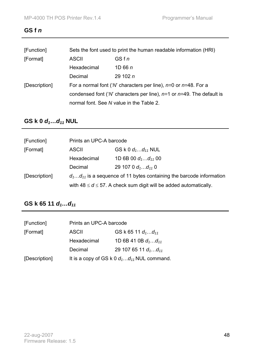### **GS f** *n*

| [Function]    | Sets the font used to print the human readable information (HRI)              |            |  |
|---------------|-------------------------------------------------------------------------------|------------|--|
| [Format]      | GSfn<br><b>ASCII</b>                                                          |            |  |
|               | Hexadecimal                                                                   | 1D66n      |  |
|               | Decimal                                                                       | 29 102 $n$ |  |
| [Description] | For a normal font (' <i>N</i> ' characters per line), $n=0$ or $n=48$ . For a |            |  |
|               | condensed font ('N' characters per line), $n=1$ or $n=49$ . The default is    |            |  |
|               | normal font. See N value in the Table 2.                                      |            |  |

# **GS k 0** *d***<sub>1</sub>...***d***<sub>11</sub></del> NUL**

| [Function]    | Prints an UPC-A barcode                                                  |                                                                         |
|---------------|--------------------------------------------------------------------------|-------------------------------------------------------------------------|
| [Format]      | <b>ASCII</b>                                                             | GS k 0 $d_1d_{11}$ NUL                                                  |
|               | Hexadecimal                                                              | 1D 6B 00 $d_1d_{11}$ 00                                                 |
|               | Decimal                                                                  | 29 107 0 $d_1d_{11}$ 0                                                  |
| [Description] | $d_1d_{11}$ is a sequence of 11 bytes containing the barcode information |                                                                         |
|               |                                                                          | with $48 \le d \le 57$ . A check sum digit will be added automatically. |

## **GS k 65 11** *d***<sub>1</sub>...d<sub>11</sub>**

| [Function]    | Prints an UPC-A barcode |                                                 |
|---------------|-------------------------|-------------------------------------------------|
| [Format]      | <b>ASCII</b>            | GS k 65 11 $d_1d_{11}$                          |
|               | Hexadecimal             | 1D 6B 41 0B $d_1d_{11}$                         |
|               | Decimal                 | 29 107 65 11 $d_1d_{11}$                        |
| [Description] |                         | It is a copy of GS k 0 $d_1d_{11}$ NUL command. |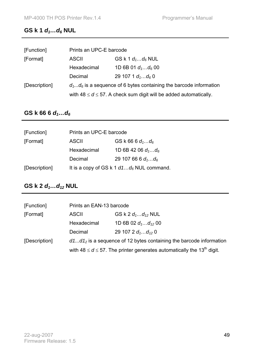# **GS k 1** *d***<sub>1</sub>...***d***<sub>6</sub> NUL**

| [Function]    | Prints an UPC-E barcode                                              |                                                                         |
|---------------|----------------------------------------------------------------------|-------------------------------------------------------------------------|
| [Format]      | GS k 1 $d_1d_6$ NUL<br><b>ASCII</b>                                  |                                                                         |
|               | Hexadecimal                                                          | 1D 6B 01 $d_1d_6$ 00                                                    |
|               | Decimal                                                              | 29 107 1 $d_1d_6$ 0                                                     |
| [Description] | $d_1d_6$ is a sequence of 6 bytes containing the barcode information |                                                                         |
|               |                                                                      | with $48 \le d \le 57$ . A check sum digit will be added automatically. |

### GS k 66 6  $d_1...d_6$

| [Function]    | Prints an UPC-E barcode |                                             |
|---------------|-------------------------|---------------------------------------------|
| [Format]      | <b>ASCII</b>            | GS k 66 6 $d_1d_6$                          |
|               | Hexadecimal             | 1D 6B 42 06 $d_1d_6$                        |
|               | Decimal                 | 29 107 66 6 $d_1d_6$                        |
| [Description] |                         | It is a copy of GS k 1 $d1d_6$ NUL command. |

# **GS k 2** *d***<sub>1</sub>...d<sub>12</sub> NUL**

| [Function]    | Prints an EAN-13 barcode                                             |                                                                                            |
|---------------|----------------------------------------------------------------------|--------------------------------------------------------------------------------------------|
| [Format]      | <b>ASCII</b>                                                         | GS k 2 $d_1d_{12}$ NUL                                                                     |
|               | Hexadecimal                                                          | 1D 6B 02 $d_1d_{12}$ 00                                                                    |
|               | Decimal                                                              | 29 107 2 $d_1d_{12}$ 0                                                                     |
| [Description] | $d1d12$ is a sequence of 12 bytes containing the barcode information |                                                                                            |
|               |                                                                      | with 48 $\leq d \leq 57$ . The printer generates automatically the 13 <sup>th</sup> digit. |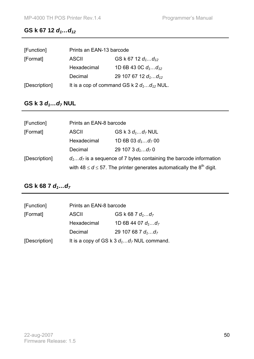### GS k 67 12  $d_1...d_{12}$

| [Function]    | Prints an EAN-13 barcode                       |                          |
|---------------|------------------------------------------------|--------------------------|
| [Format]      | ASCII                                          | GS k 67 12 $d_1d_{12}$   |
|               | Hexadecimal                                    | 1D 6B 43 0C $d_1d_{12}$  |
|               | Decimal                                        | 29 107 67 12 $d_1d_{12}$ |
| [Description] | It is a cop of command GS k 2 $d_1d_{12}$ NUL. |                          |

# **GS k 3** *d***<sub>1</sub>...d<sub>7</sub> NUL**

| [Function]    | Prints an EAN-8 barcode                                                                                                                                           |                      |
|---------------|-------------------------------------------------------------------------------------------------------------------------------------------------------------------|----------------------|
| [Format]      | GS k 3 $d_1d_7$ NUL<br><b>ASCII</b>                                                                                                                               |                      |
|               | Hexadecimal                                                                                                                                                       | 1D 6B 03 $d_1d_7$ 00 |
|               | Decimal                                                                                                                                                           | 29 107 3 $d_1d_7$ 0  |
| [Description] | $d_1d_7$ is a sequence of 7 bytes containing the barcode information<br>with 48 $\leq d \leq 57$ . The printer generates automatically the 8 <sup>th</sup> digit. |                      |
|               |                                                                                                                                                                   |                      |

## **GS k 68 7** *d***<sub>1</sub>...d<sub>7</sub>**

| [Function]    | Prints an EAN-8 barcode |                                              |
|---------------|-------------------------|----------------------------------------------|
| [Format]      | <b>ASCII</b>            | GS k 68 7 $d_1d_7$                           |
|               | Hexadecimal             | 1D 6B 44 07 $d_1d_7$                         |
|               | Decimal                 | 29 107 68 7 $d_1d_7$                         |
| [Description] |                         | It is a copy of GS k 3 $d_1d_7$ NUL command. |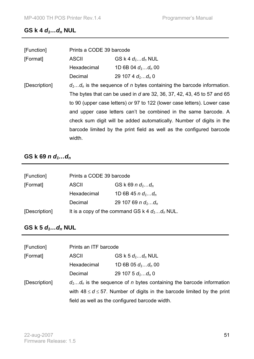# **GS k 4** *d***<sub>1</sub>...***d***<sub>n</sub></del> NUL**

| [Function]    | Prints a CODE 39 barcode                                                                                                                                                                                                                                                                       |                                                                      |  |
|---------------|------------------------------------------------------------------------------------------------------------------------------------------------------------------------------------------------------------------------------------------------------------------------------------------------|----------------------------------------------------------------------|--|
| [Format]      | <b>ASCII</b>                                                                                                                                                                                                                                                                                   | GS k 4 $d_1d_n$ NUL                                                  |  |
|               | Hexadecimal                                                                                                                                                                                                                                                                                    | 1D 6B 04 $d_1d_n$ 00                                                 |  |
|               | Decimal                                                                                                                                                                                                                                                                                        | 29 107 4 $d_1d_n$ 0                                                  |  |
| [Description] | $d_1d_n$ is the sequence of n bytes containing the barcode information.                                                                                                                                                                                                                        |                                                                      |  |
|               | The bytes that can be used in d are 32, 36, 37, 42, 43, 45 to 57 and 65<br>to 90 (upper case letters) or 97 to 122 (lower case letters). Lower case<br>and upper case letters can't be combined in the same barcode. A<br>check sum digit will be added automatically. Number of digits in the |                                                                      |  |
|               |                                                                                                                                                                                                                                                                                                |                                                                      |  |
|               |                                                                                                                                                                                                                                                                                                |                                                                      |  |
|               |                                                                                                                                                                                                                                                                                                |                                                                      |  |
|               |                                                                                                                                                                                                                                                                                                | barcode limited by the print field as well as the configured barcode |  |
|               | width.                                                                                                                                                                                                                                                                                         |                                                                      |  |

### **GS k 69** *n**d***<sub>1</sub>...***d***<sub>n</sub>**

| [Function]    | Prints a CODE 39 barcode                         |                      |
|---------------|--------------------------------------------------|----------------------|
| [Format]      | <b>ASCII</b>                                     | GS k 69 n $d_1d_n$   |
|               | Hexadecimal                                      | 1D 6B 45 n $d_1d_n$  |
|               | Decimal                                          | 29 107 69 n $d_1d_n$ |
| [Description] | It is a copy of the command GS k 4 $d_1d_n$ NUL. |                      |

## **GS k 5** *d***<sub>1</sub>...***d***<sub>n</sub></del> NUL**

| [Function]    | Prints an ITF barcode                                                         |                      |
|---------------|-------------------------------------------------------------------------------|----------------------|
| [Format]      | <b>ASCII</b>                                                                  | GS k 5 $d_1d_n$ NUL  |
|               | Hexadecimal                                                                   | 1D 6B 05 $d_1d_n$ 00 |
|               | Decimal                                                                       | 29 107 5 $d_1d_n$ 0  |
| [Description] | $d_1d_n$ is the sequence of n bytes containing the barcode information        |                      |
|               | with $48 \le d \le 57$ . Number of digits in the barcode limited by the print |                      |
|               | field as well as the configured barcode width.                                |                      |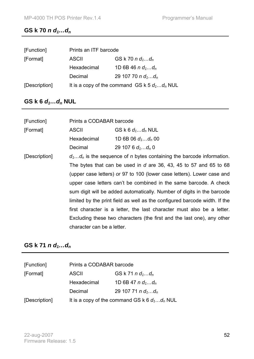#### **GS k** 70 *n d*<sub>1</sub>...*d*<sub>*n*</sub>

| [Function]    |                                                 | Prints an ITF barcode |  |
|---------------|-------------------------------------------------|-----------------------|--|
| [Format]      | <b>ASCII</b>                                    | GS k 70 n $d_1d_n$    |  |
|               | Hexadecimal                                     | 1D 6B 46 n $d_1d_n$   |  |
|               | Decimal                                         | 29 107 70 n $d_1d_n$  |  |
| [Description] | It is a copy of the command GS k 5 $d_1d_n$ NUL |                       |  |

## **GS k 6** *d***<sub>1</sub>...***d***<sub>n</sub> NUL**

| [Function]    | Prints a CODABAR barcode                                                                                                                                                                                                                                                                                                                                                      |                                                                                |  |
|---------------|-------------------------------------------------------------------------------------------------------------------------------------------------------------------------------------------------------------------------------------------------------------------------------------------------------------------------------------------------------------------------------|--------------------------------------------------------------------------------|--|
| [Format]      | <b>ASCII</b>                                                                                                                                                                                                                                                                                                                                                                  | GS k 6 $d_1d_n$ NUL                                                            |  |
|               | Hexadecimal                                                                                                                                                                                                                                                                                                                                                                   | 1D 6B 06 $d_1d_n$ 00                                                           |  |
|               | Decimal                                                                                                                                                                                                                                                                                                                                                                       | 29 107 6 $d_1d_n$ 0                                                            |  |
| [Description] |                                                                                                                                                                                                                                                                                                                                                                               | $d_1d_n$ is the sequence of <i>n</i> bytes containing the barcode information. |  |
|               |                                                                                                                                                                                                                                                                                                                                                                               | The bytes that can be used in d are 36, 43, 45 to 57 and 65 to 68              |  |
|               | (upper case letters) or 97 to 100 (lower case letters). Lower case and<br>upper case letters can't be combined in the same barcode. A check<br>sum digit will be added automatically. Number of digits in the barcode<br>limited by the print field as well as the configured barcode width. If the<br>first character is a letter, the last character must also be a letter. |                                                                                |  |
|               |                                                                                                                                                                                                                                                                                                                                                                               |                                                                                |  |
|               |                                                                                                                                                                                                                                                                                                                                                                               |                                                                                |  |
|               |                                                                                                                                                                                                                                                                                                                                                                               |                                                                                |  |
|               |                                                                                                                                                                                                                                                                                                                                                                               |                                                                                |  |
|               | Excluding these two characters (the first and the last one), any other                                                                                                                                                                                                                                                                                                        |                                                                                |  |
|               | character can be a letter.                                                                                                                                                                                                                                                                                                                                                    |                                                                                |  |

### **GS** k 71 *n d*<sub>1</sub>...*d*<sub>*n*</sub>

| [Function]    | Prints a CODABAR barcode                        |                      |
|---------------|-------------------------------------------------|----------------------|
| [Format]      | $GS K 71 n d_1d_n$<br><b>ASCII</b>              |                      |
|               | Hexadecimal                                     | 1D 6B 47 n $d_1d_n$  |
|               | Decimal                                         | 29 107 71 n $d_1d_n$ |
| [Description] | It is a copy of the command GS k 6 $d_1d_n$ NUL |                      |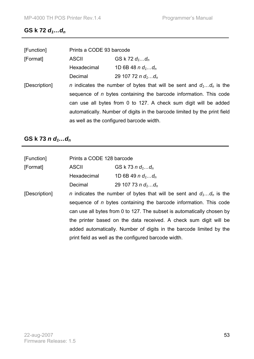### **GS** k 72  $d_1...d_n$

| [Function]    | Prints a CODE 93 barcode                                                     |                                                                          |
|---------------|------------------------------------------------------------------------------|--------------------------------------------------------------------------|
| [Format]      | <b>ASCII</b>                                                                 | GS k 72 $d_1d_n$                                                         |
|               | Hexadecimal                                                                  | 1D 6B 48 n $d_1d_n$                                                      |
|               | Decimal                                                                      | 29 107 72 n $d_1d_n$                                                     |
| [Description] | <i>n</i> indicates the number of bytes that will be sent and $d_1d_n$ is the |                                                                          |
|               |                                                                              | sequence of <i>n</i> bytes containing the barcode information. This code |
|               | can use all bytes from 0 to 127. A check sum digit will be added             |                                                                          |
|               | automatically. Number of digits in the barcode limited by the print field    |                                                                          |
|               | as well as the configured barcode width.                                     |                                                                          |

## **GS k 73** *n**d***<sub>1</sub>...***d***<sub>n</sub>**

| [Function]    | Prints a CODE 128 barcode                                                                                                                          |                                                                   |  |
|---------------|----------------------------------------------------------------------------------------------------------------------------------------------------|-------------------------------------------------------------------|--|
| [Format]      | <b>ASCII</b>                                                                                                                                       | GS k 73 n $d_1d_n$                                                |  |
|               | Hexadecimal                                                                                                                                        | 1D 6B 49 n $d_1d_n$                                               |  |
|               | Decimal                                                                                                                                            | 29 107 73 n $d_1d_n$                                              |  |
| [Description] | <i>n</i> indicates the number of bytes that will be sent and $d_1d_n$ is the                                                                       |                                                                   |  |
|               | sequence of <i>n</i> bytes containing the barcode information. This code<br>can use all bytes from 0 to 127. The subset is automatically chosen by |                                                                   |  |
|               |                                                                                                                                                    |                                                                   |  |
|               |                                                                                                                                                    | the printer based on the data received. A check sum digit will be |  |
|               | added automatically. Number of digits in the barcode limited by the                                                                                |                                                                   |  |
|               | print field as well as the configured barcode width.                                                                                               |                                                                   |  |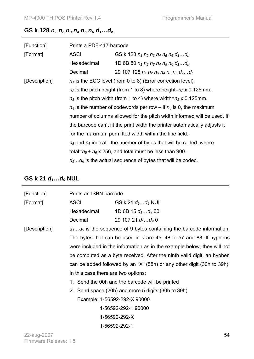### **GS k** 128  $n_1$   $n_2$   $n_3$   $n_4$   $n_5$   $n_6$   $d_1...d_n$

| [Function]    | Prints a PDF-417 barcode                                                     |                                                                |  |
|---------------|------------------------------------------------------------------------------|----------------------------------------------------------------|--|
| [Format]      | <b>ASCII</b>                                                                 | GS k 128 $n_1$ $n_2$ $n_3$ $n_4$ $n_5$ $n_6$ $d_1d_n$          |  |
|               | Hexadecimal                                                                  | 1D 6B 80 $n_1$ $n_2$ $n_3$ $n_4$ $n_5$ $n_6$ $d_1d_n$          |  |
|               | Decimal                                                                      | 29 107 128 $n_1$ $n_2$ $n_3$ $n_4$ $n_5$ $n_6$ $d_1d_n$        |  |
| [Description] |                                                                              | $n_1$ is the ECC level (from 0 to 8) (Error correction level). |  |
|               | $n_2$ is the pitch height (from 1 to 8) where height= $n_2 \times 0.125$ mm. |                                                                |  |
|               | $n_3$ is the pitch width (from 1 to 4) where width= $n_3$ x 0.125mm.         |                                                                |  |
|               | $n_4$ is the number of codewords per row – if $n_4$ is 0, the maximum        |                                                                |  |
|               | number of columns allowed for the pitch width informed will be used. If      |                                                                |  |
|               | the barcode can't fit the print width the printer automatically adjusts it   |                                                                |  |
|               | for the maximum permitted width within the line field.                       |                                                                |  |
|               | $n_5$ and $n_6$ indicate the number of bytes that will be coded, where       |                                                                |  |
|               | total= $n_5$ + $n_6$ x 256, and total must be less than 900.                 |                                                                |  |
|               | $d_1d_n$ is the actual sequence of bytes that will be coded.                 |                                                                |  |

## **GS k 21** *d***<sub>1</sub>...d<sub>9</sub> NUL**

| [Function]    | Prints an ISBN barcode                                                                 |                                                                         |  |
|---------------|----------------------------------------------------------------------------------------|-------------------------------------------------------------------------|--|
| [Format]      | <b>ASCII</b>                                                                           | GS k 21 $d_1d_9$ NUL                                                    |  |
|               | Hexadecimal                                                                            | 1D 6B 15 $d_1d_9$ 00                                                    |  |
|               | Decimal                                                                                | 29 107 21 $d_1d_9$ 0                                                    |  |
| [Description] |                                                                                        | $d_1d_9$ is the sequence of 9 bytes containing the barcode information. |  |
|               |                                                                                        | The bytes that can be used in d are 45, 48 to 57 and 88. If hyphens     |  |
|               |                                                                                        | were included in the information as in the example below, they will not |  |
|               | be computed as a byte received. After the ninth valid digit, an hyphen                 |                                                                         |  |
|               |                                                                                        | can be added followed by an "X" (58h) or any other digit (30h to 39h).  |  |
|               | In this case there are two options:<br>1. Send the 00h and the barcode will be printed |                                                                         |  |
|               |                                                                                        |                                                                         |  |
|               |                                                                                        | 2. Send space (20h) and more 5 digits (30h to 39h)                      |  |
|               |                                                                                        | Example: 1-56592-292-X 90000                                            |  |
|               |                                                                                        | 1-56592-292-1 90000                                                     |  |
|               |                                                                                        | 1-56592-292-X                                                           |  |
|               |                                                                                        | 1-56592-292-1                                                           |  |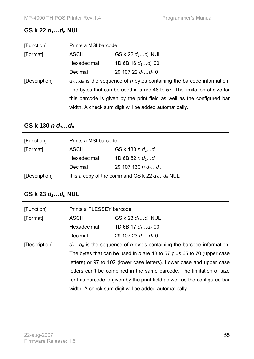### **GS k 22** *d***<sub>1</sub>...d<sub>n</sub> NUL**

| [Function]    | Prints a MSI barcode                                                     |                      |
|---------------|--------------------------------------------------------------------------|----------------------|
| [Format]      | <b>ASCII</b>                                                             | GS k 22 $d_1d_n$ NUL |
|               | Hexadecimal                                                              | 1D 6B 16 $d_1d_n$ 00 |
|               | Decimal                                                                  | 29 107 22 $d_1d_n$ 0 |
| [Description] | $d_1d_n$ is the sequence of n bytes containing the barcode information.  |                      |
|               | The bytes that can be used in d are 48 to 57. The limitation of size for |                      |
|               | this barcode is given by the print field as well as the configured bar   |                      |
|               | width. A check sum digit will be added automatically.                    |                      |

## **GS k 130** *n**d***<sub>1</sub>...***d***<sub>***n***</sub>**

| [Function]    | Prints a MSI barcode                |                                                  |
|---------------|-------------------------------------|--------------------------------------------------|
| [Format]      | GS k 130 n $d_1d_n$<br><b>ASCII</b> |                                                  |
|               | Hexadecimal                         | 1D 6B 82 n $d_1d_n$                              |
|               | Decimal                             | 29 107 130 n $d_1d_n$                            |
| [Description] |                                     | It is a copy of the command GS k 22 $d_1d_n$ NUL |

# **GS k 23** *d***<sub>1</sub>...d<sub>n</sub> NUL**

| [Function]    |                                                                                | Prints a PLESSEY barcode                                                   |  |  |
|---------------|--------------------------------------------------------------------------------|----------------------------------------------------------------------------|--|--|
| [Format]      | <b>ASCII</b>                                                                   | GS k 23 $d_1d_n$ NUL                                                       |  |  |
|               | Hexadecimal                                                                    | 1D 6B 17 $d_1d_n$ 00                                                       |  |  |
|               | Decimal                                                                        | 29 107 23 $d_1d_n$ 0                                                       |  |  |
| [Description] | $d_1d_n$ is the sequence of <i>n</i> bytes containing the barcode information. |                                                                            |  |  |
|               | The bytes that can be used in d are 48 to 57 plus 65 to 70 (upper case         |                                                                            |  |  |
|               |                                                                                | letters) or 97 to 102 (lower case letters). Lower case and upper case      |  |  |
|               |                                                                                | letters can't be combined in the same barcode. The limitation of size      |  |  |
|               |                                                                                | for this barcode is given by the print field as well as the configured bar |  |  |
|               |                                                                                | width. A check sum digit will be added automatically.                      |  |  |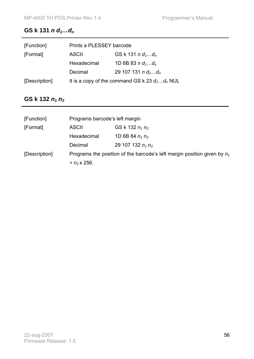### **GS k 131** *n**d***<sub>1</sub>...***d***<sub>n</sub>**

| [Function]    | Prints a PLESSEY barcode                         |                       |
|---------------|--------------------------------------------------|-----------------------|
| [Format]      | <b>ASCII</b>                                     | GS k 131 n $d_1d_n$   |
|               | Hexadecimal                                      | 1D 6B 83 n $d_1d_n$   |
|               | Decimal                                          | 29 107 131 n $d_1d_n$ |
| [Description] | It is a copy of the command GS k 23 $d_1d_n$ NUL |                       |

## **GS** k 132  $n_1 n_2$

| [Function]    | Programs barcode's left margin                                             |                      |  |
|---------------|----------------------------------------------------------------------------|----------------------|--|
| [Format]      | <b>ASCII</b>                                                               | GS k 132 $n_1 n_2$   |  |
|               | Hexadecimal                                                                | 1D 6B 84 $n_1 n_2$   |  |
|               | Decimal                                                                    | 29 107 132 $n_1 n_2$ |  |
| [Description] | Programs the position of the barcode's left margin position given by $n_1$ |                      |  |
|               | $+ n_2$ x 256.                                                             |                      |  |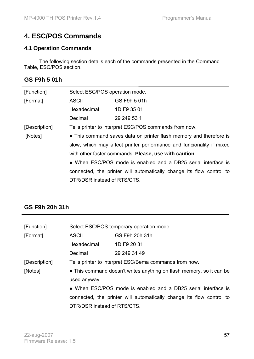# **4. ESC/POS Commands**

#### **4.1 Operation Commands**

 The following section details each of the commands presented in the Command Table, ESC/POS section.

### **GS F9h 5 01h**

| [Function]    | Select ESC/POS operation mode.                                       |                                                                    |  |  |
|---------------|----------------------------------------------------------------------|--------------------------------------------------------------------|--|--|
| [Format]      | <b>ASCII</b>                                                         | GS F9h 5 01h                                                       |  |  |
|               | Hexadecimal                                                          | 1D F9 35 01                                                        |  |  |
|               | Decimal                                                              | 29 249 53 1                                                        |  |  |
| [Description] | Tells printer to interpret ESC/POS commands from now.                |                                                                    |  |  |
| [Notes]       |                                                                      | • This command saves data on printer flash memory and therefore is |  |  |
|               | slow, which may affect printer performance and funcionality if mixed |                                                                    |  |  |
|               | with other faster commands. Please, use with caution.                |                                                                    |  |  |
|               | • When ESC/POS mode is enabled and a DB25 serial interface is        |                                                                    |  |  |
|               | connected, the printer will automatically change its flow control to |                                                                    |  |  |
|               | DTR/DSR instead of RTS/CTS.                                          |                                                                    |  |  |

### **GS F9h 20h 31h**

| [Function]    | Select ESC/POS temporary operation mode.                             |                                                                      |  |  |  |
|---------------|----------------------------------------------------------------------|----------------------------------------------------------------------|--|--|--|
| [Format]      | <b>ASCII</b>                                                         | GS F9h 20h 31h                                                       |  |  |  |
|               | Hexadecimal                                                          | 1D F9 20 31                                                          |  |  |  |
|               | Decimal                                                              | 29 249 31 49                                                         |  |  |  |
| [Description] |                                                                      | Tells printer to interpret ESC/Bema commands from now.               |  |  |  |
| [Notes]       | • This command doesn't writes anything on flash memory, so it can be |                                                                      |  |  |  |
|               | used anyway.                                                         |                                                                      |  |  |  |
|               | • When ESC/POS mode is enabled and a DB25 serial interface is        |                                                                      |  |  |  |
|               |                                                                      | connected, the printer will automatically change its flow control to |  |  |  |
|               | DTR/DSR instead of RTS/CTS.                                          |                                                                      |  |  |  |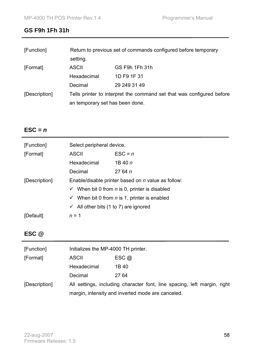### **GS F9h 1Fh 31h**

| [Function]    | Return to previous set of commands configured before temporary        |                |  |
|---------------|-----------------------------------------------------------------------|----------------|--|
|               | setting.                                                              |                |  |
| [Format]      | <b>ASCII</b>                                                          | GS F9h 1Fh 31h |  |
|               | Hexadecimal                                                           | 1D F9 1F 31    |  |
|               | Decimal                                                               | 29 249 31 49   |  |
| [Description] | Tells printer to interpret the command set that was configured before |                |  |
|               | an temporary set has been done.                                       |                |  |

## $\textsf{ESC} = n$

| [Function]    | Select peripheral device.                                       |                    |  |  |  |
|---------------|-----------------------------------------------------------------|--------------------|--|--|--|
| [Format]      | <b>ASCII</b>                                                    | $\textsf{ESC} = n$ |  |  |  |
|               | Hexadecimal                                                     | 1B 40 $n$          |  |  |  |
|               | Decimal                                                         | 2764n              |  |  |  |
| [Description] | Enable/disable printer based on <i>n</i> value as follow:       |                    |  |  |  |
|               | $\checkmark$ When bit 0 from <i>n</i> is 0, printer is disabled |                    |  |  |  |
|               | $\checkmark$ When bit 0 from <i>n</i> is 1, printer is enabled  |                    |  |  |  |
|               | $\checkmark$ All other bits (1 to 7) are ignored                |                    |  |  |  |
| [Default]     | $n = 1$                                                         |                    |  |  |  |

## **ESC @**

| [Function]    | Initializes the MP-4000 TH printer. |                                                                          |
|---------------|-------------------------------------|--------------------------------------------------------------------------|
| [Format]      | <b>ASCII</b>                        | $\mathsf{ESC}$ @                                                         |
|               | Hexadecimal                         | 1B 40                                                                    |
|               | Decimal                             | 27 64                                                                    |
| [Description] |                                     | All settings, including character font, line spacing, left margin, right |
|               |                                     | margin, intensity and inverted mode are canceled.                        |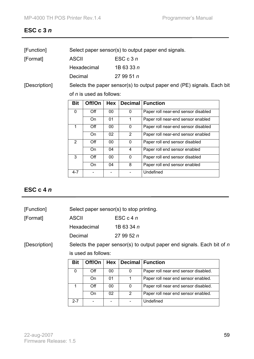### **ESC c 3** *n*

| [Function] | Select paper sensor(s) to output paper end signals. |              |  |
|------------|-----------------------------------------------------|--------------|--|
| [Format]   | ASCII                                               | ESC $c3n$    |  |
|            | Hexadecimal                                         | 1B 63 33 $n$ |  |

Decimal 27 99 51 *n*

[Description] Selects the paper sensor(s) to output paper end (PE) signals. Each bit of *n* is used as follows:

| <b>Bit</b> | Off/On      | Hex             |          | <b>Decimal   Function</b>           |
|------------|-------------|-----------------|----------|-------------------------------------|
| 0          | Off         | 00              | 0        | Paper roll near-end sensor disabled |
|            | On          | 01              |          | Paper roll near-end sensor enabled  |
|            | Off         | 00              | 0        | Paper roll near-end sensor disabled |
|            | On          | 02              | 2        | Paper roll near-end sensor enabled  |
| 2          | $\Omega$ ff | 00              | 0        | Paper roll end sensor disabled      |
|            | On          | 04              | 4        | Paper roll end sensor enabled       |
| 3          | Off         | 00 <sup>1</sup> | $\Omega$ | Paper roll end sensor disabled      |
|            | On          | 04              | 8        | Paper roll end sensor enabled       |
| $4 - 7$    |             |                 |          | Undefined                           |

#### **ESC c 4** *n*

| [Function]    |              | Select paper sensor(s) to stop printing.                               |  |  |
|---------------|--------------|------------------------------------------------------------------------|--|--|
| [Format]      | <b>ASCII</b> | $\mathsf{ESC}$ c 4 n                                                   |  |  |
|               | Hexadecimal  | 1B 63 34 n                                                             |  |  |
|               | Decimal      | 279952n                                                                |  |  |
| [Description] |              | Selects the paper sensor(s) to output paper end signals. Each bit of n |  |  |

is used as follows:

| <b>Bit</b> | Off/On |    |               | <b>Hex</b>   Decimal   Function      |
|------------|--------|----|---------------|--------------------------------------|
|            | Off    | 00 | 0             | Paper roll near end sensor disabled. |
|            | On     | 01 |               | Paper roll near end sensor enabled.  |
|            | Off    | 00 | 0             | Paper roll near end sensor disabled. |
|            | On     | 02 | $\mathcal{P}$ | Paper roll near end sensor enabled.  |
| $2 - 7$    |        |    |               | Undefined                            |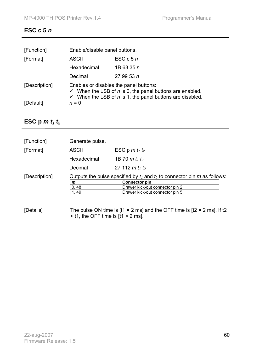### **ESC c 5** *n*

| [Function]    | Enable/disable panel buttons.                                                                                                                                                                       |               |  |
|---------------|-----------------------------------------------------------------------------------------------------------------------------------------------------------------------------------------------------|---------------|--|
| [Format]      | <b>ASCII</b>                                                                                                                                                                                        | ESC $c$ 5 $n$ |  |
|               | Hexadecimal                                                                                                                                                                                         | 1B 63 35 n    |  |
|               | Decimal                                                                                                                                                                                             | 279953n       |  |
| [Description] | Enables or disables the panel buttons:<br>$\checkmark$ When the LSB of <i>n</i> is 0, the panel buttons are enabled.<br>$\checkmark$ When the LSB of <i>n</i> is 1, the panel buttons are disabled. |               |  |
| [Default]     | $n = 0$                                                                                                                                                                                             |               |  |

## **ESC** p  $m t_1 t_2$

| [Function]    | Generate pulse.                                                               |                                  |
|---------------|-------------------------------------------------------------------------------|----------------------------------|
| [Format]      | <b>ASCII</b>                                                                  | ESC p m $t_1$ $t_2$              |
|               | Hexadecimal                                                                   | 1B 70 $m t_1 t_2$                |
|               | Decimal                                                                       | 27 112 $m t_1 t_2$               |
| [Description] | Outputs the pulse specified by $t_1$ and $t_2$ to connector pin m as follows: |                                  |
|               | m                                                                             | <b>Connector pin</b>             |
|               | 0, 48                                                                         | Drawer kick-out connector pin 2. |
|               | 1, 49                                                                         | Drawer kick-out connector pin 5. |
|               |                                                                               |                                  |

[Details] The pulse ON time is [t1  $\times$  2 ms] and the OFF time is [t2  $\times$  2 ms]. If t2  $\leq$  t1, the OFF time is [t1  $\times$  2 ms].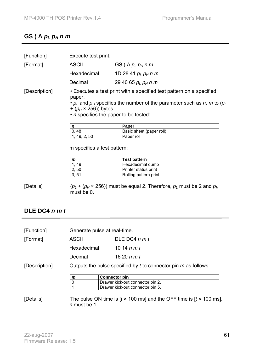# **GS ( A** *pL pH n m*

| [Function]    |                                                                                                                                                                                                                                                               | Execute test print.      |  |
|---------------|---------------------------------------------------------------------------------------------------------------------------------------------------------------------------------------------------------------------------------------------------------------|--------------------------|--|
| [Format]      | <b>ASCII</b>                                                                                                                                                                                                                                                  | GS (A $p_L p_H n m$      |  |
|               | Hexadecimal                                                                                                                                                                                                                                                   | 1D 28 41 $p_l$ $p_H$ n m |  |
|               | Decimal                                                                                                                                                                                                                                                       | 29 40 65 $p_l$ $p_H$ n m |  |
| [Description] | • Executes a test print with a specified test pattern on a specified<br>paper.<br>$\cdot$ $p_l$ and $p_H$ specifies the number of the parameter such as n, m to ( $p_l$ )<br>$+$ ( $p_H \times 256$ )) bytes.<br>• <i>n</i> specifies the paper to be tested: |                          |  |
|               | n                                                                                                                                                                                                                                                             | Paper                    |  |
|               | 0, 48                                                                                                                                                                                                                                                         | Basic sheet (paper roll) |  |
|               | 1, 49, 2, 50                                                                                                                                                                                                                                                  | Paper roll               |  |
|               |                                                                                                                                                                                                                                                               |                          |  |

m specifies a test pattern:

| m     | <b>Test pattern</b>   |  |
|-------|-----------------------|--|
| 49    | Hexadecimal dump      |  |
| 2, 50 | Printer status print  |  |
| 51    | Rolling pattern print |  |

[Details]  $(p_L + (p_H \times 256))$  must be equal 2. Therefore,  $p_L$  must be 2 and  $p_H$ must be 0.

### **DLE DC4** *n m t*

| [Function]    | Generate pulse at real-time.                                        |                                                                                                    |
|---------------|---------------------------------------------------------------------|----------------------------------------------------------------------------------------------------|
| [Format]      | <b>ASCII</b>                                                        | DLE DC4 $n m t$                                                                                    |
|               | Hexadecimal                                                         | 10 14 $n m t$                                                                                      |
|               | Decimal                                                             | 16 20 <i>n m t</i>                                                                                 |
| [Description] | Outputs the pulse specified by $t$ to connector pin $m$ as follows: |                                                                                                    |
|               | m                                                                   | <b>Connector pin</b>                                                                               |
|               | 0                                                                   | Drawer kick-out connector pin 2.                                                                   |
|               |                                                                     | Drawer kick-out connector pin 5.                                                                   |
| [Details]     | n must be 1.                                                        | The pulse ON time is $[t \times 100 \text{ ms}]$ and the OFF time is $[t \times 100 \text{ ms}]$ . |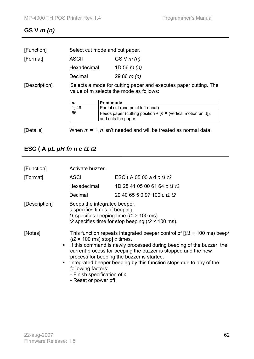## **GS V** *m (n)*

| [Function]    | Select cut mode and cut paper.                                                                              |              |
|---------------|-------------------------------------------------------------------------------------------------------------|--------------|
| [Format]      | <b>ASCII</b>                                                                                                | GS V $m(n)$  |
|               | Hexadecimal                                                                                                 | 1D 56 $m(n)$ |
|               | Decimal                                                                                                     | 29 86 $m(n)$ |
| [Description] | Selects a mode for cutting paper and executes paper cutting. The<br>value of m selects the mode as follows: |              |

| m  | <b>Print mode</b>                                                                           |
|----|---------------------------------------------------------------------------------------------|
| 49 | Partial cut (one point left uncut)                                                          |
| 66 | Feeds paper (cutting position + $[n \times$ (vertical motion unit)]),<br>and cuts the paper |

[Details] When *m* = 1, *n* isn't needed and will be treated as normal data.

# **ESC ( A** *pL pH fn n c t1 t2*

| [Function]                     | Activate buzzer.                                                                                                                                                                                                                                                                                                                                                                                                                                                                  |                                                                                                               |
|--------------------------------|-----------------------------------------------------------------------------------------------------------------------------------------------------------------------------------------------------------------------------------------------------------------------------------------------------------------------------------------------------------------------------------------------------------------------------------------------------------------------------------|---------------------------------------------------------------------------------------------------------------|
| [Format]                       | <b>ASCII</b>                                                                                                                                                                                                                                                                                                                                                                                                                                                                      | ESC (A 05 00 a d c t1 t2                                                                                      |
|                                | Hexadecimal                                                                                                                                                                                                                                                                                                                                                                                                                                                                       | 1D 28 41 05 00 61 64 c t1 t2                                                                                  |
|                                | Decimal                                                                                                                                                                                                                                                                                                                                                                                                                                                                           | 29 40 65 5 0 97 100 c t1 t2                                                                                   |
| [Description]                  | Beeps the integrated beeper.<br>c specifies times of beeping.                                                                                                                                                                                                                                                                                                                                                                                                                     | t1 specifies beeping time ( $t1 \times 100$ ms).<br>t2 specifies time for stop beeping ( $t2 \times 100$ ms). |
| [Notes]<br>$\blacksquare$<br>п | This function repeats integrated beeper control of $[(t1 \times 100 \text{ ms})$ beep/<br>$(t2 \times 100 \text{ ms})$ stop] c times.<br>If this command is newly processed during beeping of the buzzer, the<br>current process for beeping the buzzer is stopped and the new<br>process for beeping the buzzer is started.<br>Integrated beeper beeping by this function stops due to any of the<br>following factors:<br>- Finish specification of c.<br>- Reset or power off. |                                                                                                               |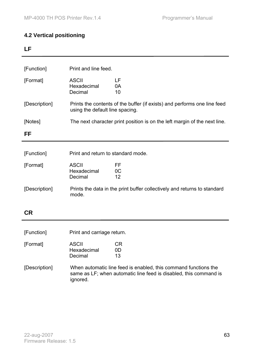#### **4.2 Vertical positioning**

### **LF**

| [Function]    | Print and line feed.                                                                                        |                                                                          |  |
|---------------|-------------------------------------------------------------------------------------------------------------|--------------------------------------------------------------------------|--|
| [Format]      | <b>ASCII</b><br>Hexadecimal<br>Decimal                                                                      | LF<br>0A<br>10                                                           |  |
| [Description] | Prints the contents of the buffer (if exists) and performs one line feed<br>using the default line spacing. |                                                                          |  |
| [Notes]       | The next character print position is on the left margin of the next line.                                   |                                                                          |  |
| FF            |                                                                                                             |                                                                          |  |
|               |                                                                                                             |                                                                          |  |
| [Function]    | Print and return to standard mode.                                                                          |                                                                          |  |
| [Format]      | <b>ASCII</b><br>Hexadecimal<br>Decimal                                                                      | FF<br>0 <sup>C</sup><br>12                                               |  |
| [Description] | mode.                                                                                                       | Prints the data in the print buffer collectively and returns to standard |  |

**CR** 

[Function] Print and carriage return.

| [Format] | ASCII       | CR. |
|----------|-------------|-----|
|          | Hexadecimal | ΩD  |
|          | Decimal     | 13  |
|          |             |     |

[Description] When automatic line feed is enabled, this command functions the same as LF; when automatic line feed is disabled, this command is ignored.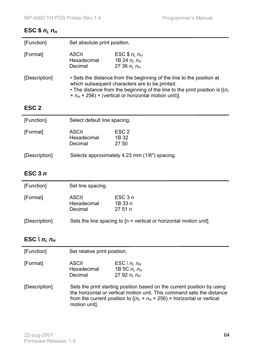### **ESC \$**  $n_L n_H$

| [Function]    | Set absolute print position.                                                                                                                                                                                                                                               |                                                        |
|---------------|----------------------------------------------------------------------------------------------------------------------------------------------------------------------------------------------------------------------------------------------------------------------------|--------------------------------------------------------|
| [Format]      | <b>ASCII</b><br>Hexadecimal<br>Decimal                                                                                                                                                                                                                                     | ESC $$n1 nH$<br>1B 24 $n_l$ $n_H$<br>27 36 $n_i$ $n_H$ |
| [Description] | • Sets the distance from the beginning of the line to the position at<br>which subsequent characters are to be printed.<br>• The distance from the beginning of the line to the print position is $(n_l)$<br>+ $n_H \times 256$ ) × (vertical or horizontal motion unit)]. |                                                        |

## **ESC 2**

| [Function]    | Select default line spacing.                  |                                    |
|---------------|-----------------------------------------------|------------------------------------|
| [Format]      | <b>ASCII</b><br>Hexadecimal<br>Decimal        | ESC <sub>2</sub><br>1B 32<br>27 50 |
| [Description] | Selects approximately 4.23 mm (1/6") spacing. |                                    |

## **ESC 3** *n*

| [Function]    | Set line spacing.                                                         |                                |
|---------------|---------------------------------------------------------------------------|--------------------------------|
| [Format]      | <b>ASCII</b><br>Hexadecimal<br>Decimal                                    | ESC $3n$<br>1B 33 $n$<br>2751n |
| [Description] | Sets the line spacing to $[n \times$ vertical or horizontal motion unit]. |                                |

## **ESC** \  $n_L n_H$

| ASCII       | ESC \ $n_l$ $n_H$ |
|-------------|-------------------|
| Hexadecimal | 1B 5C $n_i$ $n_H$ |
| Decimal     | 27 92 $n_i$ $n_H$ |
|             |                   |

[Description] Sets the print starting position based on the current position by using the horizontal or vertical motion unit. This command sets the distance from the current position to  $[(n_L + n_H \times 256) \times$  horizontal or vertical motion unit].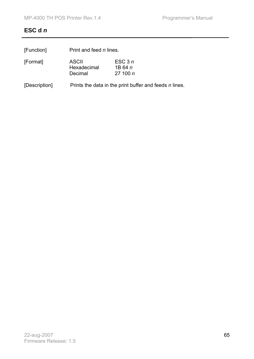## **ESC d** *n*

| [Function]    | Print and feed <i>n</i> lines.                         |                                  |
|---------------|--------------------------------------------------------|----------------------------------|
| [Format]      | <b>ASCII</b><br>Hexadecimal<br>Decimal                 | ESC $3n$<br>1B 64 $n$<br>27100 n |
| [Description] | Prints the data in the print buffer and feeds n lines. |                                  |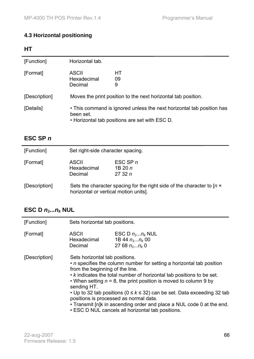## **4.3 Horizontal positioning**

### **HT**

| [Function]    | Horizontal tab.                                                                                                                      |  |
|---------------|--------------------------------------------------------------------------------------------------------------------------------------|--|
| [Format]      | <b>ASCII</b><br>HТ<br>Hexadecimal<br>09<br>Decimal<br>9                                                                              |  |
| [Description] | Moves the print position to the next horizontal tab position.                                                                        |  |
| [Details]     | • This command is ignored unless the next horizontal tab position has<br>been set.<br>• Horizontal tab positions are set with ESC D. |  |

## **ESC SP** *n*

| [Function]    | Set right-side character spacing.                                                                                      |  |
|---------------|------------------------------------------------------------------------------------------------------------------------|--|
| [Format]      | ESC SP $n$<br><b>ASCII</b><br>Hexadecimal<br>1B 20 $n$<br>Decimal<br>2732n                                             |  |
| [Description] | Sets the character spacing for the right side of the character to $[n \times$<br>horizontal or vertical motion units]. |  |

# **ESC D**  $n_1...n_k$  **NUL**

| [Function]    | Sets horizontal tab positions.                                                                                                                                                                                                                                                                                                                                                                                                                                                                                                                                              |                                                             |
|---------------|-----------------------------------------------------------------------------------------------------------------------------------------------------------------------------------------------------------------------------------------------------------------------------------------------------------------------------------------------------------------------------------------------------------------------------------------------------------------------------------------------------------------------------------------------------------------------------|-------------------------------------------------------------|
| [Format]      | <b>ASCII</b><br>Hexadecimal<br>Decimal                                                                                                                                                                                                                                                                                                                                                                                                                                                                                                                                      | ESC D $n_1n_k$ NUL<br>1B 44 $n_1n_k$ 00<br>27 68 $n_1n_k$ 0 |
| [Description] | Sets horizontal tab positions.<br>• <i>n</i> specifies the column number for setting a horizontal tab position<br>from the beginning of the line.<br>• k indicates the total number of horizontal tab positions to be set.<br>• When setting $n = 8$ , the print position is moved to column 9 by<br>sending HT.<br>• Up to 32 tab positions ( $0 \le k \le 32$ ) can be set. Data exceeding 32 tab<br>positions is processed as normal data.<br>• Transmit [n]k in ascending order and place a NUL code 0 at the end.<br>• ESC D NUL cancels all horizontal tab positions. |                                                             |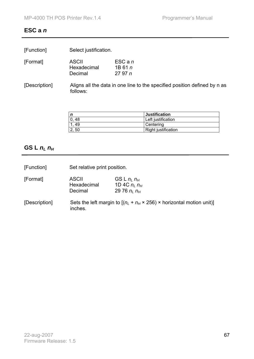#### **ESC a** *n*

| [Function]<br>Select justification. |
|-------------------------------------|
|-------------------------------------|

| [Format] | <b>ASCII</b> | $ESC$ a n |
|----------|--------------|-----------|
|          | Hexadecimal  | 1B 61 n   |
|          | Decimal      | 2797n     |

[Description] Aligns all the data in one line to the specified position defined by n as follows:

|       | <b>Justification</b> |
|-------|----------------------|
| 48    | Left justification   |
| 49    | Centering            |
| 2, 50 | Right justification  |

## **GS L** *nL nH*

| [Function]    | Set relative print position.                                                                 |                                                            |
|---------------|----------------------------------------------------------------------------------------------|------------------------------------------------------------|
| [Format]      | <b>ASCII</b><br>Hexadecimal<br>Decimal                                                       | GS L $n_i$ $n_H$<br>1D 4C $n_l$ $n_H$<br>29 76 $n_i$ $n_H$ |
| [Description] | Sets the left margin to $[(n_L + n_H \times 256) \times$ horizontal motion unit)]<br>inches. |                                                            |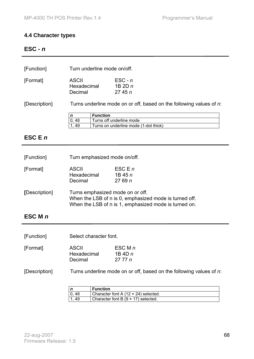#### **4.4 Character types**

### **ESC -** *n*

| [Function] | Turn underline mode on/off.     |                                         |
|------------|---------------------------------|-----------------------------------------|
| [Format]   | ASCII<br>Hexadecimal<br>Decimal | $\mathsf{ESC}$ - n<br>1B $2Dn$<br>2745n |

[Description] Turns underline mode on or off, based on the following values of *n*:

|             | <b>Function</b>                       |
|-------------|---------------------------------------|
| . 48<br>10. | Turns off underline mode              |
| 49          | Turns on underline mode (1-dot thick) |

### **ESC E** *n*

| [Function]    | Turn emphasized mode on/off.                                                                                                                        |                                 |
|---------------|-----------------------------------------------------------------------------------------------------------------------------------------------------|---------------------------------|
| [Format]      | <b>ASCII</b><br>Hexadecimal<br>Decimal                                                                                                              | ESC E $n$<br>1B 45 $n$<br>2769n |
| [Description] | Turns emphasized mode on or off.<br>When the LSB of n is 0, emphasized mode is turned off.<br>When the LSB of n is 1, emphasized mode is turned on. |                                 |

### **ESC M** *n*

| [Format] | <b>ASCII</b> | ESC M $n$ |
|----------|--------------|-----------|
|          | Hexadecimal  | 1B 4D $n$ |
|          | Decimal      | 27 77 n   |

[Description] Turns underline mode on or off, based on the following values of *n*:

|     | <b>Function</b>                      |
|-----|--------------------------------------|
| -48 | Character font A (12 × 24) selected. |
| 49  | Character font B (9 × 17) selected.  |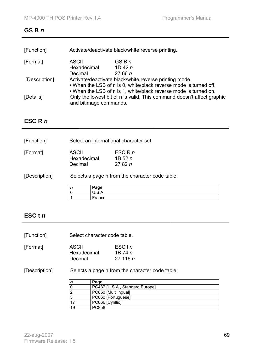#### **GS B** *n*

| [Function]    |                                                                                                                                                                      | Activate/deactivate black/white reverse printing. |  |
|---------------|----------------------------------------------------------------------------------------------------------------------------------------------------------------------|---------------------------------------------------|--|
| [Format]      | <b>ASCII</b><br>Hexadecimal<br>Decimal                                                                                                                               | GSBn<br>1D 42 $n$<br>2766n                        |  |
| [Description] | Activate/deactivate black/white reverse printing mode.<br>. When the LSB of n is 0, white/black reverse mode is turned off.                                          |                                                   |  |
| [Details]     | . When the LSB of n is 1, white/black reverse mode is turned on.<br>Only the lowest bit of n is valid. This command doesn't affect graphic<br>and bitimage commands. |                                                   |  |

### **ESC R** *n*

| [Function]    |                                        | Select an international character set. |                                                 |  |
|---------------|----------------------------------------|----------------------------------------|-------------------------------------------------|--|
| [Format]      | <b>ASCII</b><br>Hexadecimal<br>Decimal |                                        | ESC R $n$<br>1B 52 $n$<br>2782n                 |  |
| [Description] |                                        |                                        | Selects a page n from the character code table: |  |
|               | n                                      | Page                                   |                                                 |  |
|               |                                        | U.S.A.                                 |                                                 |  |
|               |                                        | France                                 |                                                 |  |

### **ESC t** *n*

[Function] Select character code table.

|             | ESC t n |
|-------------|---------|
| Hexadecimal | 1B 74 n |
| Decimal     | 27116n  |
|             | ASCII   |

### [Description] Selects a page n from the character code table:

**France** 

|    | Page                            |
|----|---------------------------------|
|    | PC437 [U.S.A., Standard Europe] |
|    | PC850 [Multilingual]            |
|    | PC860 [Portuguese]              |
|    | PC866 [Cyrillic]                |
| 19 | <b>PC858</b>                    |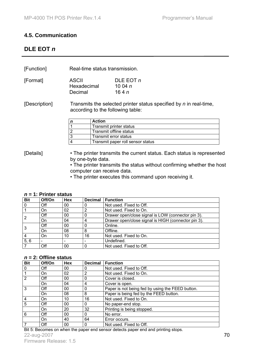#### **4.5. Communication**

#### **DLE EOT** *n*

[Function] Real-time status transmission.

| [Format] | <b>ASCII</b> | DLE EOT $n$ |
|----------|--------------|-------------|
|          | Hexadecimal  | 10 04 $n$   |
|          | Decimal      | 164n        |

[Description] Transmits the selected printer status specified by *n* in real-time, according to the following table:

| Action                            |
|-----------------------------------|
| Transmit printer status           |
| Transmit offline status           |
| Transmit error status             |
| Transmit paper roll sensor status |

[Details] • The printer transmits the current status. Each status is represented by one-byte data.

• The printer transmits the status without confirming whether the host computer can receive data.

• The printer executes this command upon receiving it.

#### *n* **= 1: Printer status**

| <b>Bit</b>     | Off/On | Hex | <b>Decimal</b> | <b>Function</b>                                     |
|----------------|--------|-----|----------------|-----------------------------------------------------|
| 0              | Off    | 00  |                | Not used. Fixed to Off.                             |
|                | On     | 02  | 2              | Not used. Fixed to On.                              |
| $\overline{2}$ | Off    | 00  |                | Drawer open/close signal is LOW (connector pin 3).  |
|                | On     | 04  | 4              | Drawer open/close signal is HIGH (connector pin 3). |
| 3              | Off    | 00  |                | Online.                                             |
|                | On     | 08  | 8              | Offline.                                            |
| 4              | On     | 10  | 16             | Not used. Fixed to On.                              |
| 5, 6           |        |     |                | Undefined.                                          |
|                | Off    | 00  |                | Not used. Fixed to Off.                             |

#### *n* **= 2: Offline status**

| <b>Bit</b>      | Off/On | <b>Hex</b> | <b>Decimal</b> | <b>Function</b>                                  |
|-----------------|--------|------------|----------------|--------------------------------------------------|
| $\mathbf 0$     | Off    | 00         | 0              | Not used. Fixed to Off.                          |
|                 | On     | 02         | 2              | Not used. Fixed to On.                           |
| $\overline{2}$  | Off    | 00         | 0              | Cover is closed.                                 |
|                 | On     | 04         | 4              | Cover is open.                                   |
| 3               | Off    | 00         | 0              | Paper is not being fed by using the FEED button. |
|                 | On     | 08         | 8              | Paper is being fed by the FEED button.           |
| $\overline{4}$  | On.    | 10         | 16             | Not used. Fixed to On.                           |
| 5               | Off    | 00         | $\Omega$       | No paper-end stop.                               |
|                 | On.    | 20         | 32             | Printing is being stopped.                       |
| $6\phantom{1}6$ | Off    | 00         | 0              | No error.                                        |
|                 | On     | 40         | 64             | Error occurs.                                    |
|                 | Off    | 00         | 0              | Not used. Fixed to Off.                          |

Bit 5: Becomes on when the paper end sensor detects paper end and printing stops.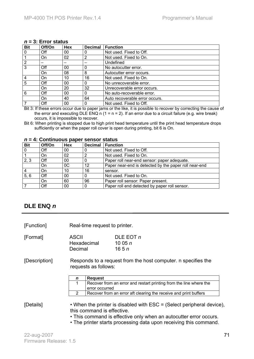#### *n* **= 3: Error status**

| <b>Bit</b>      | Off/On | Hex | <b>Decimal</b> | <b>Function</b>                |
|-----------------|--------|-----|----------------|--------------------------------|
| $\overline{0}$  | Off    | 00  |                | Not used. Fixed to Off.        |
| $\vert$ 1       | On.    | 02  | 2              | Not used. Fixed to On.         |
| $\overline{2}$  |        |     |                | Undefined                      |
| $\overline{3}$  | Off    | 00  |                | No autocutter error.           |
|                 | On     | 08  | 8              | Autocutter error occurs.       |
| $\vert 4$       | On     | 10  | 16             | Not used. Fixed to On.         |
| $5\overline{)}$ | Off    | 00  |                | No unrecoverable error.        |
|                 | On     | 20  | 32             | Unrecoverable error occurs.    |
| 6               | Off    | 00  |                | No auto-recoverable error.     |
|                 | On.    | 40  | 64             | Auto recoverable error occurs. |
| $\overline{7}$  | Off    | 00  |                | Not used. Fixed to Off.        |

Bit 3: If these errors occur due to paper jams or the like, it is possible to recover by correcting the cause of the error and executing DLE ENQ n  $(1 = n = 2)$ . If an error due to a circuit failure (e.g. wire break) occurs, it is impossible to recover.

Bit 6: When printing is stopped due to high print head temperature until the print head temperature drops sufficiently or when the paper roll cover is open during printing, bit 6 is On.

| <b>Bit</b>     | Off/On | <b>Hex</b> | <b>Decimal</b> | <b>Function</b>                                       |
|----------------|--------|------------|----------------|-------------------------------------------------------|
| $\overline{0}$ | Off    | 00         |                | Not used. Fixed to Off.                               |
|                | On     | 02         |                | Not used. Fixed to On.                                |
| 2, 3           | Off    | 00         |                | Paper roll near-end sensor: paper adequate.           |
|                | On     | 0C         | 12             | Paper near-end is detected by the paper roll near-end |
|                | On     | 10         | 16             | sensor.                                               |
| 5, 6           | Off    | 00         |                | Not used. Fixed to On.                                |
|                | On     | 60         | 96             | Paper roll sensor: Paper present.                     |
|                | Off    | 00         |                | Paper roll end detected by paper roll sensor.         |

#### *n* **= 4: Continuous paper sensor status**

#### **DLE ENQ** *n*

[Function] Real-time request to printer.

[Format] ASCII DLE EOT *n* Hexadecimal 10 05 *n*  Decimal 16 5 *n*

[Description] Responds to a request from the host computer. n specifies the requests as follows:

| n | <b>Request</b>                                                     |  |  |
|---|--------------------------------------------------------------------|--|--|
|   | Recover from an error and restart printing from the line where the |  |  |
|   | error occurred                                                     |  |  |
|   | Recover from an error aft clearing the receive and print buffers   |  |  |

[Details] • When the printer is disabled with ESC = (Select peripheral device), this command is effective.

- This command is effective only when an autocutter error occurs.
- The printer starts processing data upon receiving this command.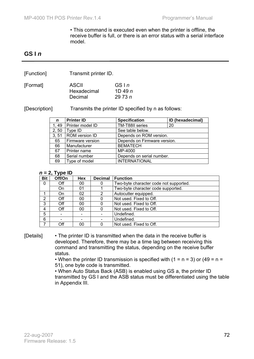• This command is executed even when the printer is offline, the receive buffer is full, or there is an error status with a serial interface model.

### **GS I** *n*

[Function] Transmit printer ID.

| [Format] | <b>ASCII</b> | GSIn      |
|----------|--------------|-----------|
|          | Hexadecimal  | 1D 49 $n$ |
|          | Decimal      | 29 73 $n$ |

[Description] Transmits the printer ID specified by n as follows:

| $\mathbf n$ | <b>Printer ID</b> | <b>Specification</b>         | ID (hexadecimal) |
|-------------|-------------------|------------------------------|------------------|
| 1,49        | Printer model ID  | TM-T88II series              | 20               |
| 2, 50       | Type ID           | See table below.             |                  |
| 3, 51       | ROM version ID    | Depends on ROM version.      |                  |
| 65          | Firmware version  | Depends on Firmware version. |                  |
| 66          | Manufacturer      | <b>BEMATECH</b>              |                  |
| 67          | Printer name      | MP-4000                      |                  |
| 68          | Serial number     | Depends on serial number.    |                  |
| 69          | Type of model     | <b>INTERNATIONAL</b>         |                  |

#### *n* **= 2, Type ID**

| <b>Bit</b> | - -<br>Off/On | <b>Hex</b> | <b>Decimal</b> | <b>Function</b>                        |
|------------|---------------|------------|----------------|----------------------------------------|
| 0          | Off           | 00         |                | Two-byte character code not supported. |
|            | On            | 01         |                | Two-byte character code supported.     |
|            | On            | 02         | 2              | Autocutter equipped.                   |
| 2          | Off           | 00         |                | Not used. Fixed to Off.                |
| 3          | Off           | 00         |                | Not used. Fixed to Off.                |
| 4          | Off           | 00         |                | Not used. Fixed to Off.                |
| 5          |               |            |                | Undefined.                             |
| 6          |               |            |                | Undefined.                             |
|            | Off           | იი         |                | Not used. Fixed to Off.                |

[Details] • The printer ID is transmitted when the data in the receive buffer is developed. Therefore, there may be a time lag between receiving this command and transmitting the status, depending on the receive buffer status.

> • When the printer ID transmission is specified with  $(1 = n = 3)$  or  $(49 = n = 1)$ 51), one byte code is transmitted.

• When Auto Status Back (ASB) is enabled using GS a, the printer ID transmitted by GS I and the ASB status must be differentiated using the table in Appendix III.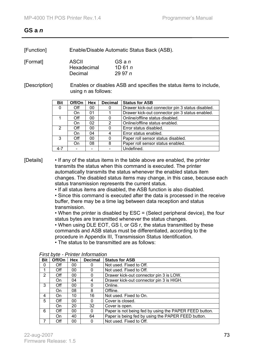### **GS a** *n*

[Format]

| [Function] | Enable/Disable Automatic Status Back (ASB). |
|------------|---------------------------------------------|
|------------|---------------------------------------------|

| <b>ASCII</b> | GS a n  |
|--------------|---------|
| Hexadecimal  | 1D 61 n |
| Decimal      | 2997n   |

[Description] Enables or disables ASB and specifies the status items to include, using n as follows:

| <b>Bit</b> | Off/On | Hex | <b>Decimal</b> | <b>Status for ASB</b>                            |
|------------|--------|-----|----------------|--------------------------------------------------|
| 0          | Off    | 00  |                | Drawer kick-out connector pin 3 status disabled. |
|            | On     | 01  |                | Drawer kick-out connector pin 3 status enabled.  |
|            | Off    | 00  |                | Online/offline status disabled.                  |
|            | On     | 02  | 2              | Online/offline status enabled.                   |
| 2          | Off    | 00  |                | Error status disabled.                           |
|            | On     | 04  |                | Error status enabled.                            |
| 3          | Off    | 00  |                | Paper roll sensor status disabled.               |
|            | On     | 08  | 8              | Paper roll sensor status enabled.                |
|            |        |     |                | Undefined.                                       |

[Details] • If any of the status items in the table above are enabled, the printer transmits the status when this command is executed. The printer automatically transmits the status whenever the enabled status item changes. The disabled status items may change, in this case, because each status transmission represents the current status.

• If all status items are disabled, the ASB function is also disabled.

• Since this command is executed after the data is processed in the receive buffer, there may be a time lag between data reception and status transmission.

• When the printer is disabled by ESC = (Select peripheral device), the four status bytes are transmitted whenever the status changes.

• When using DLE EOT, GS I, or GS r, the status transmitted by these commands and ASB status must be differentiated, according to the procedure in Appendix III, Transmission Status Identification.

• The status to be transmitted are as follows:

| <b>Bit</b>    | Off/On | Hex | <b>Decimal</b> | <b>Status for ASB</b>                                  |
|---------------|--------|-----|----------------|--------------------------------------------------------|
| 0             | Off    | 00  |                | Not used. Fixed to Off.                                |
| 1             | Off    | 00  | $\Omega$       | Not used. Fixed to Off.                                |
| $\mathcal{P}$ | Off    | 00  | $\Omega$       | Drawer kick-out connector pin 3 is LOW.                |
|               | On.    | 04  | 4              | Drawer kick-out connector pin 3 is HIGH.               |
| 3             | Off    | 00  | 0              | Online.                                                |
|               | On     | 08  | 8              | Offline.                                               |
| 4             | On.    | 10  | 16             | Not used. Fixed to On.                                 |
| 5             | Off    | 00  | $\Omega$       | Cover is closed.                                       |
|               | On     | 20  | 32             | Cover is open.                                         |
| 6             | Off    | 00  | 0              | Paper is not being fed by using the PAPER FEED button. |
|               | On.    | 40  | 64             | Paper is being fed by using the PAPER FEED button.     |
|               | Off    | 00  | $\Omega$       | Not used. Fixed to Off.                                |

*First byte - Printer Information*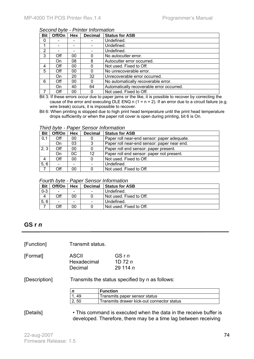#### *Second byte - Printer Information*

| <b>Bit</b> | Off/On | Hex | <b>Decimal</b> | <b>Status for ASB</b>                     |
|------------|--------|-----|----------------|-------------------------------------------|
| 0          |        |     |                | Undefined.                                |
|            |        |     |                | Undefined.                                |
| 2          |        |     |                | Undefined.                                |
| 3          | Off    | 00  | 0              | No autocutter error.                      |
|            | On     | 08  | 8              | Autocutter error occurred.                |
| 4          | Off    | 00  | 0              | Not used. Fixed to Off.                   |
| 5          | Off    | 00  | 0              | No unrecoverable error.                   |
|            | On     | 20  | 32             | Unrecoverable error occurred.             |
| 6          | Off    | 00  | 0              | No automatically recoverable error.       |
|            | On     | 40  | 64             | Automatically recoverable error occurred. |
|            | Off    | 00  | 0              | Not used. Fixed to Off.                   |

Bit 3: If these errors occur due to paper jams or the like, it is possible to recover by correcting the cause of the error and executing DLE ENQ n  $(1 = n = 2)$ . If an error due to a circuit failure (e.g. wire break) occurs, it is impossible to recover.

Bit 6: When printing is stopped due to high print head temperature until the print head temperature drops sufficiently or when the paper roll cover is open during printing, bit 6 is On.

*Third byte - Paper Sensor Information* 

| <b>Bit</b> | Off/On | Hex | <b>Decimal</b>                              | <b>Status for ASB</b>                       |
|------------|--------|-----|---------------------------------------------|---------------------------------------------|
| 0,1        | Off    | 00  | Paper roll near-end sensor: paper adequate. |                                             |
|            | On     | 03  | 3                                           | Paper roll near-end sensor: paper near end. |
| 2, 3       | Off    | 00  | 0                                           | Paper roll end sensor: paper present.       |
|            | On     | 0C  | 12                                          | Paper roll end sensor: paper not present.   |
| 4          | Off    | 00  | 0                                           | Not used. Fixed to Off.                     |
| 5, 6       |        |     |                                             | Undefined.                                  |
|            | Off    | 00  |                                             | Not used. Fixed to Off.                     |

#### *Fourth byte - Paper Sensor Information*

| <b>Bit</b> | Off/On | Hex                          | <b>Decimal</b>           | <b>Status for ASB</b>   |
|------------|--------|------------------------------|--------------------------|-------------------------|
| $0 - 3$    | -      | $\qquad \qquad \blacksquare$ | $\overline{\phantom{0}}$ | Undefined.              |
|            | Off    | 00                           |                          | Not used. Fixed to Off. |
| 6<br>5,    | -      | $\qquad \qquad \blacksquare$ | -                        | Undefined.              |
|            | Эff    | 00                           |                          | Not used. Fixed to Off. |

#### **GS r** *n*

[Function] Transmit status.

| ASCII<br>Hexadecimal<br>Decimal | GSrn<br>1D 72 $n$<br>29 114 $n$ |
|---------------------------------|---------------------------------|
|                                 |                                 |
|                                 |                                 |

[Description] Transmits the status specified by n as follows:

|     | <b>Function</b>                            |
|-----|--------------------------------------------|
| 49  | Transmits paper sensor status              |
| -50 | Transmits drawer kick-out connector status |

[Details] • This command is executed when the data in the receive buffer is developed. Therefore, there may be a time lag between receiving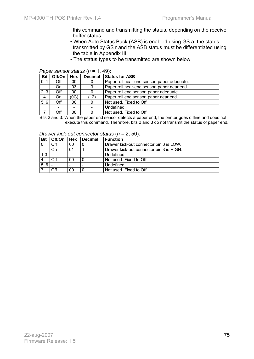this command and transmitting the status, depending on the receive buffer status.

- When Auto Status Back (ASB) is enabled using GS a, the status transmitted by GS r and the ASB status must be differentiated using the table in Appendix III.
- The status types to be transmitted are shown below:

#### *Paper sensor status* (*n* = 1, 49):

| <b>Bit</b> | Off/On | <b>Hex</b> | <b>Decimal</b> | <b>Status for ASB</b>                       |  |
|------------|--------|------------|----------------|---------------------------------------------|--|
| 0, 1       | Off    | 00         | $\Omega$       | Paper roll near-end sensor: paper adequate. |  |
|            | On     | 03         |                | Paper roll near-end sensor: paper near end. |  |
| 2, 3       | Off    | 00         |                | Paper roll end sensor: paper adequate.      |  |
| 4          | On     | (0C)       | (12)           | Paper roll end sensor: paper near end.      |  |
| 5, 6       | Off    | 00         |                | Not used. Fixed to Off.                     |  |
|            |        |            |                | Undefined.                                  |  |
|            | Off    | 00         |                | Not used. Fixed to Off.                     |  |

Bits 2 and 3: When the paper end sensor detects a paper end, the printer goes offline and does not execute this command. Therefore, bits 2 and 3 do not transmit the status of paper end.

| Drawer kick-out connector status ( $n = 2, 50$ ): |  |  |
|---------------------------------------------------|--|--|
|---------------------------------------------------|--|--|

| <b>Bit</b> | Off/On   Hex |                          | <b>Decimal</b> | <b>Function</b>                          |
|------------|--------------|--------------------------|----------------|------------------------------------------|
|            | Off          | 00                       |                | Drawer kick-out connector pin 3 is LOW.  |
|            | On           | 01                       |                | Drawer kick-out connector pin 3 is HIGH. |
| $1 - 3$    |              | $\overline{\phantom{0}}$ |                | Undefined.                               |
|            | Off          | 00                       |                | Not used. Fixed to Off.                  |
| 5,6        |              |                          |                | Undefined.                               |
|            | Off          | 00                       |                | Not used. Fixed to Off.                  |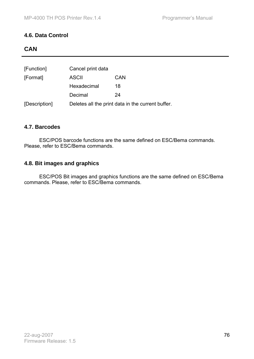#### **4.6. Data Control**

## **CAN**

| [Function]    | Cancel print data |                                                   |
|---------------|-------------------|---------------------------------------------------|
| [Format]      | <b>ASCII</b>      | <b>CAN</b>                                        |
|               | Hexadecimal       | 18                                                |
|               | Decimal           | 24                                                |
| [Description] |                   | Deletes all the print data in the current buffer. |

#### **4.7. Barcodes**

 ESC/POS barcode functions are the same defined on ESC/Bema commands. Please, refer to ESC/Bema commands.

#### **4.8. Bit images and graphics**

 ESC/POS Bit images and graphics functions are the same defined on ESC/Bema commands. Please, refer to ESC/Bema commands.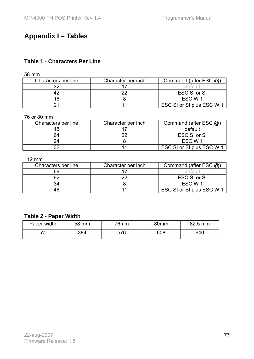# **Appendix I – Tables**

## **Table 1 - Characters Per Line**

58 mm

| Characters per line | Character per inch | Command (after ESC $(2)$ ) |
|---------------------|--------------------|----------------------------|
| າາ                  |                    | default                    |
|                     |                    | ESC SI or SI               |
|                     |                    | ESC W 1                    |
|                     |                    | ESC SI or SI plus ESC W 1  |

#### 76 or 80 mm

| Characters per line | Character per inch | Command (after ESC $(2)$ ) |
|---------------------|--------------------|----------------------------|
|                     |                    | default                    |
| 64                  | ົດ                 | <b>ESC SI or SI</b>        |
|                     |                    | ESC W 1                    |
| າາ                  |                    | ESC SI or SI plus ESC W 1  |

#### 112 mm

| Characters per line | Character per inch | Command (after ESC $(2)$ ) |
|---------------------|--------------------|----------------------------|
| 69                  |                    | default                    |
|                     |                    | ESC SI or SI               |
| 34                  |                    | ESC W 1                    |
| 46                  |                    | ESC SI or SI plus ESC W 1  |

### **Table 2 - Paper Width**

| Paper width | 58 mm | 76mm | 80 <sub>mm</sub> | 82.5 mm |
|-------------|-------|------|------------------|---------|
| V           | 384   | 576  | 608              | 640     |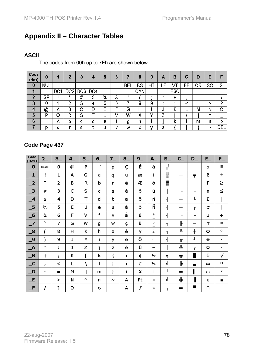# **Appendix II – Character Tables**

## **ASCII**

The codes from 00h up to 7Fh are shown below:

| Code<br>(Hex)    | 0                        | п               | ני              | 3   | 4   | 5 | 6 |       | 8   | 9  | А                       | в          | C  | D         | E                     | F       |
|------------------|--------------------------|-----------------|-----------------|-----|-----|---|---|-------|-----|----|-------------------------|------------|----|-----------|-----------------------|---------|
| $\bf{0}$         | <b>NUL</b>               |                 |                 |     |     |   |   | ` BEL | BS  | HT | $\mathsf{L} \mathsf{F}$ | VТ         | FF | <b>CR</b> | <b>SO</b>             | SI      |
| 1                |                          | DC <sub>1</sub> | DC <sub>2</sub> | DC3 | DC4 |   |   |       | CAN |    |                         | <b>ESC</b> |    |           |                       |         |
| $\overline{2}$   | <b>SP</b>                |                 | ш               | #   | \$  | % | & |       |     |    | $\star$                 | ٠          |    | -         | ٠                     |         |
| 3                | 0                        |                 | 2               | 3   | 4   | 5 | 6 |       | 8   | 9  |                         |            | ≺  | $=$       | ⋗                     | 2       |
| $\boldsymbol{4}$ | @                        | А               | В               | с   | D   | Ε | F | G     | н   |    | J                       | Κ          | ┕  | Μ         | Ν                     | O       |
| 5                | P                        | Q               | R               | S   |     |   | v | W     | χ   | v  |                         |            |    |           | ٨                     |         |
| $6\phantom{1}6$  | $\overline{\phantom{a}}$ | А               | b               | с   | d   | e |   | g     | h   |    |                         | ĸ          |    | m         | n                     | $\circ$ |
| 7                | p                        | a               |                 | s   |     | u | v | w     | x   | v  | 7                       |            |    |           | $\tilde{\phantom{a}}$ | DEL     |

# **Code Page 437**

| Code<br>(Hex)                                     | $2_{-}$        | $3_{-}$             | $4_{-}$ | $5_{-}$  | $6_{-}$      | $7-$              | $8_{-}$ | $9_{-}$ | $A_{-}$       | $B_{-}$                  | $C_{-}$      | $D_{-}$  | $E_{-}$  | $F_{-}$        |
|---------------------------------------------------|----------------|---------------------|---------|----------|--------------|-------------------|---------|---------|---------------|--------------------------|--------------|----------|----------|----------------|
| $\overline{\phantom{0}}^{\,\,\,0}$                | (space)        | 0                   | @       | P        | $\mathbf{v}$ | p                 | Ç       | É       | á             | ă                        | ∟            | Ш        | a        | Ξ              |
| $\mathbf{I}$                                      | Ţ              | 1                   | А       | Q        | a            | q                 | ü       | æ       | í             | l                        | ⊥            | ᆕ        | ß        | 土              |
| $\overline{-2}$                                   | w              | 2                   | В       | R        | b            | r                 | é       | Æ       | ó             | ▓                        | $\top$       | Т        | г        | ≥              |
| $\overline{\phantom{0}}^3$                        | $\#$           | 3                   | C       | S        | c            | s                 | â       | ô       | ú             |                          | ⊢            | Ш        | п        | ≤              |
| $\mathbf{I}$                                      | \$             | 4                   | D       | Τ        | d            | t                 | ä       | ö       | ñ             | ┥                        |              | ╘        | Σ        |                |
| $\overline{\phantom{0}}$ 5                        | $\frac{0}{0}$  | 5                   | E       | U        | e            | u                 | à       | ò       | Ñ             | ᅧ                        | $^+$         | F        | σ        |                |
| $-6$                                              | 8.             | 6                   | F       | v        | f            | v                 | å       | û       | а<br>—        | $\overline{\mathcal{L}}$ | ⊧            | <b>T</b> | μ        | ÷              |
| $-7$                                              | x.             | 7                   | G       | W        | g            | W                 | ç       | ù       | 0<br>-        | $\mathbb{L}$             | $\mathbb{F}$ | $\pm$    | T        | ≈              |
| $\overline{\phantom{0}}^8$                        | (              | 8                   | Η       | χ        | h            | x                 | ê       | ÿ       | ċ             | $\overline{\mathbb{R}}$  | L            | $\pm$    | Ф        | ۰              |
| _9                                                | )              | 9                   | I       | Y        | i            | y                 | ë       | Ö       | -             | 붸                        | F            | L        | Θ        | $\blacksquare$ |
| $\overline{\phantom{a}}$                          | ж              | ٠<br>$\blacksquare$ | J       | Z        | j            | z                 | è       | Ü       | ┑.            | $\parallel$              | 丠            | г        | Ω        | ٠              |
| $\Box$ B                                          | $\ddot{}$      | ٠<br>r              | Κ       | [        | k            | {                 | ï       | ¢       | 1/2           | ᇺ                        | 帀            |          | δ        | V              |
| $\overline{\phantom{a}}$ $\overline{\phantom{a}}$ | T              | ≺                   | L       | À        | I            | п<br>$\mathbf{I}$ | î       | £       | $\frac{1}{4}$ | П                        | ╠            | ٠        | $\infty$ | n              |
| $\_$ D                                            | $\blacksquare$ | $=$                 | М       | l        | m            | }                 | ì       | ¥       | i             | Щ                        | =            |          | φ        | $\mathbf{z}$   |
| E                                                 | $\blacksquare$ | ≻                   | N       | $\wedge$ | n            | r.                | Ä       | Pt      | ≪             | ╛                        | 쀼            |          | ε        |                |
| $-F$                                              |                | 2                   | o       |          | $\circ$      |                   | Å       | f       | ≫             | T.                       | ᆂ            | ٠        | n        |                |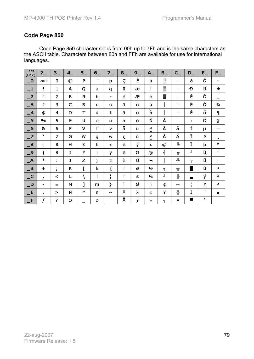Code Page 850 character set is from 00h up to 7Fh and is the same characters as the ASCII table. Characters between 80h and FFh are available for use for international languages.

| Code<br>(Hex)                          | $2_{-}$       | $3_{-}$             | $4_{-}$ | $5-$ | $6-$    | $7-$    | $8_{-}$ | $9_{-}$ | $A_{-}$                | $B_{-}$                  | $C_{-}$     | $D_{-}$ | $E_{-}$                  | $F_{-}$       |
|----------------------------------------|---------------|---------------------|---------|------|---------|---------|---------|---------|------------------------|--------------------------|-------------|---------|--------------------------|---------------|
| $\overline{\phantom{0}}^{\,\,\,0}$     | (space)       | 0                   | @       | P    | $\cdot$ | p       | Ç       | É       | á                      | X                        | L           | ð       | Ó                        | -             |
| $\mathbf{\perp}$                       | Ţ             | 1                   | А       | Q    | a       | q       | ü       | æ       | í                      | lli                      | ⊥           | Ð       | ß                        | 土             |
| $\mathbf{L}^2$                         | w             | 2                   | B       | R    | b       | r       | é       | Æ       | ó                      | ▓                        | $\top$      | Ê       | Ô                        | $=$           |
| $\overline{\phantom{0}}^3$             | #             | 3                   | C       | S    | c       | s       | â       | ô       | ú                      |                          | F           | Ë       | Ò                        | $\frac{3}{4}$ |
| $\overline{\phantom{0}}$               | \$            | 4                   | D       | T    | d       | t       | ä       | ö       | ñ                      | $\overline{\phantom{a}}$ | —           | È       | õ                        | 1             |
| $\overline{\phantom{0}}$ 5             | $\frac{0}{0}$ | 5                   | E       | U    | e       | u       | à       | ò       | Ñ                      | Á                        | $+$         | т       | õ                        | S             |
| $-6$                                   | 8             | 6                   | F       | v    | f       | v       | å       | û       | а<br>$\qquad \qquad -$ | Â                        | ã           | Í       | μ                        | ÷             |
| $-7$                                   | ъ             | 7                   | G       | W    | g       | w       | ç       | ù       | о<br>-                 | À                        | $\sim$<br>Ä | Î       | Þ                        | J.            |
| $\overline{\phantom{0}}^8$             | f<br>V        | 8                   | Η       | χ    | h       | х       | ê       | ÿ       | ż.                     | ©                        | L           | Ϊ       | þ                        | $\bullet$     |
| $\overline{\phantom{0}}$               | )             | 9                   | I       | Y    | i       | y       | ë       | Ö       | $^{\circledR}$         | 붸                        | F           | ┘       | Ú                        |               |
| $\overline{\phantom{a}}$               | ∗             | ٠<br>$\blacksquare$ | J       | Z    | j       | z       | è       | Ü       | ┑.                     | $\parallel$              | ᅭ           | Г       | Û                        | ٠             |
| $\Box$ B                               | $\mathbf +$   | ٠<br>r.             | Κ       | L    | k       | ł       | ï       | ø       | 1/2                    | F.                       | ᅲ           |         | Ù                        | 1             |
| $\overline{\phantom{a}}^{\phantom{a}}$ | T.            | ≺                   | L       | À    | ı       | п<br>I. | î       | £       | $\frac{1}{4}$          | ╝                        | ╠           | ш       | ý                        | з             |
| $\Box$ D                               | -             | $=$                 | М       | 1    | m       | }       | ì       | ø       | i.                     | ¢                        | =           | п<br>I. | Ý                        | $\mathbf{z}$  |
| E                                      | $\mathbf{r}$  | >                   | N       | л    | n       | w       | Ä       | χ       | «                      | ¥                        | 쀼           | Ì       | $\overline{\phantom{0}}$ | ▬             |
| $-F$                                   |               | Š.                  | $\circ$ |      | ۰       |         | Å       | f       | ≫                      | ٦                        | ×           | ш       | ٦.                       |               |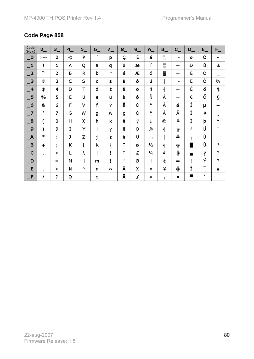| Code<br>(Hex)                          | $2_{-}$        | $3_{-}$ | 4       | $5_{-}$  | $6-$                  | $7-$    | $8_{-}$ | $9-$ | $A_{-}$                       | $B_{-}$     | $C_{-}$                 | $D_{-}$        | $E_{-}$                  | $F_{-}$                        |
|----------------------------------------|----------------|---------|---------|----------|-----------------------|---------|---------|------|-------------------------------|-------------|-------------------------|----------------|--------------------------|--------------------------------|
| $\overline{\mathbf{0}}$                | (space)        | 0       | @       | P        | $\tilde{\phantom{a}}$ | p       | Ç       | É    | á                             | ä           | L                       | ð              | Ó                        | ۰                              |
| $\mathbf{-1}$                          | Ţ              | 1       | A       | Q        | a                     | q       | ü       | æ    | í                             | lli         | ⊥                       | Ð              | ß                        | 土                              |
| $\mathbf{I}^2$                         | w              | 2       | B       | R        | b                     | r       | é       | Æ    | ó                             | ▓           | $\top$                  | Ê              | Ô                        | $\qquad \qquad =\qquad \qquad$ |
| $\Box$ 3                               | #              | 3       | C       | S        | c                     | s       | â       | ô    | ú                             |             | ⊢                       | Ë              | Ò                        | $\frac{3}{4}$                  |
| $\overline{\phantom{0}}$ 4             | \$             | 4       | D       | Т        | d                     | t       | ä       | ö    | ñ                             | ⊣           | -                       | È              | õ                        | 1                              |
| $\overline{\phantom{0}}$ 5             | $\frac{0}{0}$  | 5       | E       | U        | e                     | u       | à       | ò    | Ñ                             | Á           | $\pm$                   | €              | õ                        | ş                              |
| $-6$                                   | &              | 6       | F       | v        | f                     | v       | å       | û    | a<br>$\overline{\phantom{0}}$ | Â           | ã                       | Í              | μ                        | ÷                              |
| $-7$                                   | ٦.             | 7       | G       | W        | g                     | w       | ç       | ù    | 0<br>-                        | À           | $\sim$<br>Ä             | Î              | Þ                        | $\mathbf{J}$                   |
| $\overline{\phantom{0}}^8$             | (              | 8       | H       | χ        | h                     | x       | ê       | ÿ    | ċ                             | $^{\circ}$  | Щ                       | Ϊ              | þ                        | ۰                              |
| _9                                     | )              | 9       | I       | Y        | i                     | y       | ë       | Ö    | $^{\circledR}$                | 붸           | F                       | ┘              | Ú                        |                                |
| $\Box$ A                               | $\ast$         | ÷       | J       | Z        | j                     | z       | è       | Ü    | ┑.                            | $\parallel$ | 쁘                       | Г              | Û                        | ٠                              |
| B                                      | $\pm$          | ٠<br>r  | Κ       | [        | k                     | {       | ï       | ø    | 1/2                           | ᇺ           | $\overline{\mathbf{T}}$ |                | Ù                        | $\mathbf{1}$                   |
| $\overline{\phantom{a}}^{\phantom{a}}$ | r.             | ≺       | Г       | À        | ı                     | п<br>J. | î       | £    | $\frac{1}{4}$                 | ╝           | ŀ                       | ▅              | ý                        | з                              |
| $\Box$ D                               | $\blacksquare$ | $=$     | M       | 1        | m                     | }       | ì       | ø    | i.                            | ¢           | =                       | л.<br>п        | Ý                        | 2                              |
| E                                      | $\blacksquare$ | >       | N       | $\wedge$ | n                     | w       | Ä       | χ    | ≪                             | ¥           | 쀼                       | Ì              | $\overline{\phantom{0}}$ | ■                              |
| $\blacksquare$ F                       |                | 2       | $\circ$ |          | ۰                     |         | Å       | f    | ≫                             | T.          | ×                       | $\blacksquare$ | v                        |                                |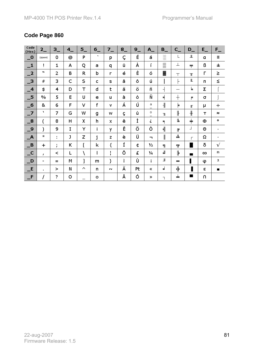| Code<br>(Hex)                          | $2_{-}$        | $3_{-}$ | $4_{-}$ | $5_{-}$ | $6-$         | $7-$    | $8_{-}$ | $9-$ | $A_{-}$                       | $B_{-}$                  | $C_{-}$ | $D_{-}$      | $E_{-}$  | $F_{-}$        |
|----------------------------------------|----------------|---------|---------|---------|--------------|---------|---------|------|-------------------------------|--------------------------|---------|--------------|----------|----------------|
| $\overline{\mathbf{0}}$                | (space)        | 0       | @       | P       | $\mathbf{v}$ | p       | Ç       | É    | á                             | ă                        | L       | Щ            | a        | Ξ              |
| $\mathbf{I}$                           | ï              | 1       | А       | Q       | a            | q       | ü       | À    | í                             | <b>EXE</b>               | 丄       | ᆍ            | ß        | 士              |
| $\overline{-2}$                        | w              | 2       | B       | R       | b            | r       | é       | È    | ó                             | ▓                        | $\top$  | $\mathbb{T}$ | г        | ≥              |
| $\overline{\phantom{0}}^3$             | #              | 3       | Ċ       | S       | c            | s       | â       | ô    | ú                             |                          | F       | Ш            | п        | ≤              |
| $-4$                                   | \$             | 4       | D       | Т       | d            | t       | ã       | õ    | ñ                             | ⊣                        |         | ╘            | Σ        |                |
| $\overline{\phantom{0}}$ 5             | $\frac{0}{0}$  | 5       | Е       | U       | e            | u       | à       | ò    | Ñ                             | $\overline{\phantom{a}}$ | 十       | F            | σ        |                |
| $\overline{\phantom{0}}$               | &              | 6       | F       | ۷       | f            | v       | Á       | Ú    | а<br>$\overline{\phantom{0}}$ | $\overline{\mathcal{L}}$ | ⊧       | IL           | μ        | ÷              |
| $\overline{\phantom{0}}$               | х              | 7       | G       | W       | g            | w       | ç       | ù    | 0<br>$\overline{\phantom{0}}$ | $\mathbb{L}$             | ╟       | ╫            | т        | ≈              |
| $\overline{\phantom{0}}^8$             | (              | 8       | H       | χ       | h            | x       | ê       | Ì    | ċ                             | ٩                        | Щ       | $\pm$        | Ф        | ۰              |
| $\overline{\phantom{0}}$ 9             | $\mathcal{E}$  | 9       | I       | Y       | i            | y       | Ê       | õ    | Ò                             | 붸                        | F       | ┘            | Θ        | $\blacksquare$ |
| $\overline{\mathsf{A}}$                | Ж              | ٠<br>٠  | J       | z       | j            | z       | è       | Ü    | ┑                             | $\parallel$              | 쁘       | г            | Ω        | $\blacksquare$ |
| $\mathbf{\mathbf{B}}$                  | $\pm$          | ٠<br>r  | κ       | [       | k            | {       | Í       | ¢    | 1/2                           | ٦I                       | ᅲ       |              | δ        | $\sqrt{}$      |
| $\overline{\phantom{a}}^{\phantom{a}}$ | Ŧ.             | ≺       | Г       | V       | ı            | п<br>I. | Ô       | £    | 1/4                           | ╝                        | ╠       | ш            | $\infty$ | n              |
| $\Box$ D                               | $\blacksquare$ | $=$     | М       | 1       | m            | }       | ì       | Ù    | i.                            | Щ                        | $=$     |              | φ        | $\mathbf{z}$   |
| E                                      | $\blacksquare$ | ≻       | Ν       | л       | n            | rv.     | Ã       | Pt   | ≪                             | ┙                        | 쀼       |              | ε        | $\blacksquare$ |
| $-F$                                   |                | 3       | o       |         | ۰            |         | Â       | Ó    | ≫                             | ٦                        | ᆂ       | ٠            | n        |                |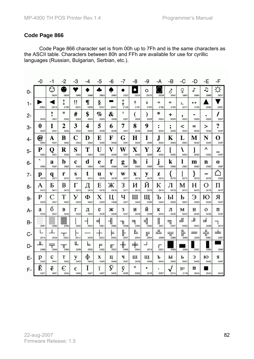Code Page 866 character set is from 00h up to 7Fh and is the same characters as the ASCII table. Characters between 80h and FFh are available for use for cyrillic languages (Russian, Bulgarian, Serbian, etc.).

|      | -0                                 | -1        | -2                 | -3         | -4             | -5        | -6        | -7             | -8                  | -9        | -A             | -B             | -C         | -D        | -E             | -F              |
|------|------------------------------------|-----------|--------------------|------------|----------------|-----------|-----------|----------------|---------------------|-----------|----------------|----------------|------------|-----------|----------------|-----------------|
| 0-   |                                    | ⊙<br>263A | ❸<br>263B          | 2665       | 2666           | ♣<br>2663 | 2660      | 2022           | $\bullet$<br>25DB   | o<br>25CB | 25D9           | ♂<br>2642      | ♀<br>2640  | ♪<br>266A | Ĵ,<br>266B     | ☆<br>263C       |
| $1-$ | 25BA                               | 25C4      | ⇕<br>2195          | !!<br>203C | $\P$<br>00B6   | ş<br>00A7 | 25AC      | ↨<br>21A8      | ↑<br>2191           | ↡<br>2193 | →<br>2192      | ↞<br>2190      | ∟<br>221F  | ↔<br>2194 | 25B2           | 25BC            |
| $2-$ | 0020                               | ۱<br>0021 | Ħ<br>0022          | #<br>0023  | \$<br>0024     | %<br>0025 | &<br>0026 | 1<br>0027      | 0028                | ſ<br>0029 | ∗<br>002A      | +<br>002B      | ,<br>002C  | 002D      | ٠<br>002E      | 002F            |
| 3-   | 0<br>0030                          | 1<br>0031 | 2<br>0032          | 3<br>0033  | 4<br>0034      | 5<br>0035 | 6<br>0036 | 7<br>0037      | 8<br>0038           | 9<br>0039 | ٠<br>۰<br>003A | ٠<br>,<br>003B | <<br>003C  | =<br>003D | ><br>003E      | 9<br>٠<br>003F  |
| $4-$ | $\widehat{\boldsymbol{a}}$<br>0040 | A<br>0041 | B<br>0042          | C<br>0043  | D<br>0044      | E<br>0045 | F<br>0046 | G<br>0047      | Н<br>0048           | I<br>0049 | J<br>004A      | Κ<br>004B      | L<br>004C  | М<br>004D | N<br>004E      | 0<br>004F       |
| 5-   | P<br>0050                          | Q<br>0051 | R<br>0052          | S<br>0053  | T<br>0054      | U<br>0055 | V<br>0056 | W<br>0057      | $\mathbf X$<br>0058 | Y<br>0059 | z<br>005A      | 005B           | Ι<br>005C  | l<br>005D | Λ<br>005E      | 005F            |
| 6-   | 0060                               | a<br>0061 | b<br>0062          | c<br>0063  | d<br>0064      | e<br>0065 | f<br>0066 | g<br>0067      | h<br>0068           | i<br>0069 | j<br>006A      | k<br>006B      | l<br>006C  | m<br>006D | n<br>006E      | $\bf o$<br>006F |
| $7-$ | р<br>0070                          | q<br>0071 | r<br>0072          | S<br>0073  | t<br>0074      | u<br>0075 | V<br>0076 | W<br>0077      | X<br>0078           | y<br>0079 | Z<br>007A      | r<br>007B      | 007C       | }<br>007D | ∼<br>007E      | 2302            |
| 8-   | А<br>0410                          | Б<br>0411 | B<br>0412          | Γ<br>0413  | Д<br>0414      | E<br>0415 | Ж<br>0416 | 3<br>0417      | И<br>0418           | Й<br>0419 | К<br>041A      | л<br>041B      | М<br>041C  | Н<br>041D | Ο<br>041E      | п<br>041F       |
| 9-   | P<br>0420                          | C<br>0421 | T<br>0422          | У<br>0423  | Φ<br>0424      | X<br>0425 | Ц<br>0426 | ч<br>0427      | Ш<br>0428           | Щ<br>0429 | Ъ<br>042A      | Ы<br>042B      | Ь<br>042C  | Э<br>042D | Ю<br>042E      | Я<br>042F       |
| A-   | a<br>0430                          | б<br>0431 | в<br>0432          | Г<br>0433  | д<br>0434      | e<br>0435 | Ж<br>0436 | 3<br>0437      | И<br>0438           | й<br>0439 | К<br>043A      | Л<br>043B      | м<br>043C  | н<br>043D | o<br>043E      | п<br>043F       |
| B-   | 2591                               | 2592      | 2593               | 2502       | 2524           | ╡<br>2561 | ┪<br>2562 | Π<br>2556      | ╕<br>2555           | 눼<br>2563 | н<br>2551      | ᆿ<br>2557      | ᅴ<br>255D  | Щ<br>255C | ᆜ<br>255B      | 2510            |
| $C-$ | 2514                               | 2534      | 252C               | 251C       | 2500           | 253C      | Þ<br>255E | ╟<br>255F      | ╚<br>255A           | 厅<br>2554 | ᄔ<br>2569      | ᅲ<br>2586      | 뉘<br>2560  | 2550      | ᄔ<br>╦<br>256C | ╧<br>2567       |
| D-   | Ш<br>2568                          | ┯<br>2564 | ╥<br>2565          | Ш<br>2559  | ᄂ<br>2558      | F<br>2552 | ╓<br>2553 | Ш<br>⇈<br>2568 | ≠<br>256A           | 2518      | г<br>250C      | 2588           | 2584       | 258C      | 2590           | 2580            |
| Е-   | p<br>0440                          | c<br>0441 | T<br>0442          | y<br>0443  | ф<br>0444      | X<br>0445 | ц<br>0446 | ч<br>0447      | ш<br>0448           | щ<br>0449 | ъ<br>044A      | ы<br>044B      | ь<br>044C  | Э<br>044D | ю<br>044E      | Я<br>044F       |
| F-   | Ë<br>0401                          | ë<br>0451 | $\epsilon$<br>0404 | €<br>0454  | Ÿ<br>ı<br>0407 | ï<br>0457 | ў<br>040E | ÿ<br>045E      | ۰<br>00B0           | 2219      | ٠<br>00B7      | 221A           | Nº<br>2116 | ¤<br>00A4 | 25A0           | 00A0            |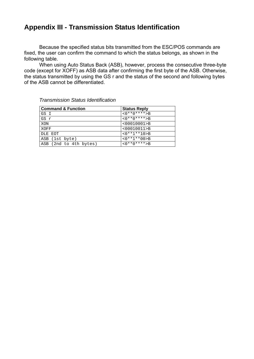## **Appendix III - Transmission Status Identification**

Because the specified status bits transmitted from the ESC/POS commands are fixed, the user can confirm the command to which the status belongs, as shown in the following table.

When using Auto Status Back (ASB), however, process the consecutive three-byte code (except for XOFF) as ASB data after confirming the first byte of the ASB. Otherwise, the status transmitted by using the GS r and the status of the second and following bytes of the ASB cannot be differentiated.

| <b>Command &amp; Function</b> | <b>Status Reply</b> |
|-------------------------------|---------------------|
| GS I                          | $<0***0****>B$      |
| GS r                          | $<0***0****>B$      |
| XON                           | $<00010001$ >B      |
| XOFF                          | $<00010011>$ B      |
| DLE EOT                       | $<0***1***10>B$     |
| ASB (1st byte)                | $<0***1***00>B$     |
| ASB (2nd to 4th bytes)        | $<0***0****>B$      |

*Transmission Status Identification*